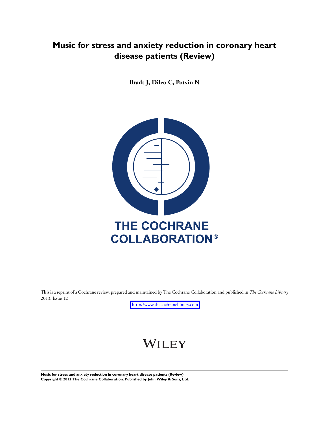# **Music for stress and anxiety reduction in coronary heart disease patients (Review)**

**Bradt J, Dileo C, Potvin N**



This is a reprint of a Cochrane review, prepared and maintained by The Cochrane Collaboration and published in *The Cochrane Library* 2013, Issue 12

<http://www.thecochranelibrary.com>

# WILEY

**Music for stress and anxiety reduction in coronary heart disease patients (Review) Copyright © 2013 The Cochrane Collaboration. Published by John Wiley & Sons, Ltd.**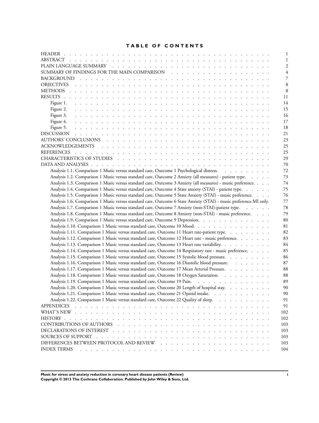## **TABLE OF CONTENTS**

|                                                                                                                                                                                                                                                                          | 8   |
|--------------------------------------------------------------------------------------------------------------------------------------------------------------------------------------------------------------------------------------------------------------------------|-----|
|                                                                                                                                                                                                                                                                          | 8   |
|                                                                                                                                                                                                                                                                          | 11  |
|                                                                                                                                                                                                                                                                          | 14  |
|                                                                                                                                                                                                                                                                          | 15  |
| Figure 3.                                                                                                                                                                                                                                                                | 16  |
| Figure 4.                                                                                                                                                                                                                                                                | 17  |
| Figure 5.                                                                                                                                                                                                                                                                | 18  |
|                                                                                                                                                                                                                                                                          | 21  |
|                                                                                                                                                                                                                                                                          | 23  |
|                                                                                                                                                                                                                                                                          | 25  |
|                                                                                                                                                                                                                                                                          | 25  |
|                                                                                                                                                                                                                                                                          | 29  |
|                                                                                                                                                                                                                                                                          | 70  |
| Analysis 1.1. Comparison 1 Music versus standard care, Outcome 1 Psychological distress.                                                                                                                                                                                 | 72  |
| Analysis 1.2. Comparison 1 Music versus standard care, Outcome 2 Anxiety (all measures) - patient type.                                                                                                                                                                  | 73  |
| Analysis 1.3. Comparison 1 Music versus standard care, Outcome 3 Anxiety (all measures) - music preference.                                                                                                                                                              | 74  |
| Analysis 1.4. Comparison 1 Music versus standard care, Outcome 4 State anxiety (STAI) - patient type.                                                                                                                                                                    | 75  |
| Analysis 1.5. Comparison 1 Music versus standard care, Outcome 5 State Anxiety (STAI) - music preference.                                                                                                                                                                | 76  |
| Analysis 1.6. Comparison 1 Music versus standard care, Outcome 6 State Anxiety (STAI) - music preference MI only.                                                                                                                                                        | 77  |
| Analysis 1.7. Comparison 1 Music versus standard care, Outcome 7 Anxiety (non-STAI)-patient type.                                                                                                                                                                        | 78  |
| Analysis 1.8. Comparison 1 Music versus standard care, Outcome 8 Anxiety (non-STAI) - music preference.                                                                                                                                                                  | 79  |
| Analysis 1.9. Comparison 1 Music versus standard care, Outcome 9 Depression.                                                                                                                                                                                             | 80  |
| Analysis 1.10. Comparison 1 Music versus standard care, Outcome 10 Mood.                                                                                                                                                                                                 | 81  |
| Analysis 1.11. Comparison 1 Music versus standard care, Outcome 11 Heart rate-patient type.                                                                                                                                                                              | 82  |
| Analysis 1.12. Comparison 1 Music versus standard care, Outcome 12 Heart rate - music preference.                                                                                                                                                                        | 83  |
| Analysis 1.13. Comparison 1 Music versus standard care, Outcome 13 Heart rate variability.                                                                                                                                                                               | 84  |
| Analysis 1.14. Comparison 1 Music versus standard care, Outcome 14 Respiratory rate - music preference.                                                                                                                                                                  | 85  |
| Analysis 1.15. Comparison 1 Music versus standard care, Outcome 15 Systolic blood pressure.                                                                                                                                                                              | 86  |
| Analysis 1.16. Comparison 1 Music versus standard care, Outcome 16 Diastolic blood pressure.                                                                                                                                                                             | 87  |
| Analysis 1.17. Comparison 1 Music versus standard care, Outcome 17 Mean Arterial Pressure.                                                                                                                                                                               | 88  |
| Analysis 1.18. Comparison 1 Music versus standard care, Outcome 18 Oxygen Saturation.                                                                                                                                                                                    | 88  |
| Analysis 1.19. Comparison 1 Music versus standard care, Outcome 19 Pain.                                                                                                                                                                                                 | 89  |
| Analysis 1.20. Comparison 1 Music versus standard care, Outcome 20 Length of hospital stay.                                                                                                                                                                              | 90  |
| Analysis 1.21. Comparison 1 Music versus standard care, Outcome 21 Opioid intake.                                                                                                                                                                                        | 90  |
| Analysis 1.22. Comparison 1 Music versus standard care, Outcome 22 Quality of sleep.<br>$1 - 1 - 1 - 1 - 1 - 1 - 1 - 1 - 1 - 1$                                                                                                                                          | 91  |
| <b>APPENDICES</b><br>the contract of the contract of the contract of the contract of the contract of the contract of the contract of                                                                                                                                     | 91  |
| WHAT'S NEW responsive to the contract of the contract of the contract of the contract of the contract of the contract of the contract of the contract of the contract of the contract of the contract of the contract of the c                                           | 102 |
|                                                                                                                                                                                                                                                                          | 102 |
|                                                                                                                                                                                                                                                                          | 103 |
|                                                                                                                                                                                                                                                                          | 103 |
| SOURCES OF SUPPORT<br>the contract of the contract of the contract of the contract of the contract of the contract of the contract of                                                                                                                                    | 103 |
| DIFFERENCES BETWEEN PROTOCOL AND REVIEW<br>$\frac{1}{2}$ , $\frac{1}{2}$ , $\frac{1}{2}$ , $\frac{1}{2}$ , $\frac{1}{2}$ , $\frac{1}{2}$ , $\frac{1}{2}$ , $\frac{1}{2}$ , $\frac{1}{2}$ , $\frac{1}{2}$ , $\frac{1}{2}$ , $\frac{1}{2}$ , $\frac{1}{2}$ , $\frac{1}{2}$ | 103 |
| <b>INDEX TERMS</b>                                                                                                                                                                                                                                                       | 104 |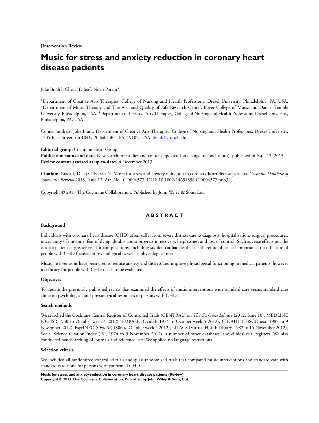**[Intervention Review]**

# **Music for stress and anxiety reduction in coronary heart disease patients**

Joke Bradt<sup>1</sup>, Cheryl Dileo<sup>2</sup>, Noah Potvin<sup>3</sup>

<sup>1</sup>Department of Creative Arts Therapies, College of Nursing and Health Professions, Drexel University, Philadelphia, PA, USA. <sup>2</sup>Department of Music Therapy and The Arts and Quality of Life Research Center, Boyer College of Music and Dance, Temple University, Philadelphia, USA. <sup>3</sup>Department of Creative Arts Therapies, College of Nursing and Health Professions, Drexel University, Philadelphia, PA, USA

Contact address: Joke Bradt, Department of Creative Arts Therapies, College of Nursing and Health Professions, Drexel University, 1505 Race Street, rm 1041, Philadelphia, PA, 19102, USA. [jbradt@drexel.edu](mailto:jbradt@drexel.edu).

**Editorial group:** Cochrane Heart Group.

**Publication status and date:** New search for studies and content updated (no change to conclusions), published in Issue 12, 2013. **Review content assessed as up-to-date:** 4 December 2013.

**Citation:** Bradt J, Dileo C, Potvin N. Music for stress and anxiety reduction in coronary heart disease patients. *Cochrane Database of Systematic Reviews* 2013, Issue 12. Art. No.: CD006577. DOI: 10.1002/14651858.CD006577.pub3.

Copyright © 2013 The Cochrane Collaboration. Published by John Wiley & Sons, Ltd.

## **A B S T R A C T**

#### **Background**

Individuals with coronary heart disease (CHD) often suffer from severe distress due to diagnosis, hospitalization, surgical procedures, uncertainty of outcome, fear of dying, doubts about progress in recovery, helplessness and loss of control. Such adverse effects put the cardiac patient at greater risk for complications, including sudden cardiac death. It is therefore of crucial importance that the care of people with CHD focuses on psychological as well as physiological needs.

Music interventions have been used to reduce anxiety and distress and improve physiological functioning in medical patients; however its efficacy for people with CHD needs to be evaluated.

## **Objectives**

To update the previously published review that examined the effects of music interventions with standard care versus standard care alone on psychological and physiological responses in persons with CHD.

#### **Search methods**

We searched the Cochrane Central Register of Controlled Trials (CENTRAL) on *The Cochrane Library* (2012, Issue 10), MEDLINE (OvidSP, 1950 to October week 4 2012), EMBASE (OvidSP, 1974 to October week 5 2012), CINAHL (EBSCOhost, 1982 to 9 November 2012), PsycINFO (OvidSP, 1806 to October week 5 2012), LILACS (Virtual Health Library, 1982 to 15 November 2012), Social Science Citation Index (ISI, 1974 to 9 November 2012), a number of other databases, and clinical trial registers. We also conducted handsearching of journals and reference lists. We applied no language restrictions.

## **Selection criteria**

We included all randomized controlled trials and quasi-randomized trials that compared music interventions and standard care with standard care alone for persons with confirmed CHD.

**Music for stress and anxiety reduction in coronary heart disease patients (Review) 1 Copyright © 2013 The Cochrane Collaboration. Published by John Wiley & Sons, Ltd.**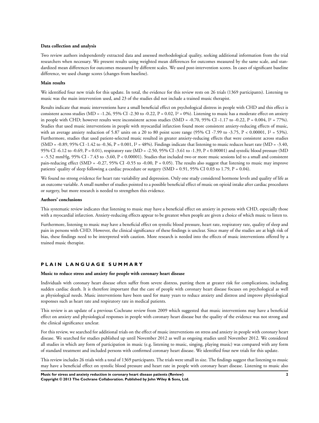#### **Data collection and analysis**

Two review authors independently extracted data and assessed methodological quality, seeking additional information from the trial researchers when necessary. We present results using weighted mean differences for outcomes measured by the same scale, and standardized mean differences for outcomes measured by different scales. We used post-intervention scores. In cases of significant baseline difference, we used change scores (changes from baseline).

#### **Main results**

We identified four new trials for this update. In total, the evidence for this review rests on 26 trials (1369 participants). Listening to music was the main intervention used, and 23 of the studies did not include a trained music therapist.

Results indicate that music interventions have a small beneficial effect on psychological distress in people with CHD and this effect is consistent across studies (MD = -1.26, 95% CI -2.30 to -0.22,  $P = 0.02$ ,  $I^2 = 0\%$ ). Listening to music has a moderate effect on anxiety in people with CHD; however results were inconsistent across studies (SMD = -0.70, 95% CI -1.17 to -0.22, P = 0.004, I<sup>2</sup> = 77%). Studies that used music interventions in people with myocardial infarction found more consistent anxiety-reducing effects of music, with an average anxiety reduction of 5.87 units on a 20 to 80 point score range (95% CI -7.99 to -3.75, P < 0.00001, I<sup>2</sup> = 53%). Furthermore, studies that used patient-selected music resulted in greater anxiety-reducing effects that were consistent across studies  $(SMD = -0.89, 95\% \text{ CI} -1.42 \text{ to } -0.36, P = 0.001, I^2 = 48\%).$  Findings indicate that listening to music reduces heart rate (MD = -3.40, 95% CI -6.12 to -0.69, P = 0.01), respiratory rate (MD = -2.50, 95% CI -3.61 to -1.39, P < 0.00001) and systolic blood pressure (MD = -5.52 mmHg, 95% CI - 7.43 to -3.60, P < 0.00001). Studies that included two or more music sessions led to a small and consistent pain-reducing effect (SMD = -0.27, 95% CI -0.55 to -0.00, P = 0.05). The results also suggest that listening to music may improve patients' quality of sleep following a cardiac procedure or surgery (SMD = 0.91, 95% CI 0.03 to 1.79, P = 0.04).

We found no strong evidence for heart rate variability and depression. Only one study considered hormone levels and quality of life as an outcome variable. A small number of studies pointed to a possible beneficial effect of music on opioid intake after cardiac procedures or surgery, but more research is needed to strengthen this evidence.

#### **Authors' conclusions**

This systematic review indicates that listening to music may have a beneficial effect on anxiety in persons with CHD, especially those with a myocardial infarction. Anxiety-reducing effects appear to be greatest when people are given a choice of which music to listen to.

Furthermore, listening to music may have a beneficial effect on systolic blood pressure, heart rate, respiratory rate, quality of sleep and pain in persons with CHD. However, the clinical significance of these findings is unclear. Since many of the studies are at high risk of bias, these findings need to be interpreted with caution. More research is needed into the effects of music interventions offered by a trained music therapist.

## **P L A I N L A N G U A G E S U M M A R Y**

## **Music to reduce stress and anxiety for people with coronary heart disease**

Individuals with coronary heart disease often suffer from severe distress, putting them at greater risk for complications, including sudden cardiac death. It is therefore important that the care of people with coronary heart disease focuses on psychological as well as physiological needs. Music interventions have been used for many years to reduce anxiety and distress and improve physiological responses such as heart rate and respiratory rate in medical patients.

This review is an update of a previous Cochrane review from 2009 which suggested that music interventions may have a beneficial effect on anxiety and physiological responses in people with coronary heart disease but the quality of the evidence was not strong and the clinical significance unclear.

For this review, we searched for additional trials on the effect of music interventions on stress and anxiety in people with coronary heart disease. We searched for studies published up until November 2012 as well as ongoing studies until November 2012. We considered all studies in which any form of participation in music (e.g. listening to music, singing, playing music) was compared with any form of standard treatment and included persons with confirmed coronary heart disease. We identified four new trials for this update.

This review includes 26 trials with a total of 1369 participants. The trials were small in size. The findings suggest that listening to music may have a beneficial effect on systolic blood pressure and heart rate in people with coronary heart disease. Listening to music also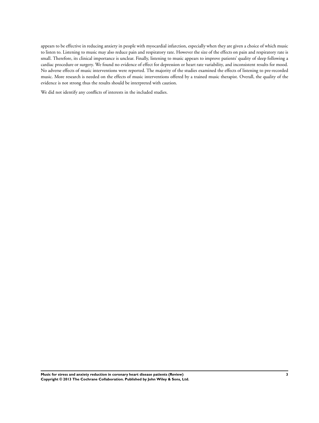appears to be effective in reducing anxiety in people with myocardial infarction, especially when they are given a choice of which music to listen to. Listening to music may also reduce pain and respiratory rate. However the size of the effects on pain and respiratory rate is small. Therefore, its clinical importance is unclear. Finally, listening to music appears to improve patients' quality of sleep following a cardiac procedure or surgery. We found no evidence of effect for depression or heart rate variability, and inconsistent results for mood. No adverse effects of music interventions were reported. The majority of the studies examined the effects of listening to pre-recorded music. More research is needed on the effects of music interventions offered by a trained music therapist. Overall, the quality of the evidence is not strong thus the results should be interpreted with caution.

We did not identify any conflicts of interests in the included studies.

**Music for stress and anxiety reduction in coronary heart disease patients (Review) 3 Copyright © 2013 The Cochrane Collaboration. Published by John Wiley & Sons, Ltd.**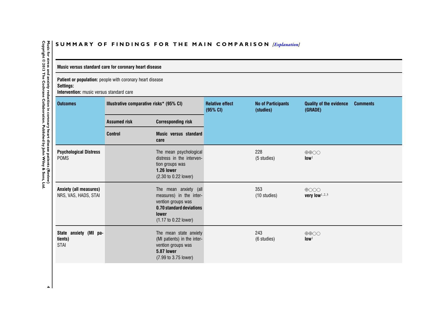# <span id="page-5-0"></span>SUMMARY OF FINDINGS FOR THE MAIN COMPARISON *[\[Explanation\]](http://www.thecochranelibrary.com/view/0/SummaryFindings.html)*

## **Music versus standard care for coronary heart disease**

**Patient or population:** people with coronary heart disease **Settings:**

**Intervention:** music versus standard care

| <b>Outcomes</b>                                       | Illustrative comparative risks* (95% CI) |                                                                                                                                                               | <b>Relative effect</b><br>(95% CI) | <b>No of Participants</b><br>(studies) | <b>Quality of the evidence</b><br>(GRADE)             | <b>Comments</b> |
|-------------------------------------------------------|------------------------------------------|---------------------------------------------------------------------------------------------------------------------------------------------------------------|------------------------------------|----------------------------------------|-------------------------------------------------------|-----------------|
|                                                       | <b>Assumed risk</b>                      | <b>Corresponding risk</b>                                                                                                                                     |                                    |                                        |                                                       |                 |
|                                                       | <b>Control</b>                           | Music versus standard<br>care                                                                                                                                 |                                    |                                        |                                                       |                 |
| <b>Psychological Distress</b><br><b>POMS</b>          |                                          | The mean psychological<br>distress in the interven-<br>tion groups was<br>1.26 lower<br>(2.30 to 0.22 lower)                                                  |                                    | 228<br>(5 studies)                     | $\oplus \oplus \odot \odot$<br>low <sup>1</sup>       |                 |
| <b>Anxiety (all measures)</b><br>NRS, VAS, HADS, STAI |                                          | The mean anxiety (all<br>measures) in the inter-<br>vention groups was<br>0.70 standard deviations<br><b>lower</b><br>$(1.17 \text{ to } 0.22 \text{ lower})$ |                                    | 353<br>(10 studies)                    | $\bigoplus$<br>very low $1,2,3$                       |                 |
| State anxiety (MI pa-<br>tients)<br><b>STAI</b>       |                                          | The mean state anxiety<br>(MI patients) in the inter-<br>vention groups was<br><b>5.87 lower</b><br>(7.99 to 3.75 lower)                                      |                                    | 243<br>(6 studies)                     | $\oplus \oplus \bigcirc \bigcirc$<br>low <sup>1</sup> |                 |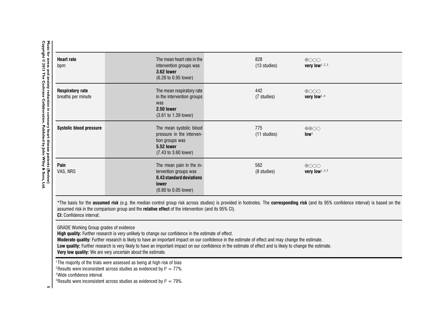| <b>Heart rate</b><br>bpm                                                                                     | The mean heart rate in the<br>intervention groups was<br><b>3.62 lower</b><br>(6.28 to 0.95 lower)                                                                                                                                                                                                                                                                                                                     | 828<br>(13 studies) | $\bigoplus$ 000<br>very $low1,2,3$                                                                                                                                                     |
|--------------------------------------------------------------------------------------------------------------|------------------------------------------------------------------------------------------------------------------------------------------------------------------------------------------------------------------------------------------------------------------------------------------------------------------------------------------------------------------------------------------------------------------------|---------------------|----------------------------------------------------------------------------------------------------------------------------------------------------------------------------------------|
| <b>Respiratory rate</b><br>breaths per minute                                                                | The mean respiratory rate<br>in the intervention groups<br>was<br><b>2.50 lower</b><br>(3.61 to 1.39 lower)                                                                                                                                                                                                                                                                                                            | 442<br>(7 studies)  | $\bigoplus$<br>very low <sup>1,4</sup>                                                                                                                                                 |
| <b>Systolic blood pressure</b>                                                                               | The mean systolic blood<br>pressure in the interven-<br>tion groups was<br><b>5.52 lower</b><br>(7.43 to 3.60 lower)                                                                                                                                                                                                                                                                                                   | 775<br>(11 studies) | $\oplus \oplus \bigcirc \bigcirc$<br>low <sup>1</sup>                                                                                                                                  |
| Pain<br>VAS, NRS                                                                                             | The mean pain in the in-<br>tervention groups was<br>0.43 standard deviations<br><b>lower</b><br>(0.80 to 0.05 lower)                                                                                                                                                                                                                                                                                                  | 562<br>(8 studies)  | $\bigoplus$<br>very $low1,3,5$                                                                                                                                                         |
| CI: Confidence interval;                                                                                     | assumed risk in the comparison group and the relative effect of the intervention (and its 95% CI).                                                                                                                                                                                                                                                                                                                     |                     | *The basis for the assumed risk (e.g. the median control group risk across studies) is provided in footnotes. The corresponding risk (and its 95% confidence interval) is based on the |
| <b>GRADE Working Group grades of evidence</b><br>Very low quality: We are very uncertain about the estimate. | High quality: Further research is very unlikely to change our confidence in the estimate of effect.<br>Moderate quality: Further research is likely to have an important impact on our confidence in the estimate of effect and may change the estimate.<br>Low quality: Further research is very likely to have an important impact on our confidence in the estimate of effect and is likely to change the estimate. |                     |                                                                                                                                                                                        |

<sup>3</sup>Wide confidence interval

4Results were inconsistent across studies as evidenced by  $I^2 = 79\%$ .

 $\mathsf{u}$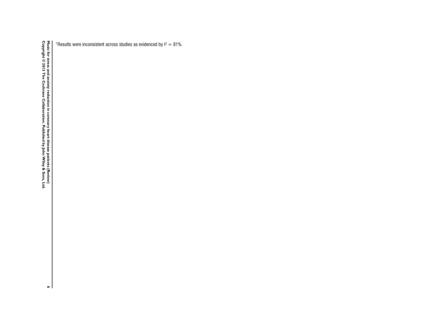| Copyright © 2013 The Cochrane Collaboration. Published by John Wiley & Sons, Ltd. | $\ddot{\phantom{a}}$<br>Ausic for stress and anxiety reduction in coronary heart disease patients (Review) |  |
|-----------------------------------------------------------------------------------|------------------------------------------------------------------------------------------------------------|--|
|                                                                                   |                                                                                                            |  |

 $\frac{6}{5}$   $\frac{3}{5}$  | <sup>5</sup>Results were inconsistent across studies as evidenced by  $I^2 = 81\%$ .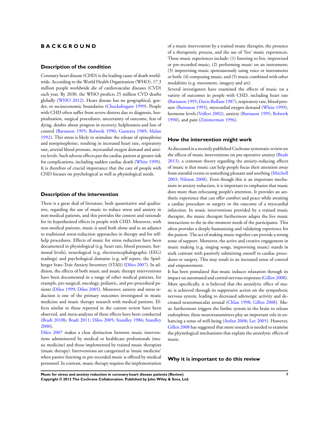## <span id="page-8-0"></span>**B A C K G R O U N D**

#### **Description of the condition**

Coronary heart disease (CHD) is the leading cause of death worldwide. According to the World Health Organization (WHO), 17.3 million people worldwide die of cardiovascular diseases (CVD) each year. By 2030, the WHO predicts 25 million CVD deaths globally [\(WHO 2012](#page-26-0)). Heart disease has no geographical, gender, or socioeconomic boundaries [\(Chockalingam 1999\)](#page-26-0). People with CHD often suffer from severe distress due to diagnosis, hospitalization, surgical procedures, uncertainty of outcome, fear of dying, doubts about progress in recovery, helplessness and loss of control [\(Barnason 1995;](#page-26-0) [Bolwerk 1990](#page-26-0); [Guzzetta 1989](#page-26-0); [Malan](#page-26-0) [1992](#page-26-0)). This stress is likely to stimulate the release of epinephrine and norepinephrine, resulting in increased heart rate, respiratory rate, arterial blood pressure, myocardial oxygen demand and anxiety levels. Such adverse effects put the cardiac patient at greater risk for complications, including sudden cardiac death [\(White 1999](#page-26-0)). It is therefore of crucial importance that the care of people with CHD focuses on psychological as well as physiological needs.

#### **Description of the intervention**

There is a great deal of literature, both quantitative and qualitative, regarding the use of music to reduce stress and anxiety in non-medical patients, and this provides the context and rationale for its hypothesized effects in people with CHD. Moreover, with non-medical patients, music is used both alone and as an adjunct to traditional stress-reduction approaches in therapy and for selfhelp procedures. Effects of music for stress reduction have been documented in physiological (e.g. heart rate, blood pressure, hormonal levels), neurological (e.g. electroencephalographic (EEG) readings) and psychological domains (e.g. self report, the Spielberger State-Trait Anxiety Inventory (STAI)) [\(Dileo 2007](#page-26-0)). In addition, the effects of both music and music therapy interventions have been documented in a range of other medical patients, for example, pre-surgical, oncology, pediatric, and pre-procedural patients [\(Dileo 1999](#page-26-0); [Dileo 2005](#page-26-0)). Moreover, anxiety and stress reduction is one of the primary outcomes investigated in music medicine and music therapy research with medical patients. Effects similar to those reported in the current review have been observed, and meta-analyses of these effects have been conducted [\(Bradt 2010b](#page-26-0); [Bradt 2011;](#page-26-0) [Dileo 2005](#page-26-0); [Standley 1986;](#page-26-0) [Standley](#page-26-0) [2000](#page-26-0)).

[Dileo 2007](#page-26-0) makes a clear distinction between music interventions administered by medical or healthcare professionals (music medicine) and those implemented by trained music therapists (music therapy). Interventions are categorized as 'music medicine' when passive listening to pre-recorded music is offered by medical personnel. In contrast, music therapy requires the implementation

of a music intervention by a trained music therapist, the presence of a therapeutic process, and the use of 'live' music experiences. These music experiences include: (1) listening to live, improvised or pre-recorded music; (2) performing music on an instrument; (3) improvising music spontaneously using voice or instruments or both; (4) composing music; and (5) music combined with other modalities (e.g. movement, imagery and art).

Several investigators have examined the effects of music on a variety of outcomes in people with CHD, including heart rate (Barnason 1995; Davis-Rollans 1987), respiratory rate, blood pressure [\(Barnason 1995](#page-26-0)), myocardial oxygen demand [\(White 1999](#page-26-0)), hormone levels ([Vollert 2002\)](#page-26-0), anxiety [\(Barnason 1995;](#page-26-0) [Bolwerk](#page-26-0) [1990](#page-26-0)), and pain [\(Zimmerman 1996](#page-26-0)).

## **How the intervention might work**

As discussed in a recently published Cochrane systematic review on the effects of music interventions on pre-operative anxiety ([Bradt](#page-26-0) [2013](#page-26-0)), a common theory regarding the anxiety-reducing effects of music is that music can help people focus their attention away from stressful events to something pleasant and soothing ([Mitchell](#page-26-0) [2003](#page-26-0); [Nilsson 2008\)](#page-26-0). Even though this is an important mechanism in anxiety reduction, it is important to emphasize that music does more than refocusing people's attention. It provides an aesthetic experience that can offer comfort and peace while awaiting a cardiac procedure or surgery or the outcome of a myocardial infarction. In music interventions provided by a trained music therapist, the music therapist furthermore adapts the live music interactions to the in-the-moment needs of the participants. This often provides a deeply humanizing and validating experience for the patient. The act of making music together can provide a strong sense of support. Moreover, the active and creative engagement in music making (e.g. singing songs, improvising music) stands in stark contrast with passively submitting oneself to cardiac procedures or surgery. This may result in an increased sense of control and empowerment.

It has been postulated that music induces relaxation through its impact on automated and central nervous responses ([Gillen 2008](#page-26-0)). More specifically, it is believed that the anxiolytic effect of music is achieved through its suppressive action on the sympathetic nervous system, leading to decreased adrenergic activity and decreased neuromuscular arousal [\(Chlan 1998;](#page-26-0) [Gillen 2008\)](#page-26-0). Music furthermore triggers the limbic system in the brain to release endorphins; these neurotransmitters play an important role in enhancing a sense of well-being ([Arslan 2008](#page-26-0); [Lee 2005](#page-26-0)). However, [Gillen 2008](#page-26-0) has suggested that more research is needed to examine the physiological mechanisms that explain the anxiolytic effects of music.

#### **Why it is important to do this review**

**Music for stress and anxiety reduction in coronary heart disease patients (Review) 7 Copyright © 2013 The Cochrane Collaboration. Published by John Wiley & Sons, Ltd.**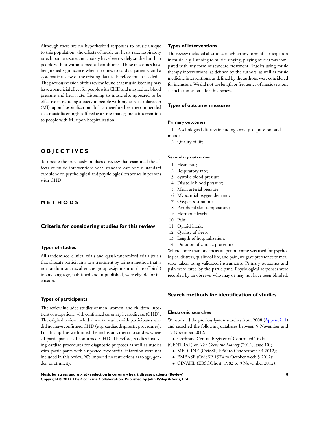Although there are no hypothesized responses to music unique to this population, the effects of music on heart rate, respiratory rate, blood pressure, and anxiety have been widely studied both in people with or without medical conditions. These outcomes have heightened significance when it comes to cardiac patients, and a systematic review of the existing data is therefore much needed. The previous version of this review found that music listening may have a beneficial effect for people with CHD and may reduce blood pressure and heart rate. Listening to music also appeared to be effective in reducing anxiety in people with myocardial infarction (MI) upon hospitalization. It has therefore been recommended that music listening be offered as a stress management intervention to people with MI upon hospitalization.

## **O B J E C T I V E S**

To update the previously published review that examined the effects of music interventions with standard care versus standard care alone on psychological and physiological responses in persons with CHD.

## **M E T H O D S**

#### **Criteria for considering studies for this review**

#### **Types of studies**

All randomized clinical trials and quasi-randomized trials (trials that allocate participants to a treatment by using a method that is not random such as alternate group assignment or date of birth) in any language, published and unpublished, were eligible for inclusion.

#### **Types of participants**

The review included studies of men, women, and children, inpatient or outpatient, with confirmed coronary heart disease (CHD). The original review included several studies with participants who did not have confirmed CHD (e.g., cardiac diagnostic procedures). For this update we limited the inclusion criteria to studies where all participants had confirmed CHD. Therefore, studies involving cardiac procedures for diagnostic purposes as well as studies with participants with suspected myocardial infarction were not included in this review. We imposed no restrictions as to age, gender, or ethnicity.

#### **Types of interventions**

The review included all studies in which any form of participation in music (e.g. listening to music, singing, playing music) was compared with any form of standard treatment. Studies using music therapy interventions, as defined by the authors, as well as music medicine interventions, as defined by the authors, were considered for inclusion. We did not use length or frequency of music sessions as inclusion criteria for this review.

## **Types of outcome measures**

#### **Primary outcomes**

1. Psychological distress including anxiety, depression, and mood;

2. Quality of life.

#### **Secondary outcomes**

- 1. Heart rate;
- 2. Respiratory rate;
- 3. Systolic blood pressure;
- 4. Diastolic blood pressure;
- 5. Mean arterial pressure;
- 6. Myocardial oxygen demand;
- 7. Oxygen saturation;
- 8. Peripheral skin temperature;
- 9. Hormone levels;
- 10. Pain;
- 11. Opioid intake;
- 12. Quality of sleep;
- 13. Length of hospitalization;
- 14. Duration of cardiac procedure.

Where more than one measure per outcome was used for psychological distress, quality of life, and pain, we gave preference to measures taken using validated instruments. Primary outcomes and pain were rated by the participant. Physiological responses were recorded by an observer who may or may not have been blinded.

## **Search methods for identification of studies**

#### **Electronic searches**

We updated the previously-run searches from 2008 ([Appendix 1](#page-92-0)) and searched the following databases between 5 November and 15 November 2012:

- Cochrane Central Register of Controlled Trials
- (CENTRAL) on *The Cochrane Library* (2012, Issue 10);
	- MEDLINE (OvidSP, 1950 to October week 4 2012);
	- EMBASE (OvidSP, 1974 to October week 5 2012);
	- CINAHL (EBSCOhost, 1982 to 9 November 2012);

**Music for stress and anxiety reduction in coronary heart disease patients (Review) 8 Copyright © 2013 The Cochrane Collaboration. Published by John Wiley & Sons, Ltd.**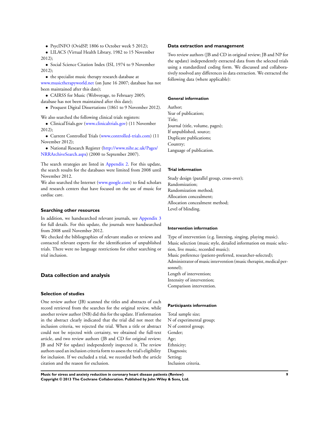• PsycINFO (OvidSP, 1806 to October week 5 2012);

• LILACS (Virtual Health Library, 1982 to 15 November 2012);

• Social Science Citation Index (ISI, 1974 to 9 November  $2012$ 

• the specialist music therapy research database at [www.musictherapyworld.net](http://www.musictherapyworld.net) (on June 16 2007; database has not been maintained after this date);

• CAIRSS for Music (Webvoyage, to February 2005; database has not been maintained after this date);

• Proquest Digital Dissertations (1861 to 9 November 2012).

We also searched the following clinical trials registers:

• ClinicalTrials.gov ([www.clinicaltrials.gov](http://www.clinicaltrials.gov)) (11 November 2012);

• Current Controlled Trials ([www.controlled-trials.com](http://www.controlled-trials.com)) (11 November 2012);

• National Research Register ([http://www.nihr.ac.uk/Pages/](http://www.nihr.ac.uk/Pages/NRRArchiveSearch.aspx) [NRRArchiveSearch.aspx](http://www.nihr.ac.uk/Pages/NRRArchiveSearch.aspx)) (2000 to September 2007).

The search strategies are listed in [Appendix 2.](#page-97-0) For this update, the search results for the databases were limited from 2008 until November 2012.

We also searched the Internet ([www.google.com](http://www.google.com)) to find scholars and research centers that have focused on the use of music for cardiac care.

#### **Searching other resources**

In addition, we handsearched relevant journals, see [Appendix 3](#page-103-0) for full details. For this update, the journals were handsearched from 2008 until November 2012.

We checked the bibliographies of relevant studies or reviews and contacted relevant experts for the identification of unpublished trials. There were no language restrictions for either searching or trial inclusion.

#### **Data collection and analysis**

## **Selection of studies**

One review author (JB) scanned the titles and abstracts of each record retrieved from the searches for the original review, while another review author (NB) did this for the update. If information in the abstract clearly indicated that the trial did not meet the inclusion criteria, we rejected the trial. When a title or abstract could not be rejected with certainty, we obtained the full-text article, and two review authors (JB and CD for original review; JB and NP for update) independently inspected it. The review authors used an inclusion criteria form to assess the trial's eligibility for inclusion. If we excluded a trial, we recorded both the article citation and the reason for exclusion.

#### **Data extraction and management**

Two review authors (JB and CD in original review; JB and NP for the update) independently extracted data from the selected trials using a standardized coding form. We discussed and collaboratively resolved any differences in data extraction. We extracted the following data (where applicable):

#### **General information**

Author; Year of publication; Title; Journal (title, volume, pages); If unpublished, source; Duplicate publications; Country; Language of publication.

#### **Trial information**

Study design (parallel group, cross-over); Randomization; Randomization method; Allocation concealment; Allocation concealment method; Level of blinding.

#### **Intervention information**

Type of intervention (e.g. listening, singing, playing music). Music selection (music style, detailed information on music selection, live music, recorded music); Music preference (patient-preferred, researcher-selected); Administrator of music intervention (music therapist, medical personnel); Length of intervention; Intensity of intervention; Comparison intervention.

#### **Participants information**

Total sample size; N of experimental group; N of control group; Gender; Age; Ethnicity; Diagnosis; Setting: Inclusion criteria.

**Music for stress and anxiety reduction in coronary heart disease patients (Review) 9 Copyright © 2013 The Cochrane Collaboration. Published by John Wiley & Sons, Ltd.**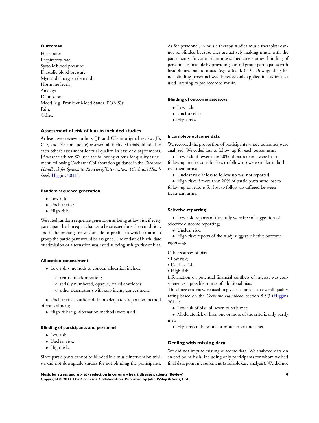#### **Outcomes**

Heart rate; Respiratory rate; Systolic blood pressure; Diastolic blood pressure; Myocardial oxygen demand; Hormone levels; Anxiety; Depression; Mood (e.g. Profile of Mood States (POMS)); Pain; Other.

## **Assessment of risk of bias in included studies**

At least two review authors (JB and CD in original review; JB, CD, and NP for update) assessed all included trials, blinded to each other's assessment for trial quality. In case of disagreements, JB was the arbiter. We used the following criteria for quality assessment, following Cochrane Collaboration guidance in the*Cochrane Handbook for Systematic Reviews of Interventions* (*Cochrane Handbook*: [Higgins 2011\)](#page-26-0):

#### **Random sequence generation**

- Low risk;
- Unclear risk;
- High risk.

We rated random sequence generation as being at low risk if every participant had an equal chance to be selected for either condition, and if the investigator was unable to predict to which treatment group the participant would be assigned. Use of date of birth, date of admission or alternation was rated as being at high risk of bias.

#### **Allocation concealment**

- Low risk methods to conceal allocation include:
	- central randomization;
	- serially numbered, opaque, sealed envelopes;
	- other descriptions with convincing concealment.

• Unclear risk - authors did not adequately report on method of concealment;

• High risk (e.g. alternation methods were used).

#### **Blinding of participants and personnel**

- Low risk;
- Unclear risk;
- High risk.

used listening to pre-recorded music. **Blinding of outcome assessors** • Low risk: • Unclear risk; • High risk.

#### **Incomplete outcome data**

We recorded the proportion of participants whose outcomes were analyzed. We coded loss to follow-up for each outcome as:

As for personnel, in music therapy studies music therapists cannot be blinded because they are actively making music with the participants. In contrast, in music medicine studies, blinding of personnel is possible by providing control group participants with headphones but no music (e.g. a blank CD). Downgrading for not blinding personnel was therefore only applied in studies that

• Low risk: if fewer than 20% of participants were lost to follow-up and reasons for loss to follow-up were similar in both treatment arms;

• Unclear risk: if loss to follow-up was not reported;

• High risk: if more than 20% of participants were lost to follow-up or reasons for loss to follow-up differed between treatment arms.

#### **Selective reporting**

• Low risk: reports of the study were free of suggestion of selective outcome reporting;

• Unclear risk;

• High risk: reports of the study suggest selective outcome reporting.

Other sources of bias

- Low risk;
- Unclear risk;
- High risk.

Information on potential financial conflicts of interest was considered as a possible source of additional bias.

The above criteria were used to give each article an overall quality rating based on the *Cochrane Handbook*, section 8.5.3 ([Higgins](#page-26-0) [2011](#page-26-0)):

- Low risk of bias: all seven criteria met;
- Moderate risk of bias: one or more of the criteria only partly met;
	- High risk of bias: one or more criteria not met.

#### **Dealing with missing data**

We did not impute missing outcome data. We analyzed data on an end point basis, including only participants for whom we had final data point measurement (available case analysis). We did not

Since participants cannot be blinded in a music intervention trial, we did not downgrade studies for not blinding the participants.

**Music for stress and anxiety reduction in coronary heart disease patients (Review) 10 Copyright © 2013 The Cochrane Collaboration. Published by John Wiley & Sons, Ltd.**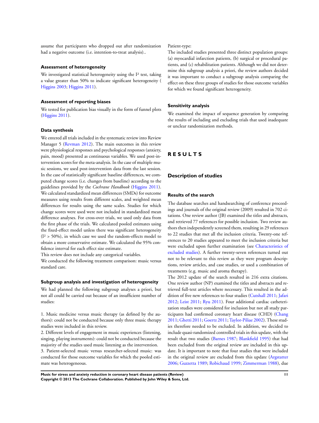assume that participants who dropped out after randomization had a negative outcome (i.e. intention-to-treat analysis)..

#### **Assessment of heterogeneity**

We investigated statistical heterogeneity using the I<sup>2</sup> test, taking a value greater than 50% to indicate significant heterogeneity ( [Higgins 2003;](#page-26-0) [Higgins 2011\)](#page-26-0).

## **Assessment of reporting biases**

We tested for publication bias visually in the form of funnel plots [\(Higgins 2011\)](#page-26-0).

#### **Data synthesis**

We entered all trials included in the systematic review into Review Manager 5 [\(Revman 2012](#page-26-0)). The main outcomes in this review were physiological responses and psychological responses (anxiety, pain, mood) presented as continuous variables. We used post-intervention scores for the meta-analysis. In the case of multiple music sessions, we used post-intervention data from the last session. In the case of statistically significant baseline differences, we computed change scores (i.e. changes from baseline) according to the guidelines provided by the *Cochrane Handbook* ([Higgins 2011](#page-26-0)). We calculated standardized mean differences (SMDs) for outcome measures using results from different scales, and weighted mean differences for results using the same scales. Studies for which change scores were used were not included in standardized mean difference analyses. For cross-over trials, we used only data from the first phase of the trials. We calculated pooled estimates using the fixed-effect model unless there was significant heterogeneity  $(I<sup>2</sup> > 50%)$ , in which case we used the random-effects model to obtain a more conservative estimate. We calculated the 95% confidence interval for each effect size estimate.

This review does not include any categorical variables.

We conducted the following treatment comparison: music versus standard care.

#### **Subgroup analysis and investigation of heterogeneity**

We had planned the following subgroup analyses a priori, but not all could be carried out because of an insufficient number of studies:

1. Music medicine versus music therapy (as defined by the authors): could not be conducted because only three music therapy studies were included in this review.

2. Different levels of engagement in music experiences (listening, singing, playing instruments): could not be conducted because the majority of the studies used music listening as the intervention.

3. Patient-selected music versus researcher-selected music: was conducted for those outcome variables for which the pooled estimate was heterogeneous.

Patient-type:

The included studies presented three distinct population groups: (a) myocardial infarction patients, (b) surgical or procedural patients, and (c) rehabilitation patients. Although we did not determine this subgroup analysis a priori, the review authors decided it was important to conduct a subgroup analysis comparing the effect on these three groups of studies for those outcome variables for which we found significant heterogeneity.

#### **Sensitivity analysis**

We examined the impact of sequence generation by comparing the results of including and excluding trials that used inadequate or unclear randomization methods.

## **R E S U L T S**

### **Description of studies**

## **Results of the search**

The database searches and handsearching of conference proceedings and journals of the original review (2009) resulted in 702 citations. One review author (JB) examined the titles and abstracts, and retrieved 77 references for possible inclusion. Two review authors then independently screened them, resulting in 29 references to 22 studies that met all the inclusion criteria. Twenty-one references to 20 studies appeared to meet the inclusion criteria but were excluded upon further examination (see [Characteristics of](#page-68-0) [excluded studies](#page-68-0)). A further twenty-seven references turned out not to be relevant to this review as they were program descriptions, review articles, and case studies, or used a combination of treatments (e.g. music and aroma therapy).

The 2012 update of the search resulted in 216 extra citations. One review author (NP) examined the titles and abstracts and retrieved full-text articles where necessary. This resulted in the addition of five new references to four studies ([Cutshall 2011;](#page-26-0) [Jafari](#page-26-0) [2012](#page-26-0); [Leist 2011;](#page-26-0) [Ryu 2011](#page-26-0)). Four additional cardiac catheterization studies were considered for inclusion but not all study participants had confirmed coronary heart disease (CHD) ([Chang](#page-26-0) [2011](#page-26-0); [Ghetti 2011](#page-26-0); [Goertz 2011](#page-26-0);[Taylor-Piliae 2002\)](#page-26-0). These studies therefore needed to be excluded. In addition, we decided to include quasi-randomized controlled trials in this update, with the result that two studies [\(Barnes 1987](#page-26-0); [Blankfield 1995\)](#page-26-0) that had been excluded from the original review are included in this update. It is important to note that four studies that were included in the original review are excluded from this update [\(Argstatter](#page-26-0) [2006](#page-26-0); [Guzzetta 1989;](#page-26-0) [Robichaud 1999](#page-26-0); [Zimmerman 1988](#page-26-0)), due

**Music for stress and anxiety reduction in coronary heart disease patients (Review) 11 Copyright © 2013 The Cochrane Collaboration. Published by John Wiley & Sons, Ltd.**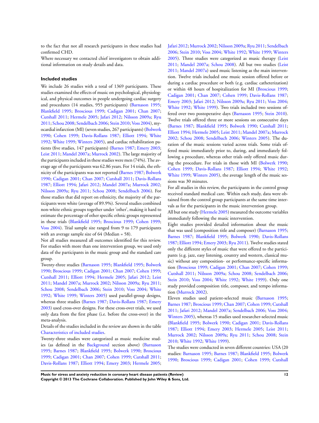to the fact that not all research participants in these studies had confirmed CHD.

Where necessary we contacted chief investigators to obtain additional information on study details and data.

#### **Included studies**

We include 26 studies with a total of 1369 participants. These studies examined the effects of music on psychological, physiological, and physical outcomes in people undergoing cardiac surgery and procedures (14 studies, 955 participants) [\(Barnason 1995;](#page-26-0) [Blankfield 1995](#page-26-0); [Broscious 1999;](#page-26-0) [Cadigan 2001;](#page-26-0) [Chan 2007;](#page-26-0) [Cutshall 2011](#page-26-0); [Hermele 2005](#page-26-0); [Jafari 2012](#page-26-0); [Nilsson 2009a](#page-26-0); [Ryu](#page-26-0) [2011](#page-26-0); [Schou 2008;](#page-26-0) [Sendelbach 2006](#page-26-0); [Stein 2010](#page-26-0); [Voss 2004\)](#page-26-0), myocardial infarction (MI) (seven studies, 267 participants) [\(Bolwerk](#page-26-0) [1990](#page-26-0); [Cohen 1999](#page-26-0); [Davis-Rollans 1987;](#page-26-0) [Elliott 1994](#page-26-0); [White](#page-26-0) [1992](#page-26-0); [White 1999;](#page-26-0) [Winters 2005\)](#page-26-0), and cardiac rehabilitation patients (five studies, 147 participants) ([Barnes 1987](#page-26-0); [Emery 2003;](#page-26-0) [Leist 2011;](#page-26-0) [Mandel 2007a](#page-26-0); [Murrock 2002\)](#page-26-0). The large majority of the participants included in these studies were men (74%). The average age of the participants was 62.86 years. For 14 trials, the ethnicity of the participants was not reported [\(Barnes 1987](#page-26-0); [Bolwerk](#page-26-0) [1990](#page-26-0); [Cadigan 2001;](#page-26-0) [Chan 2007](#page-26-0); [Cutshall 2011](#page-26-0); [Davis-Rollans](#page-26-0) [1987](#page-26-0); [Elliott 1994;](#page-26-0) [Jafari 2012;](#page-26-0) [Mandel 2007a](#page-26-0); [Murrock 2002;](#page-26-0) [Nilsson 2009a](#page-26-0); [Ryu 2011;](#page-26-0) [Schou 2008;](#page-26-0) [Sendelbach 2006](#page-26-0)). For those studies that did report on ethnicity, the majority of the participants were white (average of 89.9%). Several studies combined non-white ethnic groups together under 'other', making it hard to estimate the percentage of other specific ethnic groups represented in these trials ([Blankfield 1995;](#page-26-0) [Broscious 1999](#page-26-0); [Cohen 1999;](#page-26-0) [Voss 2004](#page-26-0)). Trial sample size ranged from 9 to 179 participants with an average sample size of 64 (Median = 58).

Not all studies measured all outcomes identified for this review. For studies with more than one intervention group, we used only data of the participants in the music group and the standard care group.

Twenty-three studies ([Barnason 1995;](#page-26-0) [Blankfield 1995;](#page-26-0) [Bolwerk](#page-26-0) [1990](#page-26-0); [Broscious 1999](#page-26-0); [Cadigan 2001](#page-26-0); [Chan 2007;](#page-26-0) [Cohen 1999;](#page-26-0) [Cutshall 2011;](#page-26-0) [Elliott 1994](#page-26-0); [Hermele 2005;](#page-26-0) [Jafari 2012;](#page-26-0) [Leist](#page-26-0) [2011](#page-26-0); [Mandel 2007a;](#page-26-0) [Murrock 2002](#page-26-0); [Nilsson 2009a;](#page-26-0) [Ryu 2011;](#page-26-0) [Schou 2008](#page-26-0); [Sendelbach 2006](#page-26-0); [Stein 2010;](#page-26-0) [Voss 2004](#page-26-0); [White](#page-26-0) [1992](#page-26-0); [White 1999;](#page-26-0) [Winters 2005](#page-26-0)) used parallel-group designs, whereas three studies [\(Barnes 1987](#page-26-0); [Davis-Rollans 1987](#page-26-0); [Emery](#page-26-0) [2003](#page-26-0)) used cross-over designs. For these cross-over trials, we used only data from the first phase (i.e. before the cross-over) in the meta-analysis.

Details of the studies included in the review are shown in the table [Characteristics of included studies.](#page-31-0)

Twenty-three studies were categorized as music medicine studies (as defined in the [Background](#page-8-0) section above) ([Barnason](#page-26-0) [1995](#page-26-0); [Barnes 1987](#page-26-0); [Blankfield 1995;](#page-26-0) [Bolwerk 1990](#page-26-0); [Broscious](#page-26-0) [1999](#page-26-0); [Cadigan 2001](#page-26-0); [Chan 2007](#page-26-0); [Cohen 1999;](#page-26-0) [Cutshall 2011;](#page-26-0) [Davis-Rollans 1987;](#page-26-0) [Elliott 1994;](#page-26-0) [Emery 2003;](#page-26-0) [Hermele 2005;](#page-26-0) [Jafari 2012;](#page-26-0) [Murrock 2002;](#page-26-0) [Nilsson 2009a;](#page-26-0) [Ryu 2011](#page-26-0); [Sendelbach](#page-26-0) [2006](#page-26-0); [Stein 2010](#page-26-0); [Voss 2004](#page-26-0); [White 1992;](#page-26-0) [White 1999](#page-26-0); [Winters](#page-26-0) [2005](#page-26-0)). Three studies were categorized as music therapy ([Leist](#page-26-0) [2011](#page-26-0); [Mandel 2007a;](#page-26-0) [Schou 2008\)](#page-26-0). All but two studies ([Leist](#page-26-0) [2011](#page-26-0); [Mandel 2007a\)](#page-26-0) used music listening as the main intervention. Twelve trials included one music session offered before or during a cardiac procedure or both (e.g. cardiac catheterization) or within 48 hours of hospitalization for MI [\(Broscious 1999;](#page-26-0) [Cadigan 2001;](#page-26-0) [Chan 2007](#page-26-0); [Cohen 1999;](#page-26-0) [Davis-Rollans 1987;](#page-26-0) [Emery 2003;](#page-26-0) [Jafari 2012](#page-26-0); [Nilsson 2009a;](#page-26-0) [Ryu 2011](#page-26-0); [Voss 2004;](#page-26-0) [White 1992](#page-26-0); [White 1999](#page-26-0)). Two trials included two sessions offered over two postoperative days [\(Barnason 1995;](#page-26-0) [Stein 2010](#page-26-0)). Twelve trials offered three or more sessions on consecutive days [\(Barnes 1987;](#page-26-0) [Blankfield 1995](#page-26-0); [Bolwerk 1990;](#page-26-0) [Cutshall 2011;](#page-26-0) [Elliott 1994;](#page-26-0) [Hermele 2005;](#page-26-0) [Leist 2011](#page-26-0); [Mandel 2007a](#page-26-0); [Murrock](#page-26-0) [2002](#page-26-0); [Schou 2008;](#page-26-0) [Sendelbach 2006;](#page-26-0) [Winters 2005](#page-26-0)). The duration of the music sessions varied across trials. Some trials offered music immediately prior to, during, and immediately following a procedure, whereas other trials only offered music during the procedure. For trials in those with MI ([Bolwerk 1990;](#page-26-0) [Cohen 1999;](#page-26-0) [Davis-Rollans 1987](#page-26-0); [Elliott 1994;](#page-26-0) [White 1992;](#page-26-0) [White 1999](#page-26-0); [Winters 2005](#page-26-0)), the average length of the music sessions was 30 minutes.

For all studies in this review, the participants in the control group received standard medical care. Within each study, data were obtained from the control group participants at the same time intervals as for the participants in the music intervention group.

All but one study ([Hermele 2005](#page-26-0)) measured the outcome variables immediately following the music intervention.

Eight studies provided detailed information about the music that was used (composition title and composer) [\(Barnason 1995;](#page-26-0) [Barnes 1987](#page-26-0); [Blankfield 1995](#page-26-0); [Bolwerk 1990;](#page-26-0) [Davis-Rollans](#page-26-0) [1987](#page-26-0); [Elliott 1994](#page-26-0); [Emery 2003;](#page-26-0) [Ryu 2011\)](#page-26-0). Twelve studies stated only the different styles of music that were offered to the participants (e.g. jazz, easy listening, country and western, classical music) without any composition- or performance-specific information ([Broscious 1999](#page-26-0); [Cadigan 2001;](#page-26-0) [Chan 2007;](#page-26-0) [Cohen 1999;](#page-26-0) [Cutshall 2011;](#page-26-0) [Nilsson 2009a;](#page-26-0) [Schou 2008;](#page-26-0) [Sendelbach 2006;](#page-26-0) [Stein 2010](#page-26-0); [Voss 2004;](#page-26-0) [White 1992](#page-26-0); [White 1999\)](#page-26-0). Only one study provided composition title, composer, and tempo information ([Murrock 2002\)](#page-26-0).

Eleven studies used patient-selected music [\(Barnason 1995;](#page-26-0) [Barnes 1987](#page-26-0); [Broscious 1999;](#page-26-0) [Chan 2007](#page-26-0); [Cohen 1999;](#page-26-0) [Cutshall](#page-26-0) [2011](#page-26-0); [Jafari 2012;](#page-26-0) [Mandel 2007a](#page-26-0); [Sendelbach 2006](#page-26-0); [Voss 2004;](#page-26-0) [Winters 2005](#page-26-0)), whereas 15 studies used researcher-selected music [\(Blankfield 1995;](#page-26-0) [Bolwerk 1990](#page-26-0); [Cadigan 2001](#page-26-0); [Davis-Rollans](#page-26-0) [1987](#page-26-0); [Elliott 1994](#page-26-0); [Emery 2003;](#page-26-0) [Hermele 2005](#page-26-0); [Leist 2011;](#page-26-0) [Murrock 2002;](#page-26-0) [Nilsson 2009a](#page-26-0); [Ryu 2011](#page-26-0); [Schou 2008;](#page-26-0) [Stein](#page-26-0) [2010](#page-26-0); [White 1992;](#page-26-0) [White 1999\)](#page-26-0).

The studies were conducted in seven different countries: USA (20 studies: [Barnason 1995;](#page-26-0) [Barnes 1987;](#page-26-0) [Blankfield 1995](#page-26-0); [Bolwerk](#page-26-0) [1990](#page-26-0); [Broscious 1999](#page-26-0); [Cadigan 2001;](#page-26-0) [Cohen 1999;](#page-26-0) [Cutshall](#page-26-0)

**Music for stress and anxiety reduction in coronary heart disease patients (Review) 12 Copyright © 2013 The Cochrane Collaboration. Published by John Wiley & Sons, Ltd.**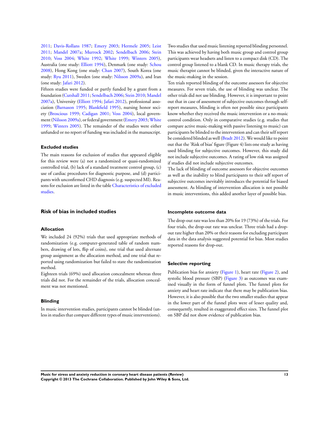[2011](#page-26-0); [Davis-Rollans 1987](#page-26-0); [Emery 2003;](#page-26-0) [Hermele 2005;](#page-26-0) [Leist](#page-26-0) [2011](#page-26-0); [Mandel 2007a](#page-26-0); [Murrock 2002;](#page-26-0) [Sendelbach 2006;](#page-26-0) [Stein](#page-26-0) [2010](#page-26-0); [Voss 2004](#page-26-0); [White 1992;](#page-26-0) [White 1999;](#page-26-0) [Winters 2005](#page-26-0)), Australia (one study: [Elliott 1994\)](#page-26-0), Denmark (one study: [Schou](#page-26-0) [2008](#page-26-0)), Hong Kong (one study: [Chan 2007](#page-26-0)), South Korea (one study: [Ryu 2011\)](#page-26-0), Sweden (one study: [Nilsson 2009a\)](#page-26-0), and Iran (one study: [Jafari 2012\)](#page-26-0).

Fifteen studies were funded or partly funded by a grant from a foundation ([Cutshall 2011;](#page-26-0) [Sendelbach 2006](#page-26-0); [Stein 2010;](#page-26-0) [Mandel](#page-26-0) [2007a\)](#page-26-0), University ([Elliott 1994](#page-26-0); [Jafari 2012\)](#page-26-0), professional association [\(Barnason 1995;](#page-26-0) [Blankfield 1995](#page-26-0)), nursing honor society ([Broscious 1999;](#page-26-0) [Cadigan 2001](#page-26-0); [Voss 2004\)](#page-26-0), local govern-ment ([Nilsson 2009a\)](#page-26-0), or federal government (Emery 2003; White [1999](#page-26-0); [Winters 2005](#page-26-0)). The remainder of the studies were either unfunded or no report of funding was included in the manuscript.

#### **Excluded studies**

The main reasons for exclusion of studies that appeared eligible for this review were (a) not a randomized or quasi-randomized controlled trial, (b) lack of a standard treatment control group, (c) use of cardiac procedures for diagnostic purpose, and (d) participants with unconfirmed CHD diagnosis (e.g. suspected MI). Reasons for exclusion are listed in the table [Characteristics of excluded](#page-68-0) [studies.](#page-68-0)

#### **Risk of bias in included studies**

#### **Allocation**

We included 24 (92%) trials that used appropriate methods of randomization (e.g. computer-generated table of random numbers, drawing of lots, flip of coins), one trial that used alternate group assignment as the allocation method, and one trial that reported using randomization but failed to state the randomization method.

Eighteen trials (69%) used allocation concealment whereas three trials did not. For the remainder of the trials, allocation concealment was not mentioned.

#### **Blinding**

In music intervention studies, participants cannot be blinded (unless in studies that compare different types of music interventions). Two studies that used music listening reported blinding personnel. This was achieved by having both music group and control group participants wear headsets and listen to a compact disk (CD). The control group listened to a blank CD. In music therapy trials, the music therapist cannot be blinded, given the interactive nature of the music-making in the session.

Ten trials reported blinding of the outcome assessors for objective measures. For seven trials, the use of blinding was unclear. The other trials did not use blinding. However, it is important to point out that in case of assessment of subjective outcomes through selfreport measures, blinding is often not possible since participants know whether they received the music intervention or a no-music control condition. Only in comparative studies (e.g. studies that compare active music-making with passive listening to music) can participants be blinded to the intervention and can their selfreport be considered blinded as well [\(Bradt 2012](#page-26-0)). We would like to point out that the 'Risk of bias' figure (Figure 4) lists one study as having used blinding for subjective outcomes. However, this study did not include subjective outcomes. A rating of low risk was assigned if studies did not include subjective outcomes.

The lack of blinding of outcome assessors for objective outcomes as well as the inability to blind participants to their self report of subjective outcomes inevitably introduces the potential for biased assessment. As blinding of intervention allocation is not possible in music interventions, this added another layer of possible bias.

#### **Incomplete outcome data**

The drop-out rate was less than 20% for 19 (73%) of the trials. For four trials, the drop-out rate was unclear. Three trials had a dropout rate higher than 20% or their reasons for excluding participant data in the data analysis suggested potential for bias. Most studies reported reasons for drop-out.

#### **Selective reporting**

Publication bias for anxiety ([Figure 1\)](#page-15-0), heart rate ([Figure 2\)](#page-16-0), and systolic blood pressure (SBP) [\(Figure 3](#page-17-0)) as outcomes was examined visually in the form of funnel plots. The funnel plots for anxiety and heart rate indicate that there may be publication bias. However, it is also possible that the two smaller studies that appear in the lower part of the funnel plots were of lesser quality and, consequently, resulted in exaggerated effect sizes. The funnel plot on SBP did not show evidence of publication bias.

**Music for stress and anxiety reduction in coronary heart disease patients (Review) 13 Copyright © 2013 The Cochrane Collaboration. Published by John Wiley & Sons, Ltd.**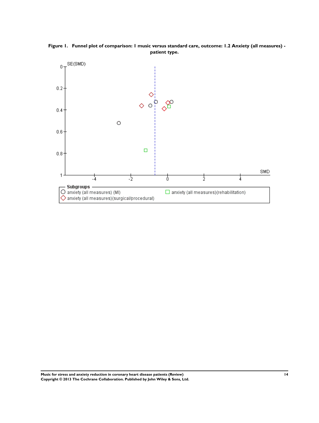

<span id="page-15-0"></span>**Figure 1. Funnel plot of comparison: 1 music versus standard care, outcome: 1.2 Anxiety (all measures) patient type.**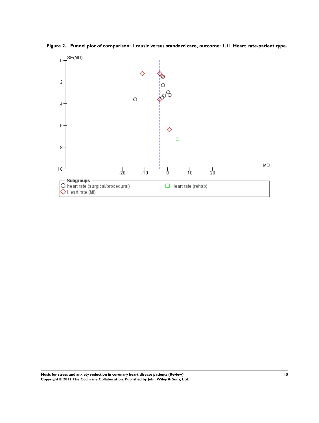<span id="page-16-0"></span>**Figure 2. Funnel plot of comparison: 1 music versus standard care, outcome: 1.11 Heart rate-patient type.**

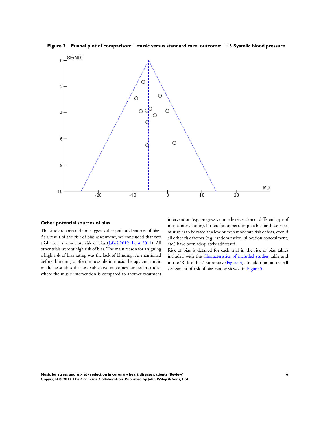<span id="page-17-0"></span>**Figure 3. Funnel plot of comparison: 1 music versus standard care, outcome: 1.15 Systolic blood pressure.**



#### **Other potential sources of bias**

The study reports did not suggest other potential sources of bias. As a result of the risk of bias assessment, we concluded that two trials were at moderate risk of bias [\(Jafari 2012](#page-26-0); [Leist 2011](#page-26-0)). All other trials were at high risk of bias. The main reason for assigning a high risk of bias rating was the lack of blinding. As mentioned before, blinding is often impossible in music therapy and music medicine studies that use subjective outcomes, unless in studies where the music intervention is compared to another treatment

intervention (e.g. progressive muscle relaxation or different type of music intervention). It therefore appears impossible for these types of studies to be rated at a low or even moderate risk of bias, even if all other risk factors (e.g. randomization, allocation concealment, etc.) have been adequately addressed.

Risk of bias is detailed for each trial in the risk of bias tables included with the [Characteristics of included studies](#page-31-0) table and in the 'Risk of bias' Summary [\(Figure 4](#page-18-0)). In addition, an overall assessment of risk of bias can be viewed in [Figure 5.](#page-19-0)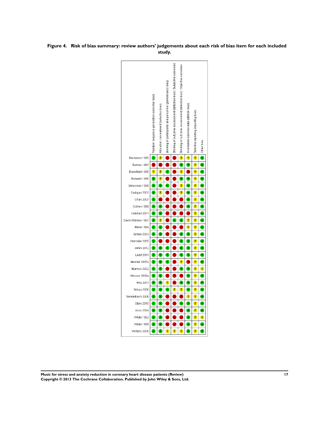

<span id="page-18-0"></span>**Figure 4. Risk of bias summary: review authors' judgements about each risk of bias item for each included study.**

**Music for stress and anxiety reduction in coronary heart disease patients (Review) 17 Copyright © 2013 The Cochrane Collaboration. Published by John Wiley & Sons, Ltd.**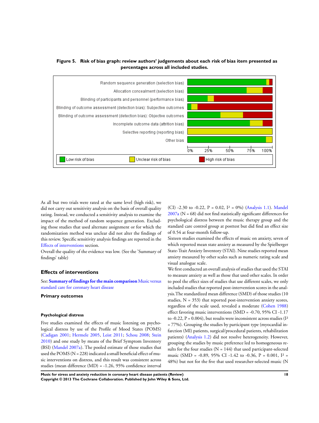<span id="page-19-0"></span>**Figure 5. Risk of bias graph: review authors' judgements about each risk of bias item presented as percentages across all included studies.**



As all but two trials were rated at the same level (high risk), we did not carry out sensitivity analysis on the basis of overall quality rating. Instead, we conducted a sensitivity analysis to examine the impact of the method of random sequence generation. Excluding those studies that used alternate assignment or for which the randomization method was unclear did not alter the findings of this review. Specific sensitivity analysis findings are reported in the Effects of interventions section.

Overall the quality of the evidence was low. (See the 'Summary of findings' table)

### **Effects of interventions**

See: **[Summary of findings for the main comparison](#page-5-0)** [Music versus](#page-5-0) [standard care for coronary heart disease](#page-5-0)

## **Primary outcomes**

#### **Psychological distress**

Five studies examined the effects of music listening on psychological distress by use of the Profile of Mood States (POMS) [\(Cadigan 2001](#page-26-0); [Hermele 2005](#page-26-0), [Leist 2011;](#page-26-0) [Schou 2008](#page-26-0); [Stein](#page-26-0) [2010](#page-26-0)) and one study by means of the Brief Symptom Inventory (BSI) [\(Mandel 2007a\)](#page-26-0). The pooled estimate of those studies that used the POMS (N = 228) indicated a small beneficial effect of music interventions on distress, and this result was consistent across studies (mean difference (MD) = -1.26, 95% confidence interval

(CI) -2.30 to -0.22,  $P = 0.02$ ,  $I^2 = 0\%$  ([Analysis 1.1](#page-73-0)). [Mandel](#page-26-0)  $2007a$  (N = 68) did not find statistically significant differences for psychological distress between the music therapy group and the standard care control group at posttest but did find an effect size of 0.54 at four-month follow-up.

Sixteen studies examined the effects of music on anxiety, seven of which reported mean state anxiety as measured by the Spielberger State-Trait Anxiety Inventory (STAI). Nine studies reported mean anxiety measured by other scales such as numeric rating scale and visual analogue scale.

We first conducted an overall analysis of studies that used the STAI to measure anxiety as well as those that used other scales. In order to pool the effect sizes of studies that use different scales, we only included studies that reported post-intervention scores in the analysis.The standardized mean difference (SMD) of those studies (10 studies,  $N = 353$ ) that reported post-intervention anxiety scores, regardless of the scale used, revealed a moderate ([Cohen 1988](#page-26-0)) effect favoring music interventions (SMD = -0.70, 95% CI -1.17 to -0.22,  $P = 0.004$ ), but results were inconsistent across studies ( $I<sup>2</sup>$ = 77%). Grouping the studies by participant type (myocardial infarction (MI) patients, surgical/procedural patients, rehabilitation patients) [\(Analysis 1.2\)](#page-74-0) did not resolve heterogeneity. However, grouping the studies by music preference led to homogeneous results for the four studies ( $N = 144$ ) that used participant-selected music (SMD = -0.89, 95% CI -1.42 to -0.36, P = 0.001,  $I^2$  = 48%) but not for the five that used researcher-selected music (N

**Music for stress and anxiety reduction in coronary heart disease patients (Review) 18 Copyright © 2013 The Cochrane Collaboration. Published by John Wiley & Sons, Ltd.**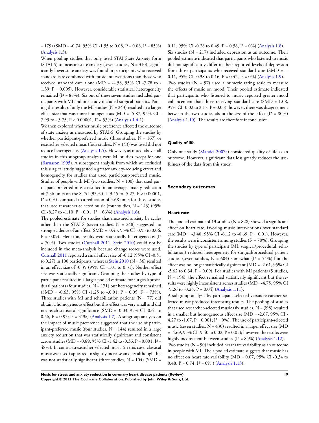$= 179$ ) (SMD = -0.74, 95% CI -1.55 to 0.08, P = 0.08, I<sup>2</sup> = 85%) [\(Analysis 1.3\)](#page-75-0).

When pooling studies that only used STAI State Anxiety form (STAI-S) to measure state anxiety (seven studies,  $N = 310$ ), significantly lower state anxiety was found in participants who received standard care combined with music interventions than those who received standard care alone (MD = -4.58, 95% CI -7.78 to - 1.39;  $P = 0.005$ ). However, considerable statistical heterogeneity remained  $(I^2 = 88\%)$ . Six out of these seven studies included participants with MI and one study included surgical patients. Pooling the results of only the MI studies  $(N = 243)$  resulted in a larger effect size that was more homogeneous (MD = -5.87, 95% CI - 7.99 to -.3.75,  $P < 0.00001$ ,  $I^2 = 53\%$  ([Analysis 1.4](#page-76-0).1).

We then explored whether music preference affected the outcome of state anxiety as measured by STAI-S. Grouping the studies by whether participant-preferred music (three studies,  $N = 167$ ) or researcher-selected music (four studies, N = 143) was used did not reduce heterogeneity [\(Analysis 1.5](#page-77-0)). However, as noted above, all studies in this subgroup analysis were MI studies except for one [\(Barnason 1995\)](#page-26-0). A subsequent analysis from which we excluded this surgical study suggested a greater anxiety-reducing effect and homogeneity for studies that used participant-preferred music. Studies of people with MI (two studies,  $N = 100$ ) that used participant-preferred music resulted in an average anxiety reduction of 7.36 units on the STAI (95% CI -9.45 to -5.27, P < 0.00001,  $I^2 = 0\%$  compared to a reduction of 4.68 units for those studies that used researcher-selected music (four studies,  $N = 143$ ) (95%) CI -8.27 to -1.10,  $P = 0.01$ ,  $I^2 = 66\%$  [\(Analysis 1.6](#page-78-0)).

The pooled estimate for studies that measured anxiety by scales other than the STAI-S (seven studies,  $N = 248$ ) suggested no strong evidence of an effect (SMD = -0.43, 95% CI -0.93 to 0.06,  $P = 0.09$ ). Here too, results were statistically heterogeneous (I<sup>2</sup>) = 70%). Two studies [\(Cutshall 2011](#page-26-0); [Stein 2010\)](#page-26-0) could not be included in the meta-analysis because change scores were used. [Cutshall 2011](#page-26-0) reported a small effect size of -0.12 (95% CI -0.51 to 0.27) in 100 participants, whereas [Stein 2010](#page-26-0) ( $N = 36$ ) resulted in an effect size of -0.35 (95% CI -1.01 to 0.31). Neither effect size was statistically significant. Grouping the studies by type of participant resulted in a larger pooled estimate for surgical/procedural patients (four studies,  $N = 171$ ) but heterogeneity remained  $(SMD = -0.63, 95\% \ CI -1.25 \ to -0.01, P = 0.05, I^2 = 73\%).$ Three studies with MI and rehabilitation patients ( $N = 77$ ) did obtain a homogeneous effect but this effect was very small and did not reach statistical significance (SMD = -0.03, 95% CI -0.61 to 0.56, P = 0.93; I² = 31%) [\(Analysis 1.7](#page-79-0)). A subgroup analysis on the impact of music preference suggested that the use of participant-preferred music (four studies, N = 144) resulted in a large anxiety reduction that was statistically significant and consistent across studies (MD = -0.89, 95% CI -1.42 to -0.36, P = 0.001, I² = 48%). In contrast,researcher-selected music (in this case, classical music was used) appeared to slightly increase anxiety although this was not statistically significant (three studies,  $N = 104$ ) (SMD =

0.11, 95% CI -0.28 to 0.49, P = 0.58, I<sup>2</sup> = 0%) ([Analysis 1.8\)](#page-80-0). Six studies ( $N = 217$ ) included depression as an outcome. Their pooled estimate indicated that participants who listened to music did not significantly differ in their reported levels of depression from those participants who received standard care (SMD = - 0.11, 95% CI -0.38 to 0.16,  $P = 0.42$ ,  $I^2 = 0$ %) ([Analysis 1.9\)](#page-81-0).

Two studies  $(N = 97)$  used a numeric rating scale to measure the effects of music on mood. Their pooled estimate indicated that participants who listened to music reported greater mood enhancement than those receiving standard care (SMD = 1.08, 95% CI -0.02 to 2.17,  $P = 0.05$ ; however, there was disagreement between the two studies about the size of the effect  $(I^2 = 80\%)$ [\(Analysis 1.10](#page-82-0)). The results are therefore inconclusive.

#### **Quality of life**

Only one study ([Mandel 2007a](#page-26-0)) considered quality of life as an outcome. However, significant data loss greatly reduces the usefulness of the data from this study.

#### **Secondary outcomes**

#### **Heart rate**

The pooled estimate of 13 studies ( $N = 828$ ) showed a significant effect on heart rate, favoring music interventions over standard care (MD =  $-3.40$ , 95% CI  $-6.12$  to  $-0.69$ , P = 0.01). However, the results were inconsistent among studies ( $I^2 = 78\%$ ). Grouping the studies by type of participant (MI, surgical/procedural, rehabilitation) reduced heterogeneity for surgical/procedural patient studies (seven studies,  $N = 604$ ) somewhat (I<sup>2</sup> = 54%) but the effect was no longer statistically significant (MD = -2.61, 95% CI -5.62 to 0.34,  $P = 0.09$ ). For studies with MI patients (5 studies, N = 194), the effect remained statistically significant but the results were highly inconsistent across studies (MD =-4.75, 95% CI  $-9.26$  to  $-0.25$ ,  $P = 0.04$ ) [\(Analysis 1.11\)](#page-83-0).

A subgroup analysis by participant-selected versus researcher-selected music produced interesting results. The pooling of studies that used researcher-selected music (six studies,  $N = 398$ ) resulted in a smaller but homogeneous effect size (MD = -2.67, 95% CI - 4.27 to -1.07,  $P = 0.001$ ;  $I^2 = 0\%$ ). The use of participant-selected music (seven studies,  $N = 430$ ) resulted in a larger effect size (MD  $= -4.69, 95\% \text{ CI} - 9.40 \text{ to } 0.02, P = 0.05$ ; however, the results were highly inconsistent between studies ( $I^2 = 84\%$ ) ([Analysis 1.12\)](#page-83-0).

Two studies  $(N = 90)$  included heart rate variability as an outcome in people with MI. Their pooled estimate suggests that music has no effect on heart rate variability (MD = 0.07, 95% CI -0.34 to 0.48,  $P = 0.74$ ,  $I^2 = 0\%$  ) [\(Analysis 1.13\)](#page-85-0).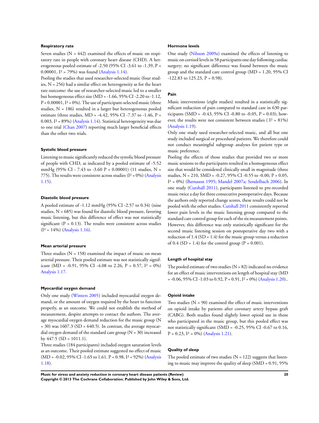#### **Respiratory rate**

Seven studies  $(N = 442)$  examined the effects of music on respiratory rate in people with coronary heart disease (CHD). A heterogeneous pooled estimate of -2.50 (95% CI -3.61 to -1.39, P < 0.00001,  $I^2 = 79\%$  was found ([Analysis 1.14](#page-86-0)).

Pooling the studies that used researcher-selected music (four studies,  $N = 256$ ) had a similar effect on heterogeneity as for the heart rate outcome: the use of researcher-selected music led to a smaller but homogeneous effect size (MD = -1.66, 95% CI -2.20 to -1.12,  $P < 0.00001$ ,  $I<sup>2</sup> = 0%$ ). The use of participant-selected music (three studies, N = 186) resulted in a larger but heterogeneous pooled estimate (three studies,  $MD = -4.42$ , 95% CI -7.37 to -1.46, P = 0.003,  $I^2 = 89\%$ ) ([Analysis 1.14](#page-86-0)). Statistical heterogeneity was due to one trial [\(Chan 2007\)](#page-26-0) reporting much larger beneficial effects than the other two trials.

#### **Systolic blood pressure**

Listening to music significantly reduced the systolic blood pressure of people with CHD, as indicated by a pooled estimate of -5.52 mmHg (95% CI - 7.43 to -3.60 P < 0.00001) (11 studies, N = 775). The results were consistent across studies ( $I^2 = 0\%$ ) ([Analysis](#page-87-0) [1.15\)](#page-87-0).

#### **Diastolic blood pressure**

A pooled estimate of -1.12 mmHg (95% CI -2.57 to 0.34) (nine studies,  $N = 685$ ) was found for diastolic blood pressure, favoring music listening, but this difference of effect was not statistically significant ( $P = 0.13$ ). The results were consistent across studies  $(I^2 = 14\%)$  ([Analysis 1.16](#page-88-0)).

#### **Mean arterial pressure**

Three studies  $(N = 158)$  examined the impact of music on mean arterial pressure. Their pooled estimate was not statistically significant (MD = -0.91, 95% CI -4.08 to 2.26, P = 0.57, I<sup>2</sup> = 0%) [Analysis 1.17](#page-89-0).

#### **Myocardial oxygen demand**

Only one study [\(Winters 2005](#page-26-0)) included myocardial oxygen demand, or the amount of oxygen required by the heart to function properly, as an outcome. We could not establish the method of measurement, despite attempts to contact the authors. The average myocardial oxygen demand reduction for the music group (N  $= 30$ ) was 1607.3 (SD  $= 640.5$ ). In contrast, the average myocardial oxygen demand of the standard care group  $(N = 30)$  increased by  $447.5$  (SD = 1011.1).

Three studies (184 participants) included oxygen saturation levels as an outcome. Their pooled estimate suggested no effect of music  $(MD = -0.02, 95\% \text{ CI} - 1.65 \text{ to } 1.61$ .  $P = 0.98, I^2 = 92\%$  ([Analysis](#page-89-0) [1.18\)](#page-89-0).

#### **Hormone levels**

One study [\(Nilsson 2009a](#page-26-0)) examined the effects of listening to music on cortisol levels in 58 participants one day following cardiac surgery; no significant difference was found between the music group and the standard care control group (MD = 1.20, 95% CI  $-122.83$  to 125.23, P = 0.98).

### **Pain**

Music interventions (eight studies) resulted in a statistically significant reduction of pain compared to standard care in 630 participants (SMD = -0.43, 95% CI -0.80 to -0.05, P = 0.03); however, the results were not consistent between studies ( $I^2 = 81\%$ ) [\(Analysis 1.19](#page-90-0)).

Only one study used researcher-selected music, and all but one study included surgical or procedural patients. We therefore could not conduct meaningful subgroup analyses for patient type or music preference.

Pooling the effects of those studies that provided two or more music sessions to the participants resulted in a homogeneous effect size that would be considered clinically small in magnitude (three studies,  $N = 210$ ,  $SMD = -0.27$ ,  $95\%$  CI -0.55 to -0.00,  $P = 0.05$ , I² = 0%) [\(Barnason 1995](#page-26-0); [Mandel 2007a](#page-26-0); [Sendelbach 2006\)](#page-26-0). In one study [\(Cutshall 2011](#page-26-0)), participants listened to pre-recorded music twice a day for three consecutive postoperative days. Because the authors only reported change scores, these results could not be pooled with the other studies. [Cutshall 2011](#page-26-0) consistently reported lower pain levels in the music listening group compared to the standard care control group for each of the six measurement points. However, this difference was only statistically significant for the second music listening session on postoperative day two with a reduction of  $1.4$  (SD = 1.4) for the music group versus a reduction of  $0.4$  (SD = 1.4) for the control group (P = 0.001).

#### **Length of hospital stay**

The pooled estimate of two studies  $(N = 82)$  indicated no evidence for an effect of music interventions on length of hospital stay (MD  $= -0.06, 95\% \text{ CI} - 1.03 \text{ to } 0.92, P = 0.91, I^2 = 0\% \text{ (Analysis 1.20)}.$  $= -0.06, 95\% \text{ CI} - 1.03 \text{ to } 0.92, P = 0.91, I^2 = 0\% \text{ (Analysis 1.20)}.$  $= -0.06, 95\% \text{ CI} - 1.03 \text{ to } 0.92, P = 0.91, I^2 = 0\% \text{ (Analysis 1.20)}.$ 

#### **Opioid intake**

Two studies  $(N = 90)$  examined the effect of music interventions on opioid intake by patients after coronary artery bypass graft (CABG). Both studies found slightly lower opioid use in those who participated in the music group, but this pooled effect was not statistically significant (SMD = -0.25, 95% CI -0.67 to 0.16,  $P = 0.23$ ,  $I^2 = 0\%$  ([Analysis 1.21](#page-91-0)).

#### **Quality of sleep**

The pooled estimate of two studies  $(N = 122)$  suggests that listening to music may improve the quality of sleep (SMD = 0.91, 95%

**Music for stress and anxiety reduction in coronary heart disease patients (Review) 20 Copyright © 2013 The Cochrane Collaboration. Published by John Wiley & Sons, Ltd.**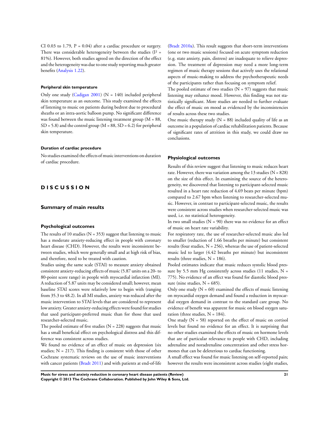CI 0.03 to 1.79,  $P = 0.04$ ) after a cardiac procedure or surgery. There was considerable heterogeneity between the studies  $(I^2 =$ 81%). However, both studies agreed on the direction of the effect and the heterogeneity was due to one study reporting much greater benefits ([Analysis 1.22](#page-91-0)).

#### **Peripheral skin temperature**

Only one study [\(Cadigan 2001\)](#page-26-0) ( $N = 140$ ) included peripheral skin temperature as an outcome. This study examined the effects of listening to music on patients during bedrest due to procedural sheaths or an intra-aortic balloon pump. No significant difference was found between the music listening treatment group (M = 88,  $SD = 5.8$ ) and the control group ( $M = 88$ ,  $SD = 6.2$ ) for peripheral skin temperature.

## **Duration of cardiac procedure**

No studies examined the effects of music interventions on duration of cardiac procedure.

## **D I S C U S S I O N**

### **Summary of main results**

#### **Psychological outcomes**

The results of 10 studies ( $N = 353$ ) suggest that listening to music has a moderate anxiety-reducing effect in people with coronary heart disease (CHD). However, the results were inconsistent between studies, which were generally small and at high risk of bias, and therefore, need to be treated with caution.

Studies using the same scale (STAI) to measure anxiety obtained consistent anxiety-reducing effects of music (5.87 units on a 20- to 80-point score range) in people with myocardial infarction (MI). A reduction of 5.87 units may be considered small; however, mean baseline STAI scores were relatively low to begin with (ranging from 35.3 to 48.2). In all MI studies, anxiety was reduced after the music intervention to STAI levels that are considered to represent low anxiety. Greater anxiety-reducing effects were found for studies that used participant-preferred music than for those that used researcher-selected music.

The pooled estimate of five studies  $(N = 228)$  suggests that music has a small beneficial effect on psychological distress and this difference was consistent across studies.

We found no evidence of an effect of music on depression (six studies;  $N = 217$ ). This finding is consistent with those of other Cochrane systematic reviews on the use of music interventions with cancer patients [\(Bradt 2011\)](#page-26-0) and with patients at end-of-life

[\(Bradt 2010a](#page-26-0)). This result suggests that short-term interventions (one or two music sessions) focused on acute symptom reduction (e.g. state anxiety, pain, distress) are inadequate to relieve depression. The treatment of depression may need a more long-term regimen of music therapy sessions that actively uses the relational aspects of music-making to address the psychotherapeutic needs of the participants rather than focusing on symptom relief.

The pooled estimate of two studies  $(N = 97)$  suggests that music listening may enhance mood. However, this finding was not statistically significant. More studies are needed to further evaluate the effect of music on mood as evidenced by the inconsistencies of results across these two studies.

One music therapy study  $(N = 88)$  included quality of life as an outcome in a population of cardiac rehabilitation patients. Because of significant rates of attrition in this study, we could draw no conclusions.

#### **Physiological outcomes**

Results of this review suggest that listening to music reduces heart rate. However, there was variation among the 13 studies  $(N = 828)$ on the size of this effect. In examining the source of the heterogeneity, we discovered that listening to participant-selected music resulted in a heart rate reduction of 4.69 beats per minute (bpm) compared to 2.67 bpm when listening to researcher-selected music. However, in contrast to participant-selected music, the results were consistent across studies when researcher-selected music was used, i.e. no statistical heterogeneity.

In two small studies  $(N = 90)$  there was no evidence for an effect of music on heart rate variability.

For respiratory rate, the use of researcher-selected music also led to smaller (reduction of 1.66 breaths per minute) but consistent results (four studies, N = 256), whereas the use of patient-selected music led to larger (4.42 breaths per minute) but inconsistent results (three studies,  $N = 186$ ).

Pooled estimates indicate that music reduces systolic blood pressure by 5.5 mm Hg consistently across studies (11 studies,  $N =$ 775). No evidence of an effect was found for diastolic blood pressure (nine studies,  $N = 685$ ).

Only one study  $(N = 60)$  examined the effects of music listening on myocardial oxygen demand and found a reduction in myocardial oxygen demand in contrast to the standard care group. No evidence of benefit was apparent for music on blood oxygen saturation (three studies,  $N = 184$ ).

One study  $(N = 58)$  reported on the effect of music on cortisol levels but found no evidence for an effect. It is surprising that no other studies examined the effects of music on hormone levels that are of particular relevance to people with CHD, including adrenaline and noradrenaline concentration and other stress hormones that can be deleterious to cardiac functioning.

A small effect was found for music listening on self-reported pain; however the results were inconsistent across studies (eight studies,

**Music for stress and anxiety reduction in coronary heart disease patients (Review) 21 Copyright © 2013 The Cochrane Collaboration. Published by John Wiley & Sons, Ltd.**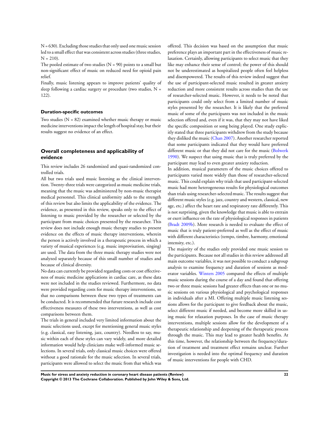N = 630). Excluding those studies that only used one music session led to a small effect that was consistent across studies (three studies,  $N = 210$ .

The pooled estimate of two studies  $(N = 90)$  points to a small but non-significant effect of music on reduced need for opioid pain relief.

Finally, music listening appears to improve patients' quality of sleep following a cardiac surgery or procedure (two studies,  $N =$ 122).

#### **Duration-specific outcomes**

Two studies  $(N = 82)$  examined whether music therapy or music medicine interventions impact the length of hospital stay, but their results suggest no evidence of an effect.

## **Overall completeness and applicability of evidence**

This review includes 26 randomized and quasi-randomized controlled trials.

All but two trials used music listening as the clinical intervention. Twenty-three trials were categorized as music medicine trials, meaning that the music was administered by non-music therapist medical personnel. This clinical uniformity adds to the strength of this review but also limits the applicability of the evidence. The evidence, as presented in this review, speaks only to the effect of listening to music provided by the researcher or selected by the participant from music choices presented by the researcher. This review does not include enough music therapy studies to present evidence on the effects of music therapy interventions, wherein the person is actively involved in a therapeutic process in which a variety of musical experiences (e.g. music improvisation, singing) are used. The data from the three music therapy studies were not analyzed separately because of this small number of studies and because of clinical diversity.

No data can currently be provided regarding costs or cost effectiveness of music medicine applications in cardiac care, as these data were not included in the studies reviewed. Furthermore, no data were provided regarding costs for music therapy interventions, so that no comparisons between these two types of treatments can be conducted. It is recommended that future research include cost effectiveness measures of these two interventions, as well as cost comparisons between them.

The trials in general included very limited information about the music selections used, except for mentioning general music styles (e.g. classical, easy listening, jazz, country). Needless to say, music within each of these styles can vary widely, and more detailed information would help clinicians make well-informed music selections. In several trials, only classical music choices were offered without a good rationale for the music selection. In several trials, participants were allowed to select the music from that which was

offered. This decision was based on the assumption that music preference plays an important part in the effectiveness of music relaxation. Certainly, allowing participants to select music that they like may enhance their sense of control; the power of this should not be underestimated as hospitalized people often feel helpless and disempowered. The results of this review indeed suggest that the use of participant-selected music resulted in greater anxiety reduction and more consistent results across studies than the use of researcher-selected music. However, it needs to be noted that participants could only select from a limited number of music styles presented by the researcher. It is likely that the preferred music of some of the participants was not included in the music selection offered and, even if it was, that they may not have liked the specific composition or song being played. One study explicitly stated that three participants withdrew from the study because they disliked the music [\(Chan 2007](#page-26-0)). Another researcher reported that some participants indicated that they would have preferred different music or that they did not care for the music [\(Bolwerk](#page-26-0) [1990](#page-26-0)). We suspect that using music that is truly preferred by the participant may lead to even greater anxiety reduction.

In addition, musical parameters of the music choices offered to participants varied more widely than those of researcher-selected music. This could explain why trials that used participant-selected music had more heterogeneous results for physiological outcomes than trials using researcher-selected music. The results suggest that different music styles (e.g. jazz, country and western, classical, new age, etc.) affect the heart rate and respiratory rate differently. This is not surprising, given the knowledge that music is able to entrain or exert influence on the rate of physiological responses in patients [\(Bradt 2009b\)](#page-26-0). More research is needed to evaluate the effect of music that is truly patient-preferred as well as the effect of music with different characteristics (tempo, timbre, harmony, emotional intensity, etc.).

The majority of the studies only provided one music session to the participants. Because not all studies in this review addressed all main outcome variables, it was not possible to conduct a subgroup analysis to examine frequency and duration of sessions as moderator variables. [Winters 2005](#page-26-0) compared the effects of multiple music sessions during the course of a day and found that offering two or three music sessions had greater effects than one or no music sessions on various physiological and psychological responses in individuals after a MI. Offering multiple music listening sessions allows for the participant to give feedback about the music, select different music if needed, and become more skilled in using music for relaxation purposes. In the case of music therapy interventions, multiple sessions allow for the development of a therapeutic relationship and deepening of the therapeutic process through the music. This may lead to greater health benefits. At this time, however, the relationship between the frequency/duration of treatment and treatment effect remains unclear. Further investigation is needed into the optimal frequency and duration of music interventions for people with CHD.

**Music for stress and anxiety reduction in coronary heart disease patients (Review) 22 Copyright © 2013 The Cochrane Collaboration. Published by John Wiley & Sons, Ltd.**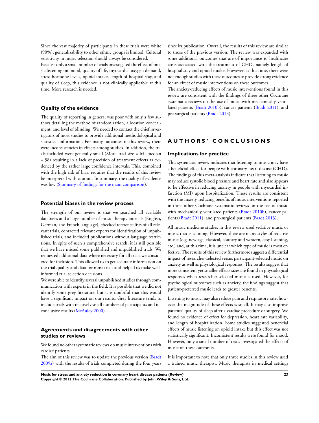Since the vast majority of participants in these trials were white (90%), generalizability to other ethnic groups is limited. Cultural sensitivity in music selection should always be considered.

Because only a small number of trials investigated the effect of music listening on mood, quality of life, myocardial oxygen demand, stress hormone levels, opioid intake, length of hospital stay, and quality of sleep, this evidence is not clinically applicable at this time. More research is needed.

## **Quality of the evidence**

The quality of reporting in general was poor with only a few authors detailing the method of randomization, allocation concealment, and level of blinding. We needed to contact the chief investigators of most studies to provide additional methodological and statistical information. For many outcomes in this review, there were inconsistencies in effects among studies. In addition, the trials included were generally small (Mean trial size = 64; median = 58) resulting in a lack of precision of treatment effects as evidenced by the rather large confidence intervals. This, combined with the high risk of bias, requires that the results of this review be interpreted with caution. In summary, the quality of evidence was low [\(Summary of findings for the main comparison\)](#page-5-0).

### **Potential biases in the review process**

The strength of our review is that we searched all available databases and a large number of music therapy journals (English, German, and French language), checked reference lists of all relevant trials, contacted relevant experts for identification of unpublished trials, and included publications without language restrictions. In spite of such a comprehensive search, it is still possible that we have missed some published and unpublished trials. We requested additional data where necessary for all trials we considered for inclusion. This allowed us to get accurate information on the trial quality and data for most trials and helped us make wellinformed trial selection decisions.

We were able to identify several unpublished studies through communication with experts in the field. It is possible that we did not identify some grey literature, but it is doubtful that this would have a significant impact on our results. Grey literature tends to include trials with relatively small numbers of participants and inconclusive results [\(McAuley 2000\)](#page-26-0).

## **Agreements and disagreements with other studies or reviews**

We found no other systematic reviews on music interventions with cardiac patients.

The aim of this review was to update the previous version ([Bradt](#page-26-0) [2009a\)](#page-26-0) with the results of trials completed during the four years

since its publication. Overall, the results of this review are similar to those of the previous version. The review was expanded with some additional outcomes that are of importance to healthcare costs associated with the treatment of CHD, namely length of hospital stay and opioid intake. However, at this time, there were not enough studies with these outcomes to provide strong evidence for an effect of music interventions on these outcomes.

The anxiety-reducing effects of music interventions found in this review are consistent with the findings of three other Cochrane systematic reviews on the use of music with mechanically-ventilated patients ([Bradt 2010b\)](#page-26-0), cancer patients ([Bradt 2011](#page-26-0)), and pre-surgical patients ([Bradt 2013\)](#page-26-0).

## **A U T H O R S ' C O N C L U S I O N S**

#### **Implications for practice**

This systematic review indicates that listening to music may have a beneficial effect for people with coronary heart disease (CHD). The findings of this meta-analysis indicate that listening to music may reduce systolic blood pressure and heart rate and also appears to be effective in reducing anxiety in people with myocardial infarction (MI) upon hospitalization. These results are consistent with the anxiety-reducing benefits of music interventions reported in three other Cochrane systematic reviews on the use of music with mechanically-ventilated patients ([Bradt 2010b](#page-26-0)), cancer patients [\(Bradt 2011\)](#page-26-0), and pre-surgical patients [\(Bradt 2013\)](#page-26-0).

All music medicine studies in this review used sedative music or music that is calming. However, there are many styles of sedative music (e.g. new age, classical, country and western, easy listening, etc.) and, at this time, it is unclear which type of music is most effective. The results of this review furthermore suggest a differential impact of researcher-selected versus participant-selected music on anxiety as well as physiological responses. The results suggest that more consistent yet smaller effects sizes are found in physiological responses when researcher-selected music is used. However, for psychological outcomes such as anxiety, the findings suggest that patient-preferred music leads to greater benefits.

Listening to music may also reduce pain and respiratory rate; however the magnitude of these effects is small. It may also improve patients' quality of sleep after a cardiac procedure or surgery. We found no evidence of effect for depression, heart rate variability, and length of hospitalization. Some studies suggested beneficial effects of music listening on opioid intake but this effect was not statistically significant. Inconsistent results were found for mood. However, only a small number of trials investigated the effects of music on these outcomes.

It is important to note that only three studies in this review used a trained music therapist. Music therapists in medical settings

**Music for stress and anxiety reduction in coronary heart disease patients (Review) 23 Copyright © 2013 The Cochrane Collaboration. Published by John Wiley & Sons, Ltd.**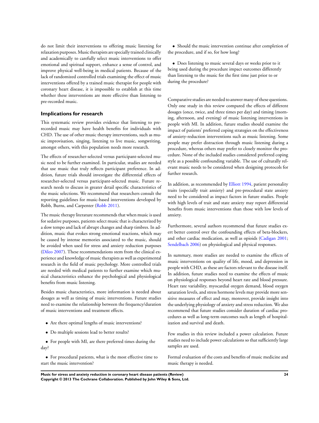do not limit their interventions to offering music listening for relaxation purposes.Music therapists are specially trained clinically and academically to carefully select music interventions to offer emotional and spiritual support, enhance a sense of control, and improve physical well-being in medical patients. Because of the lack of randomized controlled trials examining the effect of music interventions offered by a trained music therapist for people with coronary heart disease, it is impossible to establish at this time whether these interventions are more effective than listening to pre-recorded music.

#### **Implications for research**

This systematic review provides evidence that listening to prerecorded music may have health benefits for individuals with CHD. The use of other music therapy interventions, such as music improvisation, singing, listening to live music, songwriting, amongst others, with this population needs more research.

The effects of researcher-selected versus participant-selected music need to be further examined. In particular, studies are needed that use music that truly reflects participant preference. In addition, future trials should investigate the differential effects of researcher-selected versus participant-selected music. Future research needs to discuss in greater detail specific characteristics of the music selections. We recommend that researchers consult the reporting guidelines for music-based interventions developed by Robb, Burns, and Carpenter [\(Robb 2011](#page-26-0)).

The music therapy literature recommends that when music is used for sedative purposes, patients select music that is characterized by a slow tempo and lack of abrupt changes and sharp timbres. In addition, music that evokes strong emotional reactions, which may be caused by intense memories associated to the music, should be avoided when used for stress and anxiety reduction purposes [\(Dileo 2007\)](#page-26-0). These recommendations stem from the clinical experience and knowledge of music therapists as well as experimental research in the field of music psychology. More controlled trials are needed with medical patients to further examine which musical characteristics enhance the psychological and physiological benefits from music listening.

Besides music characteristics, more information is needed about dosages as well as timing of music interventions. Future studies need to examine the relationship between the frequency/duration of music interventions and treatment effects.

- Are there optimal lengths of music interventions?
- Do multiple sessions lead to better results?

• For people with MI, are there preferred times during the day?

• For procedural patients, what is the most effective time to start the music intervention?

• Should the music intervention continue after completion of the procedure, and if so, for how long?

• Does listening to music several days or weeks prior to it being used during the procedure impact outcomes differently than listening to the music for the first time just prior to or during the procedure?

Comparative studies are needed to answer many of these questions. Only one study in this review compared the effects of different dosages (once, twice, and three times per day) and timing (morning, afternoon, and evening) of music listening interventions in people with MI. In addition, future studies should examine the impact of patients' preferred coping strategies on the effectiveness of anxiety-reduction interventions such as music listening. Some people may prefer distraction through music listening during a procedure, whereas others may prefer to closely monitor the procedure. None of the included studies considered preferred coping style as a possible confounding variable. The use of culturally relevant music needs to be considered when designing protocols for further research.

In addition, as recommended by [Elliott 1994](#page-26-0), patient personality traits (especially trait anxiety) and pre-procedural state anxiety need to be considered as impact factors in future studies. People with high levels of trait and state anxiety may report differential benefits from music interventions than those with low levels of anxiety.

Furthermore, several authors recommend that future studies exert better control over the confounding effects of beta-blockers, and other cardiac medication, as well as opioids [\(Cadigan 2001;](#page-26-0) [Sendelbach 2006\)](#page-26-0) on physiological and physical responses.

In summary, more studies are needed to examine the effects of music interventions on quality of life, mood, and depression in people with CHD, as these are factors relevant to the disease itself. In addition, future studies need to examine the effects of music on physiological responses beyond heart rate and blood pressure. Heart rate variability, myocardial oxygen demand, blood oxygen saturation levels, and stress hormone levels may provide more sensitive measures of effect and may, moreover, provide insight into the underlying physiology of anxiety and stress reduction. We also recommend that future studies consider duration of cardiac procedures as well as long-term outcomes such as length of hospitalization and survival and death.

Few studies in this review included a power calculation. Future studies need to include power calculations so that sufficiently large samples are used.

Formal evaluation of the costs and benefits of music medicine and music therapy is needed.

**Music for stress and anxiety reduction in coronary heart disease patients (Review) 24 Copyright © 2013 The Cochrane Collaboration. Published by John Wiley & Sons, Ltd.**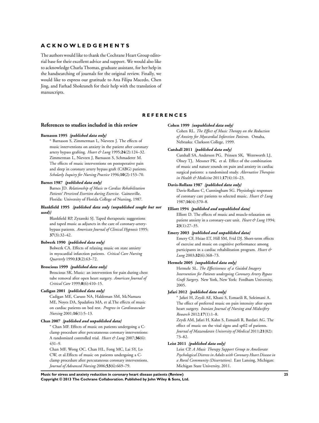## <span id="page-26-0"></span>**A C K N O W L E D G E M E N T S**

The authors would like to thank the Cochrane Heart Group editorial base for their excellent advice and support. We would also like to acknowledge Charla Thomas, graduate assistant, for her help in the handsearching of journals for the original review. Finally, we would like to express our gratitude to Ana Filipa Macedo, Chen Jing, and Farhad Shokraneh for their help with the translation of manuscripts.

## **R E F E R E N C E S**

#### **References to studies included in this review**

#### **Barnason 1995** *{published data only}*

<sup>∗</sup> Barnason S, Zimmerman L, Nieveen J. The effects of music interventions on anxiety in the patient after coronary artery bypass grafting. *Heart & Lung* 1995;**24**(2):124–32. Zimmerman L, Nieveen J, Barnason S, Schmaderer M. The effects of music interventions on postoperative pain and sleep in coronary artery bypass graft (CABG) patients. *Scholarly Inquiry for Nursing Practice* 1996;**10**(2):153–70.

#### **Barnes 1987** *{published data only}*

Barnes JD. *Relationship of Music to Cardiac Rehabilitation Patients' Perceived Exertion during Exercise*. Gainesville, Florida: University of Florida College of Nursing, 1987.

#### **Blankfield 1995** *{published data only (unpublished sought but not used)}*

Blankfield RP, Zyzanski SJ. Taped therapeutic suggestions and taped music as adjuncts in the care of coronary-arterybypass patients. *American Journal of Clinical Hypnosis* 1995; **37**(3):32–42.

#### **Bolwerk 1990** *{published data only}*

Bolwerk CA. Effects of relaxing music on state anxiety in myocardial infarction patients. *Critical Care Nursing Quarterly* 1990;**13**(2):63–72.

#### **Broscious 1999** *{published data only}*

Broscious SK. Music: an intervention for pain during chest tube removal after open heart surgery. *American Journal of Critical Care* 1999;**8**(6):410–15.

#### **Cadigan 2001** *{published data only}*

Cadigan ME, Caruso NA, Haldeman SM, McNamara ME, Noyes DA, Spadafora MA, et al.The effects of music on cardiac patients on bed rest. *Progress in Cardiovascular Nursing* 2001;**16**(1):5–13.

#### **Chan 2007** *{published and unpublished data}*

<sup>∗</sup> Chan MF. Effects of music on patients undergoing a Cclamp procedure after percutaneous coronary interventions: A randomized controlled trial. *Heart & Lung* 2007;**36**(6): 431–9.

Chan MF, Wong OC, Chan HL, Fong MC, Lai SY, Lo CW, et al.Effects of music on patients undergoing a Cclamp procedure after percutaneous coronary interventions. *Journal of Advanced Nursing* 2006;**53**(6):669–79.

#### **Cohen 1999** *{unpublished data only}*

Cohen RL. *The Effect of Music Therapy on the Reduction of Anxiety for Myocardial Infarction Patients*. Omaha, Nebraska: Clarkson College, 1999.

#### **Cutshall 2011** *{published data only}*

Cutshall SA, Anderson PG, Prinsen SK, Wentworth LJ, Olney TJ, Messner PK, et al. Effect of the combination of music and nature sounds on pain and anxiety in cardiac surgical patients: a randomized study. *Alternative Therapies in Health & Medicine* 2011;**17**(4):16–23.

#### **Davis-Rollans 1987** *{published data only}*

Davis-Rollans C, Cunningham SG. Physiologic responses of coronary care patients to selected music. *Heart & Lung* 1987;**16**(4):370–8.

#### **Elliott 1994** *{published and unpublished data}*

Elliott D. The effects of music and muscle-relaxation on patient anxiety in a coronary-care unit. *Heart & Lung* 1994; **23**(1):27–35.

#### **Emery 2003** *{published and unpublished data}*

Emery CF, Hsiao ET, Hill SM, Frid DJ. Short-term effects of exercise and music on cognitive performance among participants in a cardiac rehabilitation program. *Heart & Lung* 2003;**32**(6):368–73.

## **Hermele 2005** *{unpublished data only}*

Hermele SL. *The Effectiveness of a Guided Imagery Intervention for Patients undergoing Coronary Artery Bypass Graft Surgery*. New York, New York: Fordham University, 2005.

#### **Jafari 2012** *{published data only}*

∗ Jafari H, Zeydi AE, Khani S, Esmaeili R, Soleimani A. The effect of preferred music on pain intensity after open heart surgery. *Iranian Journal of Nursing and Midwifery Research* 2012;**17**(1):1–8.

Zeydi AM, Jafari H, Kahn S, Esmaieli R, Bardari AG. The effect of music on the vital signs and sp02 of patients. *Journal of Mazandaran University of Medical* 2011;**21**(82): 73–82.

#### **Leist 2011** *{published data only}*

Leist CP. *A Music Therapy Support Group to Ameliorate Psychological Distress in Adults with Coronary Heart Disease in a Rural Community (Dissertation)*. East Lansing, Michigan: Michigan State University, 2011.

**Music for stress and anxiety reduction in coronary heart disease patients (Review) 25 Copyright © 2013 The Cochrane Collaboration. Published by John Wiley & Sons, Ltd.**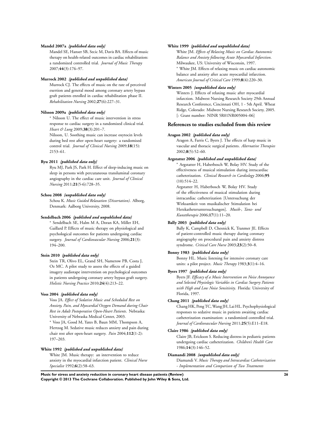#### **Mandel 2007a** *{published data only}*

Mandel SE, Hanser SB, Secic M, Davis BA. Effects of music therapy on health-related outcomes in cardiac rehabilitation: a randomized controlled trial. *Journal of Music Therapy* 2007;**44**(3):176–97.

#### **Murrock 2002** *{published and unpublished data}*

Murrock CJ. The effects of music on the rate of perceived exertion and general mood among coronary artery bypass graft patients enrolled in cardiac rehabilitation phase II. *Rehabilitation Nursing* 2002;**27**(6):227–31.

#### **Nilsson 2009a** *{published data only}*

<sup>∗</sup> Nilsson U. The effect of music intervention in stress response to cardiac surgery in a randomized clinical trial. *Heart & Lung* 2009;**38**(3):201–7.

Nilsson, U. Soothing music can increase oxytocin levels during bed rest after open-heart surgery: a randomised control trial. *Journal of Clinical Nursing* 2009;**18**(15): 2153–61.

#### **Ryu 2011** *{published data only}*

Ryu MJ, Park JS, Park H. Effect of sleep-inducing music on sleep in persons with percutaneous transluminal coronary angiography in the cardiac care unit. *Journal of Clinical Nursing* 2011;**21**(5-6):728–35.

#### **Schou 2008** *{unpublished data only}*

Schou K. *Music Guided Relaxation (Dissertation)*. Alborg, Denmark: Aalborg University, 2008.

### **Sendelbach 2006** *{published and unpublished data}*

<sup>∗</sup> Sendelbach SE, Halm M A, Doran KA, Miller EH, Gaillard P. Effects of music therapy on physiological and psychological outcomes for patients undergoing cardiac surgery. *Journal of Cardiovascular Nursing* 2006;**21**(3): 194–200.

#### **Stein 2010** *{published data only}*

Stein TR, Olivo EL, Grand SH, Namerow PB, Costa J, Oz MC. A pilot study to assess the effects of a guided imagery audiotape intervention on psychological outcomes in patients undergoing coronary artery bypass graft surgery. *Holistic Nursing Practice* 2010;**24**(4):213–22.

#### **Voss 2004** *{published data only}*

Voss JA. *Effect of Sedative Music and Scheduled Rest on Anxiety, Pain, and Myocardial Oxygen Demand during Chair Rest in Adult Postoperative Open-Heart Patients*. Nebraska: University of Nebraska Medical Center, 2003. <sup>∗</sup> Voss JA, Good M, Yates B, Baun MM, Thompson A,

Hertzog M. Sedative music reduces anxiety and pain during chair rest after open-heart surgery. *Pain* 2004;**112**(1-2): 197–203.

## **White 1992** *{published and unpublished data}*

White JM. Music therapy: an intervention to reduce anxiety in the myocardial infarction patient. *Clinical Nurse Specialist* 1992;**6**(2):58–63.

#### **White 1999** *{published and unpublished data}*

White JM. *Effects of Relaxing Music on Cardiac Autonomic Balance and Anxiety following Acute Myocardial Infarction*. Milwaukee, US: University of Wisconsin, 1997. <sup>∗</sup> White JM. Effects of relaxing music on cardiac autonomic balance and anxiety after acute myocardial infarction. *American Journal of Critical Care* 1999;**8**(4):220–30.

#### **Winters 2005** *{unpublished data only}*

Winters J. Effects of relaxing music after myocardial infarction. Midwest Nursing Research Society 29th Annual Research Conference, Cincinnati OH, 1 - 5th April. Wheat Ridge, Colorado: Midwest Nursing Research Society, 2005. [: Grant number: NINR 5R01NR005004–06]

## **References to studies excluded from this review**

#### **Aragon 2002** *{published data only}*

Aragon A, Farris C, Byers J. The effects of harp music in vascular and thoracic surgical patients. *Alternative Therapies* 2002;**8**(5):52–60.

#### **Argstatter 2006** *{published and unpublished data}*

<sup>∗</sup> Argstatter H, Haberbosch W, Bolay HV. Study of the effectiveness of musical stimulation during intracardiac catheterization. *Clinical Research in Cardiology* 2006;**95** (10):514–22.

Argstatter H, Haberbosch W, Bolay HV. Study of the effectiveness of musical stimulation during intracardiac catheterization [Untersuchung der Wirksamkeit von musikalischer Stimulation bei Herzkatheteruntersuchungen]. *Musik-, Tanz- und Kunsttherapie* 2006;**17**(1):11–20.

#### **Bally 2003** *{published data only}*

Bally K, Campbell D, Chesnick K, Tranmer JE. Effects of patient-controlled music therapy during coronary angiography on procedural pain and anxiety distress syndrome. *Critical Care Nurse* 2003;**23**(2):50–8.

#### **Bonny 1983** *{published data only}*

Bonny HL. Music listening for intensive coronary care units: a pilot project. *Music Therapy* 1983;**3**(1):4–16.

## **Byers 1997** *{published data only}*

Byers JF. *Efficacy of a Music Intervention on Noise Annoyance and Selected Physiologic Variables in Cardiac Surgery Patients with High and Low Noise Sensitivity*. Florida: University of Florida, 1997.

#### **Chang 2011** *{published data only}*

Chang HK, Peng TC,Wang JH, Lai HL. Psychophysiological responses to sedative music in patients awaiting cardiac catheterization examination: a randomized controlled trial. *Journal of Cardiovascular Nursing* 2011;**25**(5):E11–E18.

#### **Claire 1986** *{published data only}*

Claire JB, Erickson S. Reducing distress in pediatric patients undergoing cardiac catheterization. *Children's Health Care* 1986;**14**(3):146–52.

#### **Diamandi 2008** *{unpublished data only}*

Diamandi V. *Music Therapy and Intracardiac Catheterization - Implementation and Comparison of Two Treatments*

**Music for stress and anxiety reduction in coronary heart disease patients (Review) 26 Copyright © 2013 The Cochrane Collaboration. Published by John Wiley & Sons, Ltd.**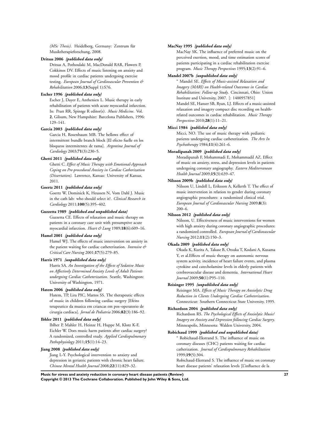*(MSc Thesis)*. Heidelberg, Germany: Zentrum für Musiktherapieforschung, 2008.

#### **Dritsas 2006** *{published data only}*

Dritsas A, Pothoulaki M, MacDonald RAR, Flowers P, Cokkinos DV. Effects of music listening on anxiety and mood profile in cardiac patients undergoing exercise testing. *European Journal of Cardiovascular Prevention & Rehabilitation* 2006;**13**(Suppl 1):S76.

## **Escher 1996** *{published data only}*

Escher J, Dayer E, Anthenien L. Music therapy in early rehabilitation of patients with acute myocardial infarction. In: Pratt RR, Spintge R editor(s). *Music Medicine*. Vol. **2**, Gilsum, New Hampshire: Barcelona Publishers, 1996: 129–141.

#### **Garcia 2003** *{published data only}*

Garcia H, Rosenbaum MB. The bellows effect of intermittent bundle branch block [El efecto fuelle en los bloqueos intermitentes de rama]. *Argentina Journal of Cardiology* 2003;**71**(3):230–5.

### **Ghetti 2011** *{published data only}*

Ghetti C. *Effect of Music Therapy with Emotional-Approach Coping on Pre-procedural Anxiety in Cardiac Catherization (Dissertation)*. Lawrence, Kansas: University of Kansas, 2011.

#### **Goertz 2011** *{published data only}*

Goertz W, Dominick K, Heussen N, Vom Dahl J. Music in the cath lab: who should select it?. *Clinical Research in Cardiology* 2011;**100**(5):395–402.

#### **Guzzetta 1989** *{published and unpublished data}*

Guzzetta CE. Effects of relaxation and music therapy on patients in a coronary care unit with presumptive acute myocardial infarction. *Heart & Lung* 1989;**18**(6):609–16.

#### **Hamel 2001** *{published data only}*

Hamel WJ. The effects of music intervention on anxiety in the patient waiting for cardiac catheterization. *Intensive & Critical Care Nursing* 2001;**17**(5):279–85.

#### **Harris 1971** *{unpublished data only}*

Harris SA. *An Investigation of the Effects of Sedative Music on Affectively Determined Anxiety Levels of Adult Patients undergoing Cardiac Catheterization*. Seattle, Washington: University of Washington, 1971.

#### **Hatem 2006** *{published data only}*

Hatem, TP, Lira PIC, Mattos SS. The therapeutic effects of music in children following cardiac surgery [Efeito terapeutico da musica em criancas em pos–operatorio de cirurgia cardiaca]. *Jornal de Pediatria* 2006;**82**(3):186–92.

#### **Ibhler 2011** *{published data only}*

Iblher P, Mahler H, Heinze H, Huppe M, Klotz K-F, Eichler W. Does music harm patients after cardiac surgery? A randomized, controlled study. *Applied Cardiopulmonary Pathophysiology* 2011;**15**(1):14–23.

#### **Jiang 2008** *{published data only}*

Jiang L-Y. Psychological intervention to anxiety and depression in geriatric patients with chronic heart failure. *Chinese Mental Health Journal* 2008;**22**(11):829–32.

#### **MacNay 1995** *{published data only}*

MacNay SK. The influence of preferred music on the perceived exertion, mood, and time estimation scores of patients participating in a cardiac rehabilitation exercise program. *Music Therapy Perspectives* 1995;**13**(2):91–6.

## **Mandel 2007b** *{unpublished data only}*

<sup>∗</sup> Mandel SE. *Effects of Music-assisted Relaxation and Imagery (MARI) on Health-related Outcomes in Cardiac Rehabilitation: Follow-up Study*. Cincinnati, Ohio: Union Institute and University, 2007. [: 1400957851] Mandel SE, Hanser SB, Ryan, LJ. Effects of a music-assisted relaxation and imagery compact disc recording on healthrelated outcomes in cardiac rehabilitation. *Music Therapy Perspectives* 2010;**28**(1):11–21.

#### **Micci 1984** *{published data only}*

Micci, NO. The use of music therapy with pediatric patients undergoing cardiac catheterization. *The Arts In Psychotherapy* 1984;**11**(4):261–6.

## **Moradipanah 2009** *{published data only}*

Moradipanah F, Mohammadi E, Mohammadil AZ. Effect of music on anxiety, stress, and depression levels in patients undergoing coronary angiography. *Eastern Mediterranean Health Journal* 2009;**15**(3):639–47.

#### **Nilsson 2009b** *{published data only}*

Nilsson U, Lindell L, Eriksson A, Kellerth T. The effect of music intervention in relation to gender during coronary angiographic procedures: a randomized clinical trial. *European Journal of Cardiovascular Nursing* 2009;**8**(3): 200–6.

## **Nilsson 2012** *{published data only}*

Nilsson, U. Effectiveness of music interventions for women with high anxiety during coronary angiographic procedures: a randomized controlled. *European Journal of Cardiovascular Nursing* 2012;**11**(2):150–3.

## **Okada 2009** *{published data only}*

Okada K, Kurita A, Takase B, Otsuka T, Kodani A, Kusama Y, et al.Effects of music therapy on autonomic nervous system activity, incidence of heart failure events, and plasma cytokine and catecholamine levels in elderly patients with cerebrovascular disease and dementia. *International Heart Journal* 2009;**50**(1):P95–110.

#### **Reisinger 1995** *{unpublished data only}*

Reisinger MA. *Effects of Music Therapy on Anxiolytic Drug Reduction in Clients Undergoing Cardiac Catheterization*. Connecticut: Southern Connecticut State University, 1995.

## **Richardson 2004** *{published data only}*

Richardson RS. *The Psychological Effects of Anxiolytic Music/ Imagery on Anxiety and Depression following Cardiac Surgery*. Minneapolis, Minnesota: Walden University, 2004.

## **Robichaud 1999** *{published and unpublished data}*

<sup>∗</sup> Robichaud-Ekstrand S. The influence of music on coronary diseases (CHC) patients waiting for cardiac catherization. *Journal of Cardiopulmonary Rehabilitation* 1999;**19**(5):304.

Robichaud-Ekstrand S. The influence of music on coronary heart disease patients' relaxation levels [L'influence de la

**Music for stress and anxiety reduction in coronary heart disease patients (Review) 27 Copyright © 2013 The Cochrane Collaboration. Published by John Wiley & Sons, Ltd.**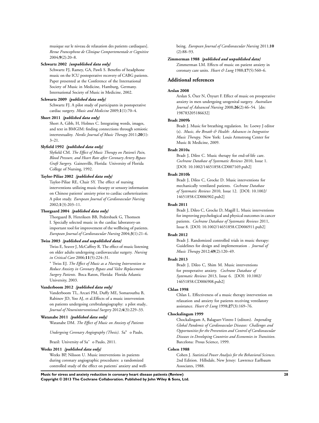musique sur le niveau de relaxation des patients cardiaques]. *Revue Francophone de Clinique Comportementale et Cognitive* 2004;**9**(2):20–8.

#### **Schwartz 2002** *{unpublished data only}*

Schwartz FJ, Ramey, GA, Pawli S. Benefits of headphone music on the ICU postoperative recovery of CABG patients. Paper presented at the Conference of the International Society of Music in Medicine, Hamburg, Germany. International Society of Music in Medicine, 2002.

#### **Schwartz 2009** *{published data only}*

Schwartz FJ. A pilot study of participants in postoperative cardiac surgery. *Music and Medicine* 2009;**1**(1):70–4.

#### **Short 2011** *{published data only}*

Short A, Gibb, H, Holmes C. Integrating words, images, and text in BMGIM: finding connections through semiotic intertextuality. *Nordic Journal of Music Therapy* 2011;**20**(1): 3–21.

#### **Slyfield 1992** *{published data only}*

Slyfield CM. *The Effect of Music Therapy on Patient's Pain, Blood Pressure, and Heart Rate after Coronary Artery Bypass Graft Surgery*. Gainesville, Florida: University of Florida College of Nursing, 1992.

### **Taylor-Piliae 2002** *{published data only}*

Taylor-Piliae RE, Chair SY. The effect of nursing interventions utilizing music thearpy or sensory information on Chinese patients' anxiety prior to cardiac catheterization: A pilot study. *European Journal of Cardiovascular Nursing* 2002;**1**(3):203–11.

#### **Thorgaard 2004** *{published data only}*

Thorgaard B, Henriksen BB, Pedersbaek G, Thomsen I. Specially selected music in the cardiac laboratory-an important tool for improvement of the wellbeing of patients. *European Journal of Cardiovascular Nursing* 2004;**3**(1):21–6.

#### **Twiss 2003** *{published and unpublished data}*

Twiss E, Seaver J, McCaffrey R. The effect of music listening on older adults undergoing cardiovascular surgery. *Nursing in Critical Care* 2006;**11**(5):224–31.

<sup>∗</sup> Twiss EJ. *The Effect of Music as a Nursing Intervention to Reduce Anxiety in Coronary Bypass and Valve Replacement Surgery Patients*. Boca Raton, Florida: Florida Atlantic University, 2003.

## **Vanderboom 2012** *{published data only}*

Vanderboom TL, Arcari PM, Duffy ME, Somarouthu B, Rabinov JD, Yoo AJ, et al.Effects of a music intervention on patients undergoing cerebralangiography: a pilot study.. *Journal of Neurointerventional Surgery* 2012;**4**(3):229–33.

#### **Watanabe 2011** *{published data only}*

Watanabe DM. *The Effect of Music on Anxiety of Patients*

*Undergoing Coronary Angiography (Thesis)*. Sa<sup> $\sim$ </sup> o Paulo,

Brazil: University of Sa o Paulo, 2011.

#### **Weeks 2011** *{published data only}*

Weeks BP, Nilsson U. Music interventions in patients during coronary angiographic procedures: a randomized controlled study of the effect on patients' anxiety and wellbeing. *European Journal of Cardiovascular Nursing* 2011;**10**  $(2):88-93.$ 

#### **Zimmerman 1988** *{published and unpublished data}*

Zimmerman LM. Effects of music on patient anxiety in coronary care units. *Heart & Lung* 1988;**17**(5):560–6.

#### **Additional references**

#### **Arslan 2008**

Arslan S, Özer N, Özyurt F. Effect of music on preoperative anxiety in men undergoing urogenital surgery. *Australian Journal of Advanced Nursing* 2008;**26**(2):46–54. [dn: 198783205186632]

#### **Bradt 2009b**

Bradt J. Music for breathing regulation. In: Loewy J editor (s). *Music, the Breath & Health: Advances in Integrative Music Therapy*. New York: Louis Armstrong Center for Music & Medicine, 2009.

#### **Bradt 2010a**

Bradt J, Dileo C. Music therapy for end-of-life care. *Cochrane Database of Systematic Reviews* 2010, Issue 1. [DOI: 10.1002/14651858.CD007169.pub2]

#### **Bradt 2010b**

Bradt J, Dileo C, Grocke D. Music interventions for mechanically ventilated patients. *Cochrane Database of Systematic Reviews* 2010, Issue 12. [DOI: 10.1002/ 14651858.CD006902.pub2]

#### **Bradt 2011**

Bradt J, Dileo C, Grocke D, Magill L. Music interventions for improving psychological and physical outcomes in cancer patients. *Cochrane Database of Systematic Reviews* 2011, Issue 8. [DOI: 10.1002/14651858.CD006911.pub2]

#### **Bradt 2012**

Bradt J. Randomized controlled trials in music therapy: Guidelines for design and implementation . *Journal of Music Therapy* 2012;**49**(2):120–49.

#### **Bradt 2013**

Bradt J, Dileo C, Shim M. Music interventions for preoperative anxiety. *Cochrane Database of Systematic Reviews* 2013, Issue 6. [DOI: 10.1002/ 14651858.CD006908.pub2]

#### **Chlan 1998**

Chlan L. Effectiveness of a music therapy intervention on relaxation and anxiety for patients receiving ventilatory assistance. *Heart & Lung* 1998;**27**(3):169–76.

#### **Chockalingam 1999**

Chockalingam A, Balaguer-Vintro I (editors). *Impending Global Pandemic of Cardiovascular Diseases: Challenges and Opportunities for the Prevention and Control of Cardiovascular Diseases in Developing Countries and Economies in Transition*. Barcelona: Prous Science, 1999.

#### **Cohen 1988**

Cohen J. *Statistical Power Analysis for the Behavioral Sciences*. 2nd Edition. Hillsdale, New Jersey: Lawrence Earlbaum Associates, 1988.

**Music for stress and anxiety reduction in coronary heart disease patients (Review) 28 Copyright © 2013 The Cochrane Collaboration. Published by John Wiley & Sons, Ltd.**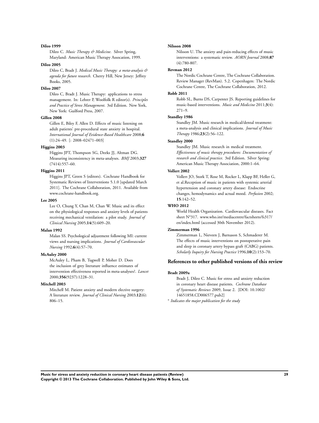#### **Dileo 1999**

Dileo C. *Music Therapy & Medicine*. Silver Spring, Maryland: American Music Therapy Assocation, 1999.

#### **Dileo 2005**

Dileo C, Bradt J. *Medical Music Therapy: a meta-analysis & agenda for future research*. Cherry Hill, New Jersey: Jeffrey Books, 2005.

#### **Dileo 2007**

Dileo C, Bradt J. Music Therapy: applications to stress management. In: Lehrer P, Woolfolk R editor(s). *Principles and Practice of Stress Management*. 3rd Edition. New York, New York: Guilford Press, 2007.

#### **Gillen 2008**

Gillen E, Biley F, Allen D. Effects of music listening on adult patients' pre-procedural state anxiety in hospital. *International Journal of Evidence-Based Healthcare* 2008;**6** (1):24–49. [: 2008–02471–003]

#### **Higgins 2003**

Higgins JPT, Thompson SG, Deeks JJ, Altman DG. Measuring inconsistency in meta-analyses. *BMJ* 2003;**327** (7414):557–60.

#### **Higgins 2011**

Higgins JPT, Green S (editors). Cochrane Handbook for Systematic Reviews of Interventions 5.1.0 [updated March 2011]. The Cochrane Collaboration, 2011. Available from www.cochrane-handbook.org.

#### **Lee 2005**

Lee O, Chung Y, Chan M, Chan W. Music and its effect on the physiological responses and anxiety levels of patients receiving mechanical ventilation: a pilot study. *Journal of Clinical Nursing* 2005;**14**(5):609–20.

#### **Malan 1992**

Malan SS. Psychological adjustment following MI: current views and nursing implications. *Journal of Cardiovascular Nursing* 1992;**6**(4):57–70.

## **McAuley 2000**

McAuley L, Pham B, Tugwell P, Moher D. Does the inclusion of grey literature influence estimates of intervention effectiveness reported in meta-analyses?. *Lancet* 2000;**356**(9237):1228–31.

#### **Mitchell 2003**

Mitchell M. Patient anxiety and modern elective surgery: A literature review. *Journal of Clinical Nursing* 2003;**12**(6): 806–15.

#### **Nilsson 2008**

Nilsson U. The anxiety and pain-reducing effects of music interventions: a systematic review. *AORN Journal* 2008;**87** (4):780-807.

#### **Revman 2012**

The Nordic Cochrane Centre, The Cochrane Collaboration. Review Manager (RevMan). 5.2. Copenhagen: The Nordic Cochrane Centre, The Cochrane Collaboration, 2012.

#### **Robb 2011**

Robb SL, Burns DS, Carpenter JS. Reporting guidelines for music-based interventions. *Music and Medicine* 2011;**3**(4): 271–9.

#### **Standley 1986**

Standley JM. Music research in medical/dental treatment: a meta-analysis and clinical implications. *Journal of Music Therapy* 1986;**23**(2):56–122.

#### **Standley 2000**

Standley JM. Music research in medical treatment. *Effectiveness of music therapy procedures: Documentation of research and clinical practice*. 3rd Edition. Silver Spring: American Music Therapy Association, 2000:1–64.

#### **Vollert 2002**

Vollert JO, Stork T, Rose M, Rocker L, Klapp BF, Heller G, et al.Reception of music in patients with systemic arterial hypertension and coronary artery disease: Endocrine changes, hemodynamics and actual mood. *Perfusion* 2002; **15**:142–52.

#### **WHO 2012**

World Health Organization. Cardiovascular diseases. Fact sheet N°317. www.who.int/mediacentre/factsheets/fs317/ en/index.html (accessed 30th November 2012).

## **Zimmerman 1996**

Zimmerman L, Nieveen J, Barnason S, Schmaderer M. The effects of music interventions on postoperative pain and sleep in coronary artery bypass graft (CABG) patients. *Scholarly Inquiry for Nursing Practice* 1996;**10**(2):153–70.

#### **References to other published versions of this review**

#### **Bradt 2009a**

Bradt J, Dileo C. Music for stress and anxiety reduction in coronary heart disease patients. *Cochrane Database of Systematic Reviews* 2009, Issue 2. [DOI: 10.1002/ 14651858.CD006577.pub2]

∗ *Indicates the major publication for the study*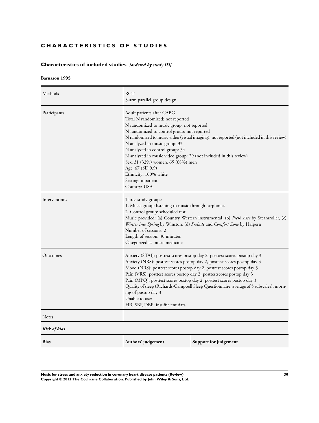## <span id="page-31-0"></span>**CHARACTERISTICS OF STUDIES**

# **Characteristics of included studies** *[ordered by study ID]*

## **Barnason 1995**

| Methods             | <b>RCT</b><br>3-arm parallel group design                                                                                                                                                                                                                                                                                                                                                                                                                                                                                                                   |                       |  |
|---------------------|-------------------------------------------------------------------------------------------------------------------------------------------------------------------------------------------------------------------------------------------------------------------------------------------------------------------------------------------------------------------------------------------------------------------------------------------------------------------------------------------------------------------------------------------------------------|-----------------------|--|
| Participants        | Adult patients after CABG<br>Total N randomized: not reported<br>N randomized to music group: not reported<br>N randomized to control group: not reported<br>N randomized to music video (visual imaging): not reported (not included in this review)<br>N analyzed in music group: 33<br>N analyzed in control group: 34<br>N analyzed in music video group: 29 (not included in this review)<br>Sex: 31 (32%) women, 65 (68%) men<br>Age: 67 (SD 9.9)<br>Ethnicity: 100% white<br>Setting: inpatient<br>Country: USA                                      |                       |  |
| Interventions       | Three study groups:<br>1. Music group: listening to music through earphones<br>2. Control group: scheduled rest<br>Music provided: (a) Country Western instrumental, (b) Fresh Aire by Steamroller, (c)<br>Winter into Spring by Winston, (d) Prelude and Comfort Zone by Halpern<br>Number of sessions: 2<br>Length of session: 30 minutes<br>Categorized as music medicine                                                                                                                                                                                |                       |  |
| Outcomes            | Anxiety (STAI): posttest scores postop day 2, posttest scores postop day 3<br>Anxiety (NRS): posttest scores postop day 2, posttest scores postop day 3<br>Mood (NRS): posttest scores postop day 2, posttest scores postop day 3<br>Pain (VRS): posttest scores postop day 2, posttestscores postop day 3<br>Pain (MPQ): posttest scores postop day 2, posttest scores postop day 3<br>Quality of sleep (Richards-Campbell Sleep Questionnaire, average of 5 subscales): morn-<br>ing of postop day 3<br>Unable to use:<br>HR, SBP, DBP: insufficient data |                       |  |
| Notes               |                                                                                                                                                                                                                                                                                                                                                                                                                                                                                                                                                             |                       |  |
| <b>Risk of bias</b> |                                                                                                                                                                                                                                                                                                                                                                                                                                                                                                                                                             |                       |  |
| <b>Bias</b>         | Authors' judgement                                                                                                                                                                                                                                                                                                                                                                                                                                                                                                                                          | Support for judgement |  |

**Music for stress and anxiety reduction in coronary heart disease patients (Review) 30 Copyright © 2013 The Cochrane Collaboration. Published by John Wiley & Sons, Ltd.**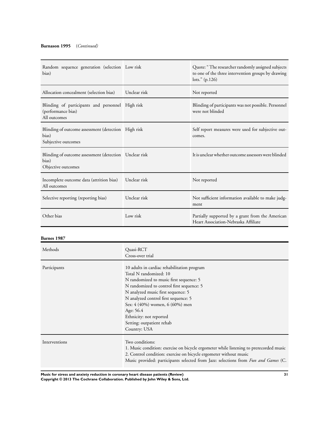## **Barnason 1995** (*Continued)*

| Random sequence generation (selection Low risk<br>bias)                                |              | Quote: "The researcher randomly assigned subjects<br>to one of the three intervention groups by drawing<br>lots." (p.126) |
|----------------------------------------------------------------------------------------|--------------|---------------------------------------------------------------------------------------------------------------------------|
| Allocation concealment (selection bias)                                                | Unclear risk | Not reported                                                                                                              |
| Blinding of participants and personnel High risk<br>(performance bias)<br>All outcomes |              | Blinding of participants was not possible. Personnel<br>were not blinded                                                  |
| Blinding of outcome assessment (detection High risk<br>bias)<br>Subjective outcomes    |              | Self report measures were used for subjective out-<br>comes.                                                              |
| Blinding of outcome assessment (detection Unclear risk<br>bias)<br>Objective outcomes  |              | It is unclear whether outcome assessors were blinded                                                                      |
| Incomplete outcome data (attrition bias)<br>All outcomes                               | Unclear risk | Not reported                                                                                                              |
| Selective reporting (reporting bias)                                                   | Unclear risk | Not sufficient information available to make judg-<br>ment                                                                |
| Other bias                                                                             | Low risk     | Partially supported by a grant from the American<br>Heart Association-Nebraska Affiliate                                  |

## **Barnes 1987**

| Methods       | Quasi-RCT<br>Cross-over trial                                                                                                                                                                                                                                                                                                                                       |
|---------------|---------------------------------------------------------------------------------------------------------------------------------------------------------------------------------------------------------------------------------------------------------------------------------------------------------------------------------------------------------------------|
| Participants  | 10 adults in cardiac rehabilitation program<br>Total N randomized: 10<br>N randomized to music first sequence: 5<br>N randomized to control first sequence: 5<br>N analyzed music first sequence: 5<br>N analyzed control first sequence: 5<br>Sex: 4 (40%) women, 6 (60%) men<br>Age: 56.4<br>Ethnicity: not reported<br>Setting: outpatient rehab<br>Country: USA |
| Interventions | Two conditions:<br>1. Music condition: exercise on bicycle ergometer while listening to prerecorded music<br>2. Control condition: exercise on bicycle ergometer without music<br>Music provided: participants selected from Jazz: selections from Fun and Games (C.                                                                                                |

**Music for stress and anxiety reduction in coronary heart disease patients (Review) 31**

**Copyright © 2013 The Cochrane Collaboration. Published by John Wiley & Sons, Ltd.**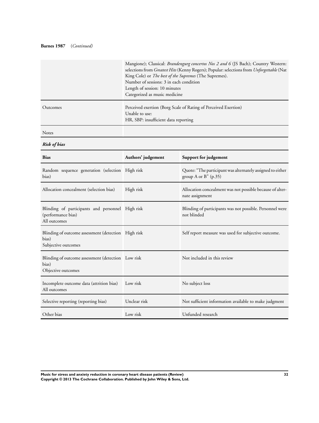## **Barnes 1987** (*Continued)*

|          | Mangione); Classical: <i>Brandengurg concertos Nos 2 and 6</i> (JS Bach); Country Western:<br>selections from Greatest Hits (Kenny Rogers); Popular: selections from Unforgettable (Nat<br>King Cole) or The best of the Supremes (The Supremes).<br>Number of sessions: 3 in each condition<br>Length of session: 10 minutes<br>Categorized as music medicine |
|----------|----------------------------------------------------------------------------------------------------------------------------------------------------------------------------------------------------------------------------------------------------------------------------------------------------------------------------------------------------------------|
| Outcomes | Perceived exertion (Borg Scale of Rating of Perceived Exertion)<br>Unable to use:<br>HR, SBP: insufficient data reporting                                                                                                                                                                                                                                      |

Notes

## *Risk of bias*

| <b>Bias</b>                                                                            | Authors' judgement | Support for judgement                                                                |
|----------------------------------------------------------------------------------------|--------------------|--------------------------------------------------------------------------------------|
| Random sequence generation (selection High risk<br>bias)                               |                    | Quote: "The participant was alternately assigned to either<br>group A or $B''(p.35)$ |
| Allocation concealment (selection bias)                                                | High risk          | Allocation concealment was not possible because of alter-<br>nate assignment         |
| Blinding of participants and personnel High risk<br>(performance bias)<br>All outcomes |                    | Blinding of participants was not possible. Personnel were<br>not blinded             |
| Blinding of outcome assessment (detection High risk<br>bias)<br>Subjective outcomes    |                    | Self report measure was used for subjective outcome.                                 |
| Blinding of outcome assessment (detection Low risk<br>bias)<br>Objective outcomes      |                    | Not included in this review                                                          |
| Incomplete outcome data (attrition bias)<br>All outcomes                               | Low risk           | No subject loss                                                                      |
| Selective reporting (reporting bias)                                                   | Unclear risk       | Not sufficient information available to make judgment                                |
| Other bias                                                                             | Low risk           | Unfunded research                                                                    |

**Music for stress and anxiety reduction in coronary heart disease patients (Review) 32 Copyright © 2013 The Cochrane Collaboration. Published by John Wiley & Sons, Ltd.**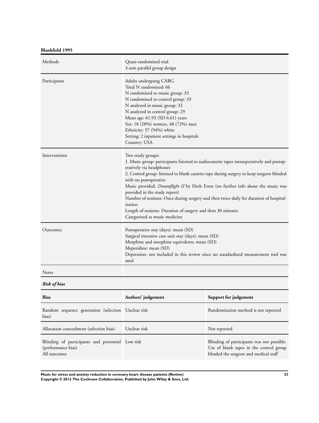**Blankfield 1995**

| Methods       | Quasi-randomized trial<br>3-arm parallel group design                                                                                                                                                                                                                                                                                                                                                                                                                                                                                                                                             |
|---------------|---------------------------------------------------------------------------------------------------------------------------------------------------------------------------------------------------------------------------------------------------------------------------------------------------------------------------------------------------------------------------------------------------------------------------------------------------------------------------------------------------------------------------------------------------------------------------------------------------|
| Participants  | Adults undergoing CABG<br>Total N randomized: 66<br>N randomized to music group: 33<br>N randomized to control group: 33<br>N analyzed in music group: 32<br>N analyzed in control group: 29<br>Mean age: 61.93 (SD 6.61) years<br>Sex: 18 (28%) women, 48 (72%) men<br>Ethnicity: 57 (94%) white<br>Setting: 2 inpatient settings in hospitals<br>Country: USA                                                                                                                                                                                                                                   |
| Interventions | Two study groups:<br>1. Music group: participants listened to audiocassette tapes intraoperatively and postop-<br>eratively via headphones<br>2. Control group: listened to blank cassette tape during surgery to keep surgeon blinded<br>with no postoperative<br>Music provided: <i>Dreamflight II</i> by Herb Ernst (no further info about the music was<br>provided in the study report)<br>Number of sessions: Once during surgery and then twice daily for duration of hospital-<br>ization<br>Length of sessions: Duration of surgery and then 30 minutes<br>Categorized as music medicine |
| Outcomes      | Postoperative stay (days): mean (SD)<br>Surgical intensive care unit stay (days): mean (SD)<br>Morphine and morphine equivalents: mean (SD)<br>Meperidine: mean (SD)<br>Depression: not included in this review since no standardized measurement tool was<br>used                                                                                                                                                                                                                                                                                                                                |
| <b>Notes</b>  |                                                                                                                                                                                                                                                                                                                                                                                                                                                                                                                                                                                                   |

## *Risk of bias*

| <b>Bias</b>                                                                           | Authors' judgement | Support for judgement                                                                                                          |
|---------------------------------------------------------------------------------------|--------------------|--------------------------------------------------------------------------------------------------------------------------------|
| Random sequence generation (selection Unclear risk<br>bias)                           |                    | Randomization method is not reported                                                                                           |
| Allocation concealment (selection bias)                                               | Unclear risk       | Not reported                                                                                                                   |
| Blinding of participants and personnel Low risk<br>(performance bias)<br>All outcomes |                    | Blinding of participants was not possible.<br>Use of blank tapes in the control group<br>blinded the surgeon and medical staff |

**Music for stress and anxiety reduction in coronary heart disease patients (Review) 33 Copyright © 2013 The Cochrane Collaboration. Published by John Wiley & Sons, Ltd.**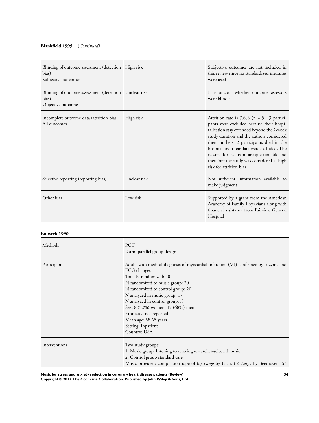## **Blankfield 1995** (*Continued)*

| Blinding of outcome assessment (detection High risk<br>bias)<br>Subjective outcomes   |              | Subjective outcomes are not included in<br>this review since no standardized measures<br>were used                                                                                                                                                                                                                                                                                                      |
|---------------------------------------------------------------------------------------|--------------|---------------------------------------------------------------------------------------------------------------------------------------------------------------------------------------------------------------------------------------------------------------------------------------------------------------------------------------------------------------------------------------------------------|
| Blinding of outcome assessment (detection Unclear risk<br>bias)<br>Objective outcomes |              | It is unclear whether outcome assessors<br>were blinded                                                                                                                                                                                                                                                                                                                                                 |
| Incomplete outcome data (attrition bias)<br>All outcomes                              | High risk    | Attrition rate is 7.6% ( $n = 5$ ). 3 partici-<br>pants were excluded because their hospi-<br>talization stay extended beyond the 2-week<br>study duration and the authors considered<br>them outliers. 2 participants died in the<br>hospital and their data were excluded. The<br>reasons for exclusion are questionable and<br>therefore the study was considered at high<br>risk for attrition bias |
| Selective reporting (reporting bias)                                                  | Unclear risk | Not sufficient information available to<br>make judgment                                                                                                                                                                                                                                                                                                                                                |
| Other bias                                                                            | Low risk     | Supported by a grant from the American<br>Academy of Family Physicians along with<br>financial assistance from Fairview General<br>Hospital                                                                                                                                                                                                                                                             |

## **Bolwerk 1990**

| Methods       | <b>RCT</b><br>2-arm parallel group design                                                                                                                                                                                                                                                                                                                                                             |
|---------------|-------------------------------------------------------------------------------------------------------------------------------------------------------------------------------------------------------------------------------------------------------------------------------------------------------------------------------------------------------------------------------------------------------|
| Participants  | Adults with medical diagnosis of myocardial infarction (MI) confirmed by enzyme and<br>ECG changes<br>Total N randomized: 40<br>N randomized to music group: 20<br>N randomized to control group: 20<br>N analyzed in music group: 17<br>N analyzed in control group:18<br>Sex: 8 (32%) women, 17 (68%) men<br>Ethnicity: not reported<br>Mean age: 58.65 years<br>Setting: Inpatient<br>Country: USA |
| Interventions | Two study groups:<br>1. Music group: listening to relaxing researcher-selected music<br>2. Control group standard care<br>Music provided: compilation tape of (a) <i>Largo</i> by Bach, (b) <i>Largo</i> by Beethoven, (c)                                                                                                                                                                            |

**Music for stress and anxiety reduction in coronary heart disease patients (Review) 34**

**Copyright © 2013 The Cochrane Collaboration. Published by John Wiley & Sons, Ltd.**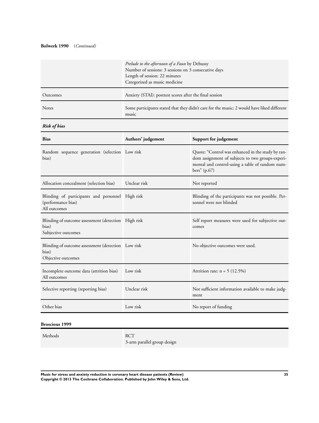### **Bolwerk 1990** (*Continued)*

|                 | Prelude to the afternoon of a Faun by Debussy<br>Number of sessions: 3 sessions on 3 consecutive days<br>Length of session: 22 minutes<br>Categorized as music medicine |
|-----------------|-------------------------------------------------------------------------------------------------------------------------------------------------------------------------|
| <b>Outcomes</b> | Anxiety (STAI): posttest scores after the final session                                                                                                                 |
| <b>Notes</b>    | Some participants stated that they didn't care for the music; 2 would have liked different<br>music                                                                     |

### *Risk of bias*

| <b>Bias</b>                                                                            | Authors' judgement | Support for judgement                                                                                                                                                      |
|----------------------------------------------------------------------------------------|--------------------|----------------------------------------------------------------------------------------------------------------------------------------------------------------------------|
| Random sequence generation (selection Low risk<br>bias)                                |                    | Quote: "Control was enhanced in the study by ran-<br>dom assignment of subjects to two groups-experi-<br>mental and control-using a table of random num-<br>bers" $(p.67)$ |
| Allocation concealment (selection bias)                                                | Unclear risk       | Not reported                                                                                                                                                               |
| Blinding of participants and personnel High risk<br>(performance bias)<br>All outcomes |                    | Blinding of the participants was not possible. Per-<br>sonnel were not blinded                                                                                             |
| Blinding of outcome assessment (detection High risk<br>bias)<br>Subjective outcomes    |                    | Self report measures were used for subjective out-<br>comes                                                                                                                |
| Blinding of outcome assessment (detection Low risk<br>bias)<br>Objective outcomes      |                    | No objective outcomes were used.                                                                                                                                           |
| Incomplete outcome data (attrition bias)<br>All outcomes                               | Low risk           | Attrition rate: $n = 5 (12.5%)$                                                                                                                                            |
| Selective reporting (reporting bias)                                                   | Unclear risk       | Not sufficient information available to make judg-<br>ment                                                                                                                 |
| Other bias                                                                             | Low risk           | No report of funding                                                                                                                                                       |

### **Broscious 1999**

Methods RCT

3-arm parallel group design

**Music for stress and anxiety reduction in coronary heart disease patients (Review) 35 Copyright © 2013 The Cochrane Collaboration. Published by John Wiley & Sons, Ltd.**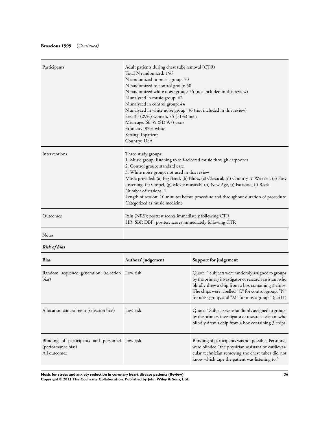### **Broscious 1999** (*Continued)*

| Participants  | Adult patients during chest tube removal (CTR)<br>Total N randomized: 156<br>N randomized to music group: 70<br>N randomized to control group: 50<br>N randomized white noise group: 36 (not included in this review)<br>N analyzed in music group: 62<br>N analyzed in control group: 44<br>N analyzed in white noise group: 36 (not included in this review)<br>Sex: 35 (29%) women, 85 (71%) men<br>Mean age: 66.35 (SD 9.7) years<br>Ethnicity: 97% white<br>Setting: Inpatient<br>Country: USA          |
|---------------|--------------------------------------------------------------------------------------------------------------------------------------------------------------------------------------------------------------------------------------------------------------------------------------------------------------------------------------------------------------------------------------------------------------------------------------------------------------------------------------------------------------|
| Interventions | Three study groups:<br>1. Music group: listening to self-selected music through earphones<br>2. Control group: standard care<br>3. White noise group; not used in this review<br>Music provided: (a) Big Band, (b) Blues, (c) Classical, (d) Country & Western, (e) Easy<br>Listening, (f) Gospel, (g) Movie musicals, (h) New Age, (i) Patriotic, (j) Rock<br>Number of sessions: 1<br>Length of session: 10 minutes before procedure and throughout duration of procedure<br>Categorized as music medicine |
| Outcomes      | Pain (NRS): posttest scores immediately following CTR<br>HR, SBP, DBP: posttest scores immediately following CTR                                                                                                                                                                                                                                                                                                                                                                                             |
|               |                                                                                                                                                                                                                                                                                                                                                                                                                                                                                                              |

Notes

| <b>Risk of bias</b> |  |
|---------------------|--|
|                     |  |

| <b>Bias</b>                                                                           | Authors' judgement | Support for judgement                                                                                                                                                                                                                                                                         |
|---------------------------------------------------------------------------------------|--------------------|-----------------------------------------------------------------------------------------------------------------------------------------------------------------------------------------------------------------------------------------------------------------------------------------------|
| Random sequence generation (selection Low risk<br>bias)                               |                    | Quote: "Subjects were randomly assigned to groups<br>by the primary investigator or research assistant who<br>blindly drew a chip from a box containing 3 chips.<br>The chips were labelled "C" for control group, "N"<br>for noise group, and " $M^{\prime\prime}$ for music group." (p.411) |
| Allocation concealment (selection bias)                                               | Low risk           | Quote: "Subjects were randomly assigned to groups<br>by the primary investigator or research assistant who<br>blindly drew a chip from a box containing 3 chips.<br>,                                                                                                                         |
| Blinding of participants and personnel Low risk<br>(performance bias)<br>All outcomes |                    | Blinding of participants was not possible. Personnel<br>were blinded:"the physician assistant or cardiovas-<br>cular technician removing the chest tubes did not<br>know which tape the patient was listening to."                                                                            |

**Music for stress and anxiety reduction in coronary heart disease patients (Review) 36 Copyright © 2013 The Cochrane Collaboration. Published by John Wiley & Sons, Ltd.**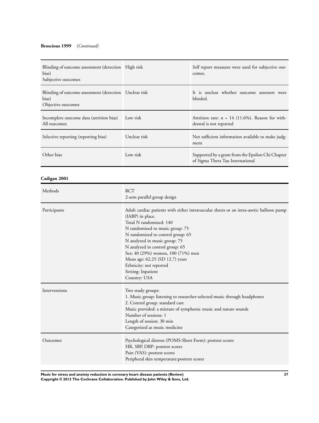### **Broscious 1999** (*Continued)*

| Blinding of outcome assessment (detection High risk<br>bias)<br>Subjective outcomes   |              | Self report measures were used for subjective out-<br>comes.                          |
|---------------------------------------------------------------------------------------|--------------|---------------------------------------------------------------------------------------|
| Blinding of outcome assessment (detection Unclear risk<br>bias)<br>Objective outcomes |              | It is unclear whether outcome assessors were<br>blinded.                              |
| Incomplete outcome data (attrition bias)<br>All outcomes                              | Low risk     | Attrition rate: $n = 14$ (11.6%). Reason for with-<br>drawal is not reported          |
| Selective reporting (reporting bias)                                                  | Unclear risk | Not sufficient information available to make judg-<br>ment                            |
| Other bias                                                                            | Low risk     | Supported by a grant from the Epsilon Chi Chapter<br>of Sigma Theta Tau International |

### **Cadigan 2001**

| Methods       | <b>RCT</b><br>2-arm parallel group design                                                                                                                                                                                                                                                                                                                                                                                    |
|---------------|------------------------------------------------------------------------------------------------------------------------------------------------------------------------------------------------------------------------------------------------------------------------------------------------------------------------------------------------------------------------------------------------------------------------------|
| Participants  | Adult cardiac patients with either intravascular sheets or an intra-aortic balloon pump<br>(IABP) in place.<br>Total N randomized: 140<br>N randomized to music group: 75<br>N randomized to control group: 65<br>N analyzed in music group: 75<br>N analyzed in control group: 65<br>Sex: 40 (29%) women, 100 (71%) men<br>Mean age: 62.25 (SD 12.7) years<br>Ethnicity: not reported<br>Setting: Inpatient<br>Country: USA |
| Interventions | Two study groups:<br>1. Music group: listening to researcher-selected music through headphones<br>2. Control group: standard care<br>Music provided: a mixture of symphonic music and nature sounds<br>Number of sessions: 1<br>Length of session: 30 min<br>Categorized as music medicine                                                                                                                                   |
| Outcomes      | Psychological distress (POMS-Short Form): posttest scores<br>HR, SBP, DBP: posttest scores<br>Pain (VAS): posttest scores<br>Peripheral skin temperature:posttest scores                                                                                                                                                                                                                                                     |

**Music for stress and anxiety reduction in coronary heart disease patients (Review) 37**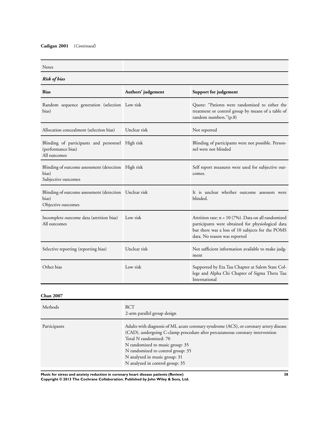### **Cadigan 2001** (*Continued)*

Notes

*Risk of bias*

| <b>Bias</b>                                                                            | Authors' judgement | Support for judgement                                                                                                                                                                          |
|----------------------------------------------------------------------------------------|--------------------|------------------------------------------------------------------------------------------------------------------------------------------------------------------------------------------------|
| Random sequence generation (selection Low risk<br>bias)                                |                    | Quote: "Patients were randomized to either the<br>treatment or control group by means of a table of<br>random numbers."(p.8)                                                                   |
| Allocation concealment (selection bias)                                                | Unclear risk       | Not reported                                                                                                                                                                                   |
| Blinding of participants and personnel High risk<br>(performance bias)<br>All outcomes |                    | Blinding of participants were not possible. Person-<br>nel were not blinded                                                                                                                    |
| Blinding of outcome assessment (detection High risk<br>bias)<br>Subjective outcomes    |                    | Self report measures were used for subjective out-<br>comes.                                                                                                                                   |
| Blinding of outcome assessment (detection Unclear risk<br>bias)<br>Objective outcomes  |                    | It is unclear whether outcome assessors were<br>blinded.                                                                                                                                       |
| Incomplete outcome data (attrition bias)<br>All outcomes                               | Low risk           | Attrition rate: $n = 10$ (7%). Data on all randomized<br>participants were obtained for physiological data<br>but there was a loss of 10 subjects for the POMS<br>data. No reason was reported |
| Selective reporting (reporting bias)                                                   | Unclear risk       | Not sufficient information available to make judg-<br>ment                                                                                                                                     |
| Other bias                                                                             | Low risk           | Supported by Eta Tau Chapter at Salem State Col-<br>lege and Alpha Chi Chapter of Sigma Theta Tau<br>International                                                                             |

### **Chan 2007**

| Methods      | <b>RCT</b><br>2-arm parallel group design                                                                                                                                                                                                                                                                                                    |
|--------------|----------------------------------------------------------------------------------------------------------------------------------------------------------------------------------------------------------------------------------------------------------------------------------------------------------------------------------------------|
| Participants | Adults with diagnosis of MI, acute coronary syndrome (ACS), or coronary artery disease<br>(CAD), undergoing C-clamp procedure after percutaneous coronary intervention<br>Total N randomized: 70<br>N randomized to music group: 35<br>N randomized to control group: 35<br>N analyzed in music group: 31<br>N analyzed in control group: 35 |

**Music for stress and anxiety reduction in coronary heart disease patients (Review) 38**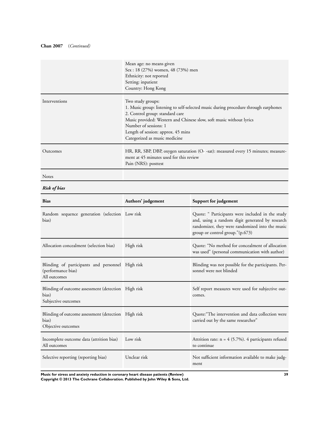### **Chan 2007** (*Continued)*

|               | Mean age: no means given<br>Sex: 18 (27%) women, 48 (73%) men<br>Ethnicity: not reported<br>Setting: inpatient<br>Country: Hong Kong                                                                                                                                                                               |
|---------------|--------------------------------------------------------------------------------------------------------------------------------------------------------------------------------------------------------------------------------------------------------------------------------------------------------------------|
| Interventions | Two study groups:<br>1. Music group: listening to self-selected music during procedure through earphones<br>2. Control group: standard care<br>Music provided: Western and Chinese slow, soft music without lyrics<br>Number of sessions: 1<br>Length of session: approx. 45 mins<br>Categorized as music medicine |
| Outcomes      | HR, RR, SBP, DBP, oxygen saturation $(O_2 \text{-} sat)$ : measured every 15 minutes; measure-<br>ment at 45 minutes used for this review<br>Pain (NRS): posttest                                                                                                                                                  |

Notes

### *Risk of bias*

| <b>Bias</b>                                                                            | Authors' judgement | Support for judgement                                                                                                                                                                     |
|----------------------------------------------------------------------------------------|--------------------|-------------------------------------------------------------------------------------------------------------------------------------------------------------------------------------------|
| Random sequence generation (selection Low risk<br>bias)                                |                    | Quote: " Participants were included in the study<br>and, using a random digit generated by research<br>randomizer, they were randomized into the music<br>group or control group."(p.673) |
| Allocation concealment (selection bias)                                                | High risk          | Quote: "No method for concealment of allocation<br>was used" (personal communication with author)                                                                                         |
| Blinding of participants and personnel High risk<br>(performance bias)<br>All outcomes |                    | Blinding was not possible for the participants. Per-<br>sonnel were not blinded                                                                                                           |
| Blinding of outcome assessment (detection High risk<br>bias)<br>Subjective outcomes    |                    | Self report measures were used for subjective out-<br>comes.                                                                                                                              |
| Blinding of outcome assessment (detection High risk<br>bias)<br>Objective outcomes     |                    | Quote: "The intervention and data collection were<br>carried out by the same researcher"                                                                                                  |
| Incomplete outcome data (attrition bias)<br>All outcomes                               | Low risk           | Attrition rate: $n = 4$ (5.7%). 4 participants refused<br>to continue                                                                                                                     |
| Selective reporting (reporting bias)                                                   | Unclear risk       | Not sufficient information available to make judg-<br>ment                                                                                                                                |

**Music for stress and anxiety reduction in coronary heart disease patients (Review) 39 Copyright © 2013 The Cochrane Collaboration. Published by John Wiley & Sons, Ltd.**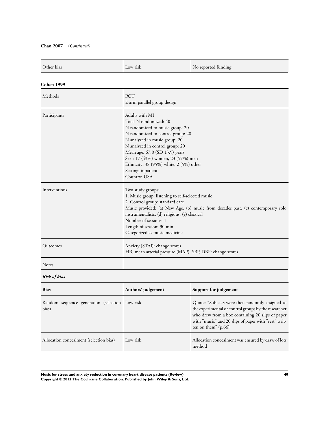### **Chan 2007** (*Continued)*

| Other bias                                              | Low risk                                                                                                                                                                                                                                                                                                                                     | No reported funding                                                                                                                                                                                                                        |  |
|---------------------------------------------------------|----------------------------------------------------------------------------------------------------------------------------------------------------------------------------------------------------------------------------------------------------------------------------------------------------------------------------------------------|--------------------------------------------------------------------------------------------------------------------------------------------------------------------------------------------------------------------------------------------|--|
| <b>Cohen 1999</b>                                       |                                                                                                                                                                                                                                                                                                                                              |                                                                                                                                                                                                                                            |  |
| Methods                                                 | <b>RCT</b><br>2-arm parallel group design                                                                                                                                                                                                                                                                                                    |                                                                                                                                                                                                                                            |  |
| Participants                                            | Adults with MI<br>Total N randomized: 40<br>N randomized to music group: 20<br>N randomized to control group: 20<br>N analyzed in music group: 20<br>N analyzed in control group: 20<br>Mean age: 67.8 (SD 13.9) years<br>Sex: 17 (43%) women, 23 (57%) men<br>Ethnicity: 38 (95%) white, 2 (5%) other<br>Setting: inpatient<br>Country: USA |                                                                                                                                                                                                                                            |  |
| Interventions                                           | Two study groups:<br>1. Music group: listening to self-selected music<br>2. Control group: standard care<br>Music provided: (a) New Age, (b) music from decades past, (c) contemporary solo<br>instrumentalists, (d) religious, (e) classical<br>Number of sessions: 1<br>Length of session: 30 min<br>Categorized as music medicine         |                                                                                                                                                                                                                                            |  |
| Outcomes                                                | Anxiety (STAI): change scores<br>HR, mean arterial pressure (MAP), SBP, DBP: change scores                                                                                                                                                                                                                                                   |                                                                                                                                                                                                                                            |  |
| Notes                                                   |                                                                                                                                                                                                                                                                                                                                              |                                                                                                                                                                                                                                            |  |
| <b>Risk of bias</b>                                     |                                                                                                                                                                                                                                                                                                                                              |                                                                                                                                                                                                                                            |  |
| <b>Bias</b>                                             | Authors' judgement                                                                                                                                                                                                                                                                                                                           | Support for judgement                                                                                                                                                                                                                      |  |
| Random sequence generation (selection Low risk<br>bias) |                                                                                                                                                                                                                                                                                                                                              | Quote: "Subjects were then randomly assigned to<br>the experimental or control groups by the researcher<br>who drew from a box containing 20 slips of paper<br>with "music" and 20 slips of paper with "rest" writ-<br>ten on them" (p.66) |  |
| Allocation concealment (selection bias)                 | Low risk                                                                                                                                                                                                                                                                                                                                     | Allocation concealment was ensured by draw of lots<br>method                                                                                                                                                                               |  |

**Music for stress and anxiety reduction in coronary heart disease patients (Review) 40 Copyright © 2013 The Cochrane Collaboration. Published by John Wiley & Sons, Ltd.**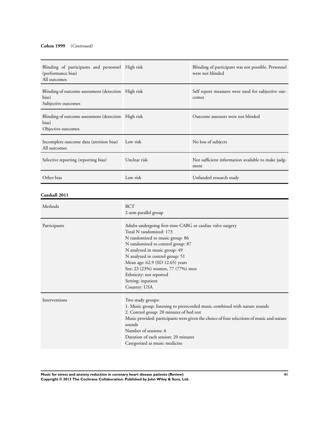### **Cohen 1999** (*Continued)*

| Blinding of participants and personnel High risk<br>(performance bias)<br>All outcomes |              | Blinding of participant was not possible. Personnel<br>were not blinded |
|----------------------------------------------------------------------------------------|--------------|-------------------------------------------------------------------------|
| Blinding of outcome assessment (detection High risk<br>bias)<br>Subjective outcomes    |              | Self report measures were used for subjective out-<br>comes             |
| Blinding of outcome assessment (detection High risk<br>bias)<br>Objective outcomes     |              | Outcome assessors were not blinded                                      |
| Incomplete outcome data (attrition bias) Low risk<br>All outcomes                      |              | No loss of subjects                                                     |
| Selective reporting (reporting bias)                                                   | Unclear risk | Not sufficient information available to make judg-<br>ment              |
| Other bias                                                                             | Low risk     | Unfunded research study                                                 |

### **Cutshall 2011**

| Methods       | <b>RCT</b><br>2-arm parallel group                                                                                                                                                                                                                                                                                                                                         |
|---------------|----------------------------------------------------------------------------------------------------------------------------------------------------------------------------------------------------------------------------------------------------------------------------------------------------------------------------------------------------------------------------|
| Participants  | Adults undergoing first-time CABG or cardiac valve surgery<br>Total N randomized: 173<br>N randomized to music group: 86<br>N randomized to control group: 87<br>N analyzed in music group: 49<br>N analyzed in control group: 51<br>Mean age: 62.9 (SD 12.65) years<br>Sex: 23 (23%) women, 77 (77%) men<br>Ethnicity: not reported<br>Setting: inpatient<br>Country: USA |
| Interventions | Two study groups:<br>1. Music group: listening to prerecorded music combined with nature sounds<br>2. Control group: 20 minutes of bed rest<br>Music provided: participants were given the choice of four selections of music and nature<br>sounds<br>Number of sessions: 6<br>Duration of each session: 20 minutes<br>Categorized as music medicine                       |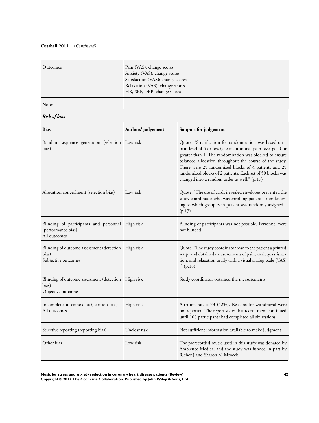### **Cutshall 2011** (*Continued)*

| Outcomes | Pain (VAS): change scores<br>Anxiety (VAS): change scores<br>Satisfaction (VAS): change scores<br>Relaxation (VAS): change scores<br>HR, SBP, DBP: change scores |
|----------|------------------------------------------------------------------------------------------------------------------------------------------------------------------|
|          |                                                                                                                                                                  |

Notes

## *Risk of bias*

| <b>Bias</b>                                                                            | Authors' judgement | Support for judgement                                                                                                                                                                                                                                                                                                                                                                                                 |
|----------------------------------------------------------------------------------------|--------------------|-----------------------------------------------------------------------------------------------------------------------------------------------------------------------------------------------------------------------------------------------------------------------------------------------------------------------------------------------------------------------------------------------------------------------|
| Random sequence generation (selection Low risk<br>bias)                                |                    | Quote: "Stratification for randomization was based on a<br>pain level of 4 or less (the institutional pain level goal) or<br>greater than 4. The randomization was blocked to ensure<br>balanced allocation throughout the course of the study.<br>There were 25 randomized blocks of 4 patients and 25<br>randomized blocks of 2 patients. Each set of 50 blocks was<br>changed into a random order as well." (p.17) |
| Allocation concealment (selection bias)                                                | Low risk           | Quote: "The use of cards in sealed envelopes prevented the<br>study coordinator who was enrolling patients from know-<br>ing to which group each patient was randomly assigned."<br>(p.17)                                                                                                                                                                                                                            |
| Blinding of participants and personnel High risk<br>(performance bias)<br>All outcomes |                    | Blinding of participants was not possible. Personnel were<br>not blinded                                                                                                                                                                                                                                                                                                                                              |
| Blinding of outcome assessment (detection High risk<br>bias)<br>Subjective outcomes    |                    | Quote: "The study coordinator read to the patient a printed<br>script and obtained measurements of pain, anxiety, satisfac-<br>tion, and relaxation orally with a visual analog scale (VAS)<br>$\cdot$ " (p.18)                                                                                                                                                                                                       |
| Blinding of outcome assessment (detection High risk<br>bias)<br>Objective outcomes     |                    | Study coordinator obtained the measurements                                                                                                                                                                                                                                                                                                                                                                           |
| Incomplete outcome data (attrition bias)<br>All outcomes                               | High risk          | Attrition rate = 73 (42%). Reasons for withdrawal were<br>not reported. The report states that recruitment continued<br>until 100 participants had completed all six sessions                                                                                                                                                                                                                                         |
| Selective reporting (reporting bias)                                                   | Unclear risk       | Not sufficient information available to make judgment                                                                                                                                                                                                                                                                                                                                                                 |
| Other bias                                                                             | Low risk           | The prerecorded music used in this study was donated by<br>Ambience Medical and the study was funded in part by<br>Richer J and Sharon M Mrocek                                                                                                                                                                                                                                                                       |

**Music for stress and anxiety reduction in coronary heart disease patients (Review) 42 Copyright © 2013 The Cochrane Collaboration. Published by John Wiley & Sons, Ltd.**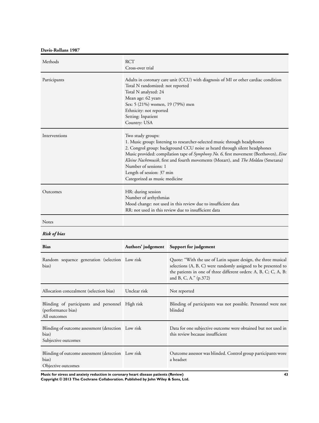**Davis-Rollans 1987**

| Methods       | <b>RCT</b><br>Cross-over trial                                                                                                                                                                                                                                                                                                                                                                                                                 |
|---------------|------------------------------------------------------------------------------------------------------------------------------------------------------------------------------------------------------------------------------------------------------------------------------------------------------------------------------------------------------------------------------------------------------------------------------------------------|
| Participants  | Adults in coronary care unit (CCU) with diagnosis of MI or other cardiac condition<br>Total N randomized: not reported<br>Total N analyzed: 24<br>Mean age: 62 years<br>Sex: 5 (21%) women, 19 (79%) men<br>Ethnicity: not reported<br>Setting: Inpatient<br>Country: USA                                                                                                                                                                      |
| Interventions | Two study groups:<br>1. Music group: listening to researcher-selected music through headphones<br>2. Congrol group: background CCU noise as heard through silent headphones<br>Music provided: compilation tape of Symphony No. 6, first movement (Beethoven), Eine<br>Kleine Nachtmusik, first and fourth movements (Mozart), and The Moldau (Smetana)<br>Number of sessions: 1<br>Length of session: 37 min<br>Categorized as music medicine |
| Outcomes      | HR: during session<br>Number of arrhythmias<br>Mood change: not used in this review due to insufficient data<br>RR: not used in this review due to insufficient data                                                                                                                                                                                                                                                                           |
| <b>Notes</b>  |                                                                                                                                                                                                                                                                                                                                                                                                                                                |

*Risk of bias*

| <b>Bias</b>                                                                            |              | Authors' judgement Support for judgement                                                                                                                                                                                      |
|----------------------------------------------------------------------------------------|--------------|-------------------------------------------------------------------------------------------------------------------------------------------------------------------------------------------------------------------------------|
| Random sequence generation (selection Low risk<br>bias)                                |              | Quote: "With the use of Latin square design, the three musical<br>selections (A, B, C) were randomly assigned to be presented to<br>the patients in one of three different orders: A, B, C; C, A, B:<br>and B, C, A." (p.372) |
| Allocation concealment (selection bias)                                                | Unclear risk | Not reported                                                                                                                                                                                                                  |
| Blinding of participants and personnel High risk<br>(performance bias)<br>All outcomes |              | Blinding of participants was not possible. Personnel were not<br>blinded                                                                                                                                                      |
| Blinding of outcome assessment (detection Low risk<br>bias)<br>Subjective outcomes     |              | Data for one subjective outcome were obtained but not used in<br>this review because insufficient                                                                                                                             |
| Blinding of outcome assessment (detection Low risk<br>bias)<br>Objective outcomes      |              | Outcome assessor was blinded. Control group participants wore<br>a headset                                                                                                                                                    |

**Music for stress and anxiety reduction in coronary heart disease patients (Review) 43 Copyright © 2013 The Cochrane Collaboration. Published by John Wiley & Sons, Ltd.**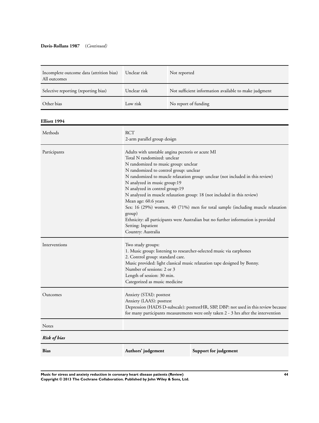### **Davis-Rollans 1987** (*Continued)*

| Incomplete outcome data (attrition bias)<br>All outcomes | Unclear risk | Not reported                                          |
|----------------------------------------------------------|--------------|-------------------------------------------------------|
| Selective reporting (reporting bias)                     | Unclear risk | Not sufficient information available to make judgment |
| Other bias                                               | Low risk     | No report of funding                                  |

### **Elliott 1994**

| Methods             | <b>RCT</b><br>2-arm parallel group design                                                                                                                                                                                                                                                                                                                                                                                                                                                                                                                                                                                                               |  |  |
|---------------------|---------------------------------------------------------------------------------------------------------------------------------------------------------------------------------------------------------------------------------------------------------------------------------------------------------------------------------------------------------------------------------------------------------------------------------------------------------------------------------------------------------------------------------------------------------------------------------------------------------------------------------------------------------|--|--|
| Participants        | Adults with unstable angina pectoris or acute MI<br>Total N randomized: unclear<br>N randomized to music group: unclear<br>N randomized to control group: unclear<br>N randomized to muscle relaxation group: unclear (not included in this review)<br>N analyzed in music group:19<br>N analyzed in control group:19<br>N analyzed in muscle relaxation group: 18 (not included in this review)<br>Mean age: 60.6 years<br>Sex: 16 (29%) women, 40 (71%) men for total sample (including muscle relaxation<br>group)<br>Ethnicity: all participants were Australian but no further information is provided<br>Setting: Inpatient<br>Country: Australia |  |  |
| Interventions       | Two study groups:<br>1. Music group: listening to researcher-selected music via earphones<br>2. Control group: standard care.<br>Music provided: light classical music relaxation tape designed by Bonny.<br>Number of sessions: 2 or 3<br>Length of session: 30 min.<br>Categorized as music medicine                                                                                                                                                                                                                                                                                                                                                  |  |  |
| Outcomes            | Anxiety (STAI): posttest<br>Anxiety (LAAS): posttest<br>Depression (HADS D-subscale): posttestHR, SBP, DBP: not used in this review because<br>for many participants measurements were only taken 2 - 3 hrs after the intervention                                                                                                                                                                                                                                                                                                                                                                                                                      |  |  |
| <b>Notes</b>        |                                                                                                                                                                                                                                                                                                                                                                                                                                                                                                                                                                                                                                                         |  |  |
| <b>Risk of bias</b> |                                                                                                                                                                                                                                                                                                                                                                                                                                                                                                                                                                                                                                                         |  |  |
| <b>Bias</b>         | Authors' judgement<br>Support for judgement                                                                                                                                                                                                                                                                                                                                                                                                                                                                                                                                                                                                             |  |  |
|                     |                                                                                                                                                                                                                                                                                                                                                                                                                                                                                                                                                                                                                                                         |  |  |

**Music for stress and anxiety reduction in coronary heart disease patients (Review) 44 Copyright © 2013 The Cochrane Collaboration. Published by John Wiley & Sons, Ltd.**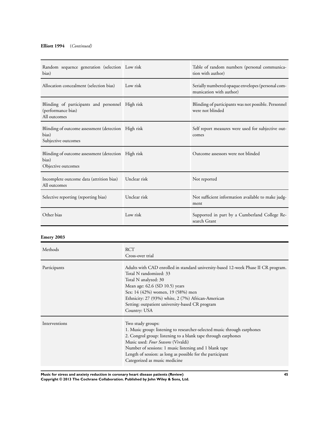### **Elliott 1994** (*Continued)*

| Random sequence generation (selection Low risk<br>bias)                                |              | Table of random numbers (personal communica-<br>tion with author)            |
|----------------------------------------------------------------------------------------|--------------|------------------------------------------------------------------------------|
| Allocation concealment (selection bias)                                                | Low risk     | Serially numbered opaque envelopes (personal com-<br>munication with author) |
| Blinding of participants and personnel High risk<br>(performance bias)<br>All outcomes |              | Blinding of participants was not possible. Personnel<br>were not blinded     |
| Blinding of outcome assessment (detection High risk<br>bias)<br>Subjective outcomes    |              | Self report measures were used for subjective out-<br>comes                  |
| Blinding of outcome assessment (detection High risk<br>bias)<br>Objective outcomes     |              | Outcome assessors were not blinded                                           |
| Incomplete outcome data (attrition bias)<br>All outcomes                               | Unclear risk | Not reported                                                                 |
| Selective reporting (reporting bias)                                                   | Unclear risk | Not sufficient information available to make judg-<br>ment                   |
| Other bias                                                                             | Low risk     | Supported in part by a Cumberland College Re-<br>search Grant                |

### **Emery 2003**

| Methods       | <b>RCT</b><br>Cross-over trial                                                                                                                                                                                                                                                                                                                                       |
|---------------|----------------------------------------------------------------------------------------------------------------------------------------------------------------------------------------------------------------------------------------------------------------------------------------------------------------------------------------------------------------------|
| Participants  | Adults with CAD enrolled in standard university-based 12-week Phase II CR program.<br>Total N randomized: 33<br>Total N analyzed: 30<br>Mean age: 62.6 (SD 10.5) years<br>Sex: 14 (42%) women, 19 (58%) men<br>Ethnicity: 27 (93%) white, 2 (7%) African-American<br>Setting: outpatient university-based CR program<br>Country: USA                                 |
| Interventions | Two study groups:<br>1. Music group: listening to researcher-selected music through earphones<br>2. Congrol group: listening to a blank tape through earphones<br>Music used: <i>Four Seasons</i> (Vivaldi)<br>Number of sessions: 1 music listening and 1 blank tape<br>Length of session: as long as possible for the participant<br>Categorized as music medicine |

**Music for stress and anxiety reduction in coronary heart disease patients (Review) 45**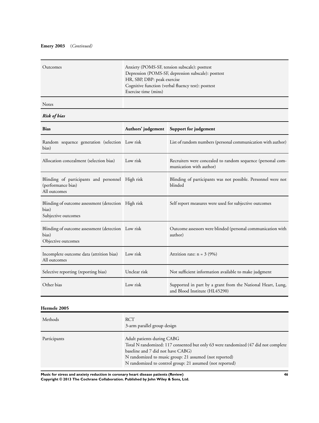### **Emery 2003** (*Continued)*

| Outcomes | Anxiety (POMS-SF, tension subscale): posttest<br>Depression (POMS-SF, depression subscale): posttest<br>HR, SBP, DBP: peak exercise<br>Cognitive function (verbal fluency test): posttest<br>Exercise time (mins) |
|----------|-------------------------------------------------------------------------------------------------------------------------------------------------------------------------------------------------------------------|
|          |                                                                                                                                                                                                                   |

Notes

### *Risk of bias*

| <b>Bias</b>                                                                            | Authors' judgement | Support for judgement                                                                        |
|----------------------------------------------------------------------------------------|--------------------|----------------------------------------------------------------------------------------------|
| Random sequence generation (selection Low risk<br>bias)                                |                    | List of random numbers (personal communication with author)                                  |
| Allocation concealment (selection bias)                                                | Low risk           | Recruiters were concealed to random sequence (personal com-<br>munication with author)       |
| Blinding of participants and personnel High risk<br>(performance bias)<br>All outcomes |                    | Blinding of participants was not possible. Personnel were not<br>blinded                     |
| Blinding of outcome assessment (detection High risk<br>bias)<br>Subjective outcomes    |                    | Self report measures were used for subjective outcomes                                       |
| Blinding of outcome assessment (detection Low risk<br>bias)<br>Objective outcomes      |                    | Outcome assessors were blinded (personal communication with<br>author)                       |
| Incomplete outcome data (attrition bias)<br>All outcomes                               | Low risk           | Attrition rate: $n = 3$ (9%)                                                                 |
| Selective reporting (reporting bias)                                                   | Unclear risk       | Not sufficient information available to make judgment                                        |
| Other bias                                                                             | Low risk           | Supported in part by a grant from the National Heart, Lung,<br>and Blood Institute (HL45290) |

### **Hermele 2005**

| Methods      | <b>RCT</b><br>3-arm parallel group design                                                                                                                                                                                                                                   |
|--------------|-----------------------------------------------------------------------------------------------------------------------------------------------------------------------------------------------------------------------------------------------------------------------------|
| Participants | Adult patients during CABG<br>Total N randomized: 117 consented but only 63 were randomized (47 did not complete<br>baseline and 7 did not have CABG)<br>N randomized to music group: 21 assumed (not reported)<br>N randomized to control group: 21 assumed (not reported) |

**Music for stress and anxiety reduction in coronary heart disease patients (Review) 46**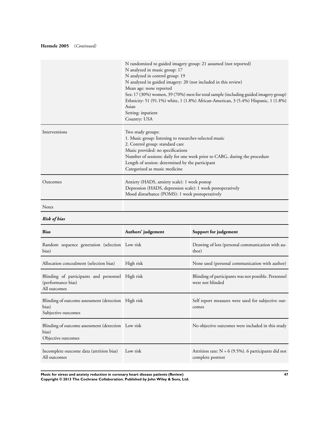### **Hermele 2005** (*Continued)*

|               | N randomized to guided imagery group: 21 assumed (not reported)<br>N analyzed in music group: 17<br>N analyzed in control group: 19<br>N analyzed in guided imagery: 20 (not included in this review)<br>Mean age: none reported<br>Sex: 17 (30%) women, 39 (70%) men for total sample (including guided imagery group)<br>Ethnicity: 51 (91.1%) white, 1 (1.8%) African-American, 3 (5.4%) Hispanic, 1 (1.8%)<br>Asian<br>Setting: inpatient<br>Country: USA |
|---------------|---------------------------------------------------------------------------------------------------------------------------------------------------------------------------------------------------------------------------------------------------------------------------------------------------------------------------------------------------------------------------------------------------------------------------------------------------------------|
| Interventions | Two study groups:<br>1. Music group: listening to researcher-selected music<br>2. Control group: standard care<br>Music provided: no specifications<br>Number of sessions: daily for one week prior to CABG, during the procedure<br>Length of session: determined by the participant<br>Categorized as music medicine                                                                                                                                        |
| Outcomes      | Anxiety (HADS, anxiety scale): 1 week postop<br>Depression (HADS, depression scale): 1 week postoperatively<br>Mood disturbance (POMS): 1 week postoperatively                                                                                                                                                                                                                                                                                                |
|               |                                                                                                                                                                                                                                                                                                                                                                                                                                                               |

### Notes

### *Risk of bias*

| <b>Bias</b>                                                                            | Authors' judgement | Support for judgement                                                         |
|----------------------------------------------------------------------------------------|--------------------|-------------------------------------------------------------------------------|
| Random sequence generation (selection Low risk<br>bias)                                |                    | Drawing of lots (personal communication with au-<br>thor)                     |
| Allocation concealment (selection bias)                                                | High risk          | None used (personal communication with author)                                |
| Blinding of participants and personnel High risk<br>(performance bias)<br>All outcomes |                    | Blinding of participants was not possible. Personnel<br>were not blinded      |
| Blinding of outcome assessment (detection High risk<br>bias)<br>Subjective outcomes    |                    | Self report measures were used for subjective out-<br>comes                   |
| Blinding of outcome assessment (detection Low risk<br>bias)<br>Objective outcomes      |                    | No objective outcomes were included in this study                             |
| Incomplete outcome data (attrition bias)<br>All outcomes                               | Low risk           | Attrition rate: $N = 6 (9.5\%)$ . 6 participants did not<br>complete posttest |

**Music for stress and anxiety reduction in coronary heart disease patients (Review) 47 Copyright © 2013 The Cochrane Collaboration. Published by John Wiley & Sons, Ltd.**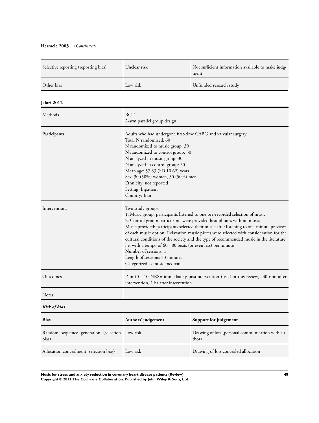### **Hermele 2005** (*Continued)*

| Selective reporting (reporting bias)                    | Unclear risk                                                                                                                                                                                                                                                                                                                                                                                                                                                                                                                                                                                                            | Not sufficient information available to make judg-<br>ment |
|---------------------------------------------------------|-------------------------------------------------------------------------------------------------------------------------------------------------------------------------------------------------------------------------------------------------------------------------------------------------------------------------------------------------------------------------------------------------------------------------------------------------------------------------------------------------------------------------------------------------------------------------------------------------------------------------|------------------------------------------------------------|
| Other bias                                              | Low risk                                                                                                                                                                                                                                                                                                                                                                                                                                                                                                                                                                                                                | Unfunded research study                                    |
| Jafari 2012                                             |                                                                                                                                                                                                                                                                                                                                                                                                                                                                                                                                                                                                                         |                                                            |
| Methods                                                 | <b>RCT</b><br>2-arm parallel group design                                                                                                                                                                                                                                                                                                                                                                                                                                                                                                                                                                               |                                                            |
| Participants                                            | Adults who had undergone first-time CABG and valvular surgery<br>Total N randomized: 60<br>N randomized to music group: 30<br>N randomized to control group: 30<br>N analyzed in music group: 30<br>N analyzed in control group: 30<br>Mean age: 57.83 (SD 10.62) years<br>Sex: 30 (50%) women, 30 (50%) men<br>Ethnicity: not reported<br>Setting: Inpatient<br>Country: Iran                                                                                                                                                                                                                                          |                                                            |
| Interventions                                           | Two study groups:<br>1. Music group: participants listened to one pre-recorded selection of music<br>2. Control group: participants were provided headphones with no music<br>Music provided: participants selected their music after listening to one-minute previews<br>of each music option. Relaxation music pieces were selected with consideration for the<br>cultural conditions of the society and the type of recommended music in the literature,<br>i.e. with a tempo of 60 - 80 beats (or even less) per minute<br>Number of sessions: 1<br>Length of sessions: 30 minutes<br>Categorized as music medicine |                                                            |
| Outcomes                                                | Pain (0 - 10 NRS): immediately postintervention (used in this review), 30 min after<br>intervention, 1 hr after intervention                                                                                                                                                                                                                                                                                                                                                                                                                                                                                            |                                                            |
| Notes                                                   |                                                                                                                                                                                                                                                                                                                                                                                                                                                                                                                                                                                                                         |                                                            |
| <b>Risk of bias</b>                                     |                                                                                                                                                                                                                                                                                                                                                                                                                                                                                                                                                                                                                         |                                                            |
| <b>Bias</b>                                             | Authors' judgement                                                                                                                                                                                                                                                                                                                                                                                                                                                                                                                                                                                                      | Support for judgement                                      |
| Random sequence generation (selection Low risk<br>bias) |                                                                                                                                                                                                                                                                                                                                                                                                                                                                                                                                                                                                                         | Drawing of lots (personal communication with au-<br>thor)  |
| Allocation concealment (selection bias)                 | Low risk                                                                                                                                                                                                                                                                                                                                                                                                                                                                                                                                                                                                                | Drawing of lots concealed allocation                       |

**Music for stress and anxiety reduction in coronary heart disease patients (Review) 48 Copyright © 2013 The Cochrane Collaboration. Published by John Wiley & Sons, Ltd.**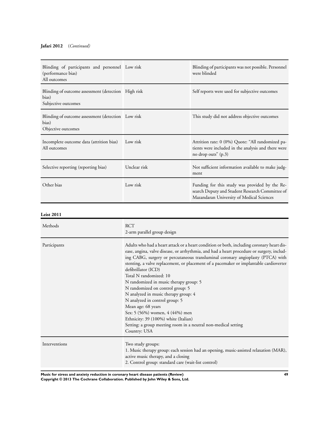### **Jafari 2012** (*Continued)*

| Blinding of participants and personnel Low risk<br>(performance bias)<br>All outcomes |              | Blinding of participants was not possible. Personnel<br>were blinded                                                                           |
|---------------------------------------------------------------------------------------|--------------|------------------------------------------------------------------------------------------------------------------------------------------------|
| Blinding of outcome assessment (detection High risk<br>bias)<br>Subjective outcomes   |              | Self reports were used for subjective outcomes                                                                                                 |
| Blinding of outcome assessment (detection Low risk<br>bias)<br>Objective outcomes     |              | This study did not address objective outcomes                                                                                                  |
| Incomplete outcome data (attrition bias)<br>All outcomes                              | Low risk     | Attrition rate: 0 (0%) Quote: "All randomized pa-<br>tients were included in the analysis and there were<br>no drop outs" $(p.3)$              |
| Selective reporting (reporting bias)                                                  | Unclear risk | Not sufficient information available to make judg-<br>ment                                                                                     |
| Other bias                                                                            | Low risk     | Funding for this study was provided by the Re-<br>search Deputy and Student Research Committee of<br>Mazandaran University of Medical Sciences |

### **Leist 2011**

| Methods       | <b>RCT</b><br>2-arm parallel group design                                                                                                                                                                                                                                                                                                                                                                                                                                                                                                                                                                                                                                                                                                                       |
|---------------|-----------------------------------------------------------------------------------------------------------------------------------------------------------------------------------------------------------------------------------------------------------------------------------------------------------------------------------------------------------------------------------------------------------------------------------------------------------------------------------------------------------------------------------------------------------------------------------------------------------------------------------------------------------------------------------------------------------------------------------------------------------------|
| Participants  | Adults who had a heart attack or a heart condition or both, including coronary heart dis-<br>ease, angina, valve disease, or arrhythmia, and had a heart procedure or surgery, includ-<br>ing CABG, surgery or percutaneous transluminal coronary angioplasty (PTCA) with<br>stenting, a valve replacement, or placement of a pacemaker or implantable cardioverter<br>defibrillator (ICD)<br>Total N randomized: 10<br>N randomized in music therapy group: 5<br>N randomized on control group: 5<br>N analyzed in music therapy group: 4<br>N analyzed in control group: 5<br>Mean age: 68 years<br>Sex: 5 (56%) women, 4 (44%) men<br>Ethnicity: 39 (100%) white (Italian)<br>Setting: a group meeting room in a neutral non-medical setting<br>Country: USA |
| Interventions | Two study groups:<br>1. Music therapy group: each session had an opening, music-assisted relaxation (MAR),<br>active music therapy, and a closing<br>2. Control group: standard care (wait-list control)                                                                                                                                                                                                                                                                                                                                                                                                                                                                                                                                                        |

**Music for stress and anxiety reduction in coronary heart disease patients (Review) 49**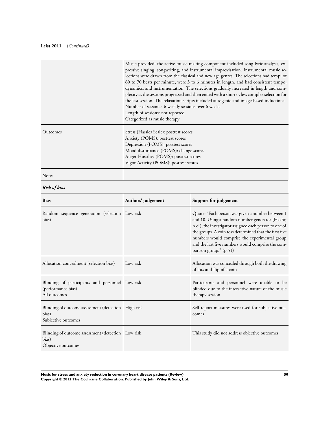### **Leist 2011** (*Continued)*

|          | Music provided: the active music-making component included song lyric analysis, ex-<br>pressive singing, songwriting, and instrumental improvisation. Instrumental music se-<br>lections were drawn from the classical and new age genres. The selections had tempi of<br>60 to 70 beats per minute, were 3 to 6 minutes in length, and had consistent tempo,<br>dynamics, and instrumentation. The selections gradually increased in length and com-<br>plexity as the sessions progressed and then ended with a shorter, less complex selection for<br>the last session. The relaxation scripts included autogenic and image-based inductions<br>Number of sessions: 6 weekly sessions over 6 weeks<br>Length of sessions: not reported<br>Categorized as music therapy |
|----------|---------------------------------------------------------------------------------------------------------------------------------------------------------------------------------------------------------------------------------------------------------------------------------------------------------------------------------------------------------------------------------------------------------------------------------------------------------------------------------------------------------------------------------------------------------------------------------------------------------------------------------------------------------------------------------------------------------------------------------------------------------------------------|
| Outcomes | Stress (Hassles Scale): posttest scores<br>Anxiety (POMS): posttest scores<br>Depression (POMS): posttest scores<br>Mood disturbance (POMS): change scores<br>Anger-Hostility (POMS): posttest scores<br>Vigor-Activity (POMS): posttest scores                                                                                                                                                                                                                                                                                                                                                                                                                                                                                                                           |

Notes

### *Risk of bias*

| <b>Bias</b>                                                                           | Authors' judgement | Support for judgement                                                                                                                                                                                                                                                                                                                                   |
|---------------------------------------------------------------------------------------|--------------------|---------------------------------------------------------------------------------------------------------------------------------------------------------------------------------------------------------------------------------------------------------------------------------------------------------------------------------------------------------|
| Random sequence generation (selection Low risk<br>bias)                               |                    | Quote: "Each person was given a number between 1<br>and 10. Using a random number generator (Haahr,<br>n.d.), the investigator assigned each person to one of<br>the groups. A coin toss determined that the first five<br>numbers would comprise the experimental group<br>and the last five numbers would comprise the com-<br>parison group." (p.51) |
| Allocation concealment (selection bias)                                               | Low risk           | Allocation was concealed through both the drawing<br>of lots and flip of a coin                                                                                                                                                                                                                                                                         |
| Blinding of participants and personnel Low risk<br>(performance bias)<br>All outcomes |                    | Participants and personnel were unable to be<br>blinded due to the interactive nature of the music<br>therapy session                                                                                                                                                                                                                                   |
| Blinding of outcome assessment (detection High risk<br>bias)<br>Subjective outcomes   |                    | Self report measures were used for subjective out-<br>comes                                                                                                                                                                                                                                                                                             |
| Blinding of outcome assessment (detection Low risk<br>bias)<br>Objective outcomes     |                    | This study did not address objective outcomes                                                                                                                                                                                                                                                                                                           |

**Music for stress and anxiety reduction in coronary heart disease patients (Review) 50 Copyright © 2013 The Cochrane Collaboration. Published by John Wiley & Sons, Ltd.**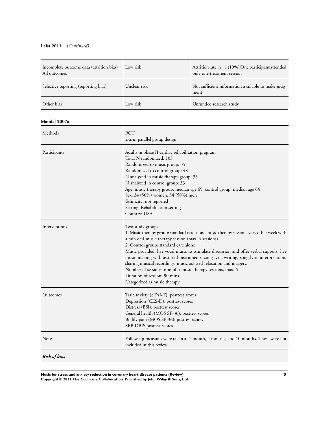### **Leist 2011** (*Continued)*

| Incomplete outcome data (attrition bias)<br>All outcomes | Low risk                                                                                                                                                                                                                                                                                                                                                                                                                                                                                                                                                                                               | Attrition rate: $n = 1 (10\%)$ One participant attended<br>only one treatment session |
|----------------------------------------------------------|--------------------------------------------------------------------------------------------------------------------------------------------------------------------------------------------------------------------------------------------------------------------------------------------------------------------------------------------------------------------------------------------------------------------------------------------------------------------------------------------------------------------------------------------------------------------------------------------------------|---------------------------------------------------------------------------------------|
| Selective reporting (reporting bias)                     | Unclear risk                                                                                                                                                                                                                                                                                                                                                                                                                                                                                                                                                                                           | Not sufficient information available to make judg-<br>ment                            |
| Other bias                                               | Low risk                                                                                                                                                                                                                                                                                                                                                                                                                                                                                                                                                                                               | Unfunded research study                                                               |
| <b>Mandel 2007a</b>                                      |                                                                                                                                                                                                                                                                                                                                                                                                                                                                                                                                                                                                        |                                                                                       |
| Methods                                                  | <b>RCT</b><br>2-arm parallel group design                                                                                                                                                                                                                                                                                                                                                                                                                                                                                                                                                              |                                                                                       |
| Participants                                             | Adults in phase II cardiac rehabilitation program<br>Total N randomized: 103<br>Randomized to music group: 55<br>Randomized to control group: 48<br>N analyzed in music therapy group: 35<br>N analyzed in control group: 33<br>Age: music therapy group: median age 65; control group: median age 64<br>Sex: 34 (50%) women, 34 (50%) men<br>Ethnicity: not reported<br>Setting: Rehabilitation setting<br>Country: USA                                                                                                                                                                               |                                                                                       |
| Interventions                                            | Two study groups:<br>1. Music therapy group: standard care + one music therapy session every other week with<br>a min of 4 music therapy session (max. 6 sessions)<br>2. Control group: standard care alone<br>Music provided: live vocal music to stimulate discussion and offer verbal support, live<br>music making with assorted instruments, song lyric writing, song lyric interpretation,<br>sharing musical recordings, music-assisted relaxation and imagery.<br>Number of sessions: min of 4 music therapy sessions, max. 6<br>Duration of session: 90 mins.<br>Categorized as music therapy |                                                                                       |
| Outcomes                                                 | Trait anxiety (STAI-T): posttest scores<br>Depression (CES-D): posttest scores<br>Distress (BSI): posttest scores<br>General health (MOS SF-36): posttest scores<br>Bodily pain (MOS SF-36): posttest scores<br>SBP, DBP: posttest scores                                                                                                                                                                                                                                                                                                                                                              |                                                                                       |
| Notes                                                    | included in this review                                                                                                                                                                                                                                                                                                                                                                                                                                                                                                                                                                                | Follow-up measures were taken at 1 month, 4 months, and 10 months. These were not     |
| <b>Risk of bias</b>                                      |                                                                                                                                                                                                                                                                                                                                                                                                                                                                                                                                                                                                        |                                                                                       |

**Music for stress and anxiety reduction in coronary heart disease patients (Review) 51 Copyright © 2013 The Cochrane Collaboration. Published by John Wiley & Sons, Ltd.**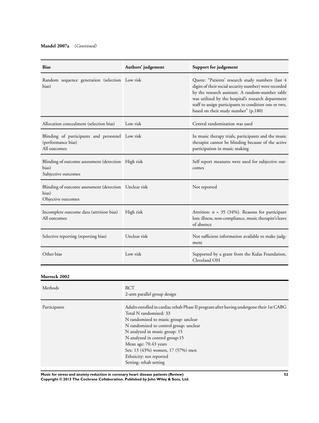| <b>Bias</b>                                                                           | Authors' judgement | Support for judgement                                                                                                                                                                                                                                                                                                |
|---------------------------------------------------------------------------------------|--------------------|----------------------------------------------------------------------------------------------------------------------------------------------------------------------------------------------------------------------------------------------------------------------------------------------------------------------|
| Random sequence generation (selection Low risk<br>bias)                               |                    | Quote: "Patients' research study numbers (last 4<br>digits of their social security number) were recorded<br>by the research assistant. A random-number table<br>was utilized by the hospital's research department<br>staff to assign participants to condition one or two,<br>based on their study number" (p.180) |
| Allocation concealment (selection bias)                                               | Low risk           | Central randomization was used                                                                                                                                                                                                                                                                                       |
| Blinding of participants and personnel Low risk<br>(performance bias)<br>All outcomes |                    | In music therapy trials, participants and the music<br>therapist cannot be blinding because of the active<br>participation in music making                                                                                                                                                                           |
| Blinding of outcome assessment (detection High risk<br>bias)<br>Subjective outcomes   |                    | Self report measures were used for subjective out-<br>comes                                                                                                                                                                                                                                                          |
| Blinding of outcome assessment (detection Unclear risk<br>bias)<br>Objective outcomes |                    | Not reported                                                                                                                                                                                                                                                                                                         |
| Incomplete outcome data (attrition bias)<br>All outcomes                              | High risk          | Attrition: $n = 35$ (34%). Reasons for participant<br>loss: illness, non-compliance, music therapist's leave<br>of absence                                                                                                                                                                                           |
| Selective reporting (reporting bias)                                                  | Unclear risk       | Not sufficient information available to make judg-<br>ment                                                                                                                                                                                                                                                           |
| Other bias                                                                            | Low risk           | Supported by a grant from the Kulas Foundation,<br>Cleveland OH                                                                                                                                                                                                                                                      |
| Murrock 2002                                                                          |                    |                                                                                                                                                                                                                                                                                                                      |
| Methods                                                                               | <b>RCT</b>         |                                                                                                                                                                                                                                                                                                                      |

| Methods      | <b>RCT</b><br>2-arm parallel group design                                                                                                                                                                                                                                                                                                                                                 |
|--------------|-------------------------------------------------------------------------------------------------------------------------------------------------------------------------------------------------------------------------------------------------------------------------------------------------------------------------------------------------------------------------------------------|
| Participants | Adults enrolled in cardiac rehab Phase II program after having undergone their 1st CABG<br>Total N randomized: 33<br>N randomized to music group: unclear<br>N randomized to control group: unclear<br>N analyzed in music group: 15<br>N analyzed in control group:15<br>Mean age: 70.43 years<br>Sex: 13 (43%) women, 17 (57%) men<br>Ethnicity: not reported<br>Setting: rehab setting |

**Music for stress and anxiety reduction in coronary heart disease patients (Review) 52**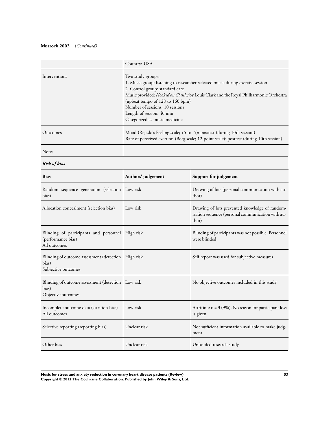### **Murrock 2002** (*Continued)*

|               | Country: USA                                                                                                                                                                                                                                                                                                                                                                 |
|---------------|------------------------------------------------------------------------------------------------------------------------------------------------------------------------------------------------------------------------------------------------------------------------------------------------------------------------------------------------------------------------------|
| Interventions | Two study groups:<br>1. Music group: listening to researcher-selected music during exercise session<br>2. Control group: standard care<br>Music provided: <i>Hooked on Classics</i> by Louis Clark and the Royal Philharmonic Orchestra<br>(upbeat tempo of 128 to 160 bpm)<br>Number of sessions: 10 sessions<br>Length of session: 40 min<br>Categorized as music medicine |
| Outcomes      | Mood (Rejeski's Feeling scale; +5 to -5): posttest (during 10th session)<br>Rate of perceived exertion (Borg scale; 12-point scale): posttest (during 10th session)                                                                                                                                                                                                          |

Notes

*Risk of bias*

| <b>Bias</b>                                                                            | Authors' judgement | Support for judgement                                                                                        |
|----------------------------------------------------------------------------------------|--------------------|--------------------------------------------------------------------------------------------------------------|
| Random sequence generation (selection Low risk<br>bias)                                |                    | Drawing of lots (personal communication with au-<br>thor)                                                    |
| Allocation concealment (selection bias)                                                | Low risk           | Drawing of lots prevented knowledge of random-<br>ization sequence (personal communication with au-<br>thor) |
| Blinding of participants and personnel High risk<br>(performance bias)<br>All outcomes |                    | Blinding of participants was not possible. Personnel<br>were blinded                                         |
| Blinding of outcome assessment (detection High risk<br>bias)<br>Subjective outcomes    |                    | Self report was used for subjective measures                                                                 |
| Blinding of outcome assessment (detection Low risk<br>bias)<br>Objective outcomes      |                    | No objective outcomes included in this study                                                                 |
| Incomplete outcome data (attrition bias)<br>All outcomes                               | Low risk           | Attrition: $n = 3 (9\%)$ . No reason for participant loss<br>is given                                        |
| Selective reporting (reporting bias)                                                   | Unclear risk       | Not sufficient information available to make judg-<br>ment                                                   |
| Other bias                                                                             | Unclear risk       | Unfunded research study                                                                                      |

**Music for stress and anxiety reduction in coronary heart disease patients (Review) 53 Copyright © 2013 The Cochrane Collaboration. Published by John Wiley & Sons, Ltd.**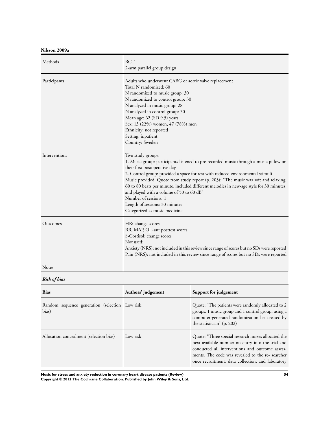**Nilsson 2009a**

| Methods       | <b>RCT</b><br>2-arm parallel group design                                                                                                                                                                                                                                                                                                                                                                                                                                                                                                               |
|---------------|---------------------------------------------------------------------------------------------------------------------------------------------------------------------------------------------------------------------------------------------------------------------------------------------------------------------------------------------------------------------------------------------------------------------------------------------------------------------------------------------------------------------------------------------------------|
| Participants  | Adults who underwent CABG or aortic valve replacement<br>Total N randomized: 60<br>N randomized to music group: 30<br>N randomized to control group: 30<br>N analyzed in music group: 28<br>N analyzed in control group: 30<br>Mean age: 62 (SD 9.5) years<br>Sex: 13 (22%) women, 47 (78%) men<br>Ethnicity: not reported<br>Setting: inpatient<br>Country: Sweden                                                                                                                                                                                     |
| Interventions | Two study groups:<br>1. Music group: participants listened to pre-recorded music through a music pillow on<br>their first postoperative day<br>2. Control group: provided a space for rest with reduced environmental stimuli<br>Music provided: Quote from study report (p. 203): "The music was soft and relaxing,<br>60 to 80 beats per minute, included different melodies in new-age style for 30 minutes,<br>and played with a volume of 50 to 60 dB"<br>Number of sessions: 1<br>Length of sessions: 30 minutes<br>Categorized as music medicine |
| Outcomes      | HR: change scores<br>RR, MAP, O <sub>2</sub> -sat: posttest scores<br>S-Cortisol: change scores<br>Not used:<br>Anxiety (NRS): not included in this review since range of scores but no SDs were reported<br>Pain (NRS): not included in this review since range of scores but no SDs were reported                                                                                                                                                                                                                                                     |
| <b>Notes</b>  |                                                                                                                                                                                                                                                                                                                                                                                                                                                                                                                                                         |

## *Risk of bias*

| <b>Bias</b>                                             | Authors' judgement | Support for judgement                                                                                                                                                                                                                                               |
|---------------------------------------------------------|--------------------|---------------------------------------------------------------------------------------------------------------------------------------------------------------------------------------------------------------------------------------------------------------------|
| Random sequence generation (selection Low risk<br>bias) |                    | Quote: "The patients were randomly allocated to 2<br>groups, 1 music group and 1 control group, using a<br>computer-generated randomization list created by<br>the statistician" (p. 202)                                                                           |
| Allocation concealment (selection bias)                 | Low risk           | Quote: "Three special research nurses allocated the<br>next available number on entry into the trial and<br>conducted all interventions and outcome assess-<br>ments. The code was revealed to the re-searcher<br>once recruitment, data collection, and laboratory |

**Music for stress and anxiety reduction in coronary heart disease patients (Review) 54 Copyright © 2013 The Cochrane Collaboration. Published by John Wiley & Sons, Ltd.**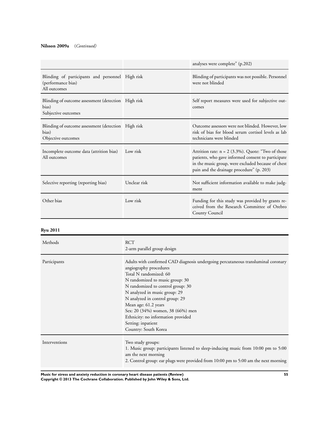### **Nilsson 2009a** (*Continued)*

|                                                                                        |              | analyses were complete" (p.202)                                                                                                                                                                               |
|----------------------------------------------------------------------------------------|--------------|---------------------------------------------------------------------------------------------------------------------------------------------------------------------------------------------------------------|
| Blinding of participants and personnel High risk<br>(performance bias)<br>All outcomes |              | Blinding of participants was not possible. Personnel<br>were not blinded                                                                                                                                      |
| Blinding of outcome assessment (detection High risk<br>bias)<br>Subjective outcomes    |              | Self report measures were used for subjective out-<br>comes                                                                                                                                                   |
| Blinding of outcome assessment (detection High risk<br>bias)<br>Objective outcomes     |              | Outcome assessors were not blinded. However, low<br>risk of bias for blood serum cortisol levels as lab<br>technicians were blinded                                                                           |
| Incomplete outcome data (attrition bias)<br>All outcomes                               | Low risk     | Attrition rate: $n = 2$ (3.3%). Quote: "Two of those<br>patients, who gave informed consent to participate<br>in the music group, were excluded because of chest<br>pain and the drainage procedure" (p. 203) |
| Selective reporting (reporting bias)                                                   | Unclear risk | Not sufficient information available to make judg-<br>ment                                                                                                                                                    |
| Other bias                                                                             | Low risk     | Funding for this study was provided by grants re-<br>ceived from the Research Committee of Orebro<br>County Council                                                                                           |

# **Ryu 2011**

| Methods       | <b>RCT</b><br>2-arm parallel group design                                                                                                                                                                                                                                                                                                                                                                                          |
|---------------|------------------------------------------------------------------------------------------------------------------------------------------------------------------------------------------------------------------------------------------------------------------------------------------------------------------------------------------------------------------------------------------------------------------------------------|
| Participants  | Adults with confirmed CAD diagnosis undergoing percutaneous transluminal coronary<br>angiography procedures<br>Total N randomized: 60<br>N randomized to music group: 30<br>N randomized to control group: 30<br>N analyzed in music group: 29<br>N analyzed in control group: 29<br>Mean age: 61.2 years<br>Sex: 20 (34%) women, 38 (66%) men<br>Ethnicity: no information provided<br>Setting: inpatient<br>Country: South Korea |
| Interventions | Two study groups:<br>1. Music group: participants listened to sleep-inducing music from 10:00 pm to 5:00<br>am the next morning<br>2. Control group: ear plugs were provided from 10:00 pm to 5:00 am the next morning                                                                                                                                                                                                             |

**Music for stress and anxiety reduction in coronary heart disease patients (Review) 55**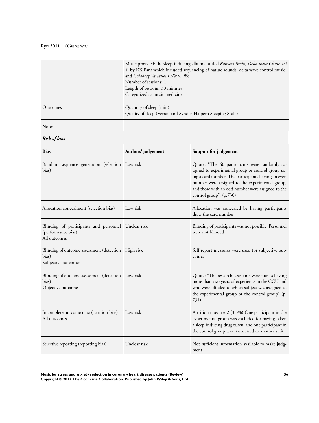### **Ryu 2011** (*Continued)*

|          | Music provided: the sleep-inducing album entitled Korean's Brain, Delta wave Clinic Vol<br>1. by KK Park which included sequencing of nature sounds, delta wave control music,<br>and Goldberg Variations BWV. 988<br>Number of sessions: 1<br>Length of sessions: 30 minutes<br>Categorized as music medicine |
|----------|----------------------------------------------------------------------------------------------------------------------------------------------------------------------------------------------------------------------------------------------------------------------------------------------------------------|
| Outcomes | Quantity of sleep (min)<br>Quality of sleep (Verran and Synder-Halpern Sleeping Scale)                                                                                                                                                                                                                         |

Notes

### *Risk of bias*

| <b>Bias</b>                                                                               | Authors' judgement | Support for judgement                                                                                                                                                                                                                                                                       |
|-------------------------------------------------------------------------------------------|--------------------|---------------------------------------------------------------------------------------------------------------------------------------------------------------------------------------------------------------------------------------------------------------------------------------------|
| Random sequence generation (selection Low risk<br>bias)                                   |                    | Quote: "The 60 participants were randomly as-<br>signed to experimental group or control group us-<br>ing a card number. The participants having an even<br>number were assigned to the experimental group,<br>and those with an odd number were assigned to the<br>control group". (p.730) |
| Allocation concealment (selection bias)                                                   | Low risk           | Allocation was concealed by having participants<br>draw the card number                                                                                                                                                                                                                     |
| Blinding of participants and personnel Unclear risk<br>(performance bias)<br>All outcomes |                    | Blinding of participants was not possible. Personnel<br>were not blinded                                                                                                                                                                                                                    |
| Blinding of outcome assessment (detection High risk<br>bias)<br>Subjective outcomes       |                    | Self report measures were used for subjective out-<br>comes                                                                                                                                                                                                                                 |
| Blinding of outcome assessment (detection Low risk<br>bias)<br>Objective outcomes         |                    | Quote: "The research assistants were nurses having<br>more than two years of experience in the CCU and<br>who were blinded to which subject was assigned to<br>the experimental group or the control group" (p.<br>731)                                                                     |
| Incomplete outcome data (attrition bias)<br>All outcomes                                  | Low risk           | Attrition rate: $n = 2$ (3.3%) One participant in the<br>experimental group was excluded for having taken<br>a sleep-inducing drug taken, and one participant in<br>the control group was transferred to another unit                                                                       |
| Selective reporting (reporting bias)                                                      | Unclear risk       | Not sufficient information available to make judg-<br>ment                                                                                                                                                                                                                                  |

**Music for stress and anxiety reduction in coronary heart disease patients (Review) 56 Copyright © 2013 The Cochrane Collaboration. Published by John Wiley & Sons, Ltd.**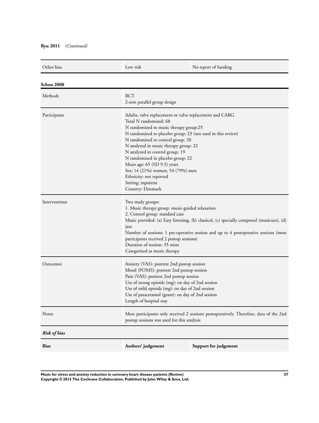### **Ryu 2011** (*Continued)*

| Other bias          | Low risk                                                                                                                                                                                                                                                                                                                                                                                                                                                                                  | No report of funding  |
|---------------------|-------------------------------------------------------------------------------------------------------------------------------------------------------------------------------------------------------------------------------------------------------------------------------------------------------------------------------------------------------------------------------------------------------------------------------------------------------------------------------------------|-----------------------|
| Schou 2008          |                                                                                                                                                                                                                                                                                                                                                                                                                                                                                           |                       |
| Methods             | <b>RCT</b><br>2-arm parallel group design                                                                                                                                                                                                                                                                                                                                                                                                                                                 |                       |
| Participants        | Adults, valve replacement or valve replacement and CABG<br>Total N randomized: 68<br>N randomized to music therapy group:25<br>N randomized to placebo group: 23 (not used in this review)<br>N randomized to control group: 20<br>N analyzed in music therapy group: 22<br>N analyzed in control group: 19<br>N randomized in placebo group: 22<br>Mean age: 65 (SD 9.5) years<br>Sex: 14 (21%) women, 54 (79%) men<br>Ethnicity: not reported<br>Setting: inpatient<br>Country: Denmark |                       |
| Interventions       | Two study groups:<br>1. Music therapy group: music-guided relaxation<br>2. Control group: standard care<br>Music provided: (a) Easy listening, (b) classical, (c) specially composed (musicure), (d)<br>jazz<br>Number of sessions: 1 pre-operative session and up to 4 postoperative sessions (most<br>participants received 2 postop sessions)<br>Duration of session: 35 mins<br>Categorized as music therapy                                                                          |                       |
| Outcomes            | Anxiety (VAS): posttest 2nd postop session<br>Mood (POMS): posttest 2nd postop session<br>Pain (VAS): posttest 2nd postop session<br>Use of strong opioids (mg): on day of 2nd session<br>Use of mild opioids (mg): on day of 2nd session<br>Use of paracetamol (gram): on day of 2nd session<br>Length of hospital stay                                                                                                                                                                  |                       |
| Notes               | Most participants only received 2 sessions postoperatively. Therefore, data of the 2nd<br>postop sessions was used for this analysis                                                                                                                                                                                                                                                                                                                                                      |                       |
| <b>Risk of bias</b> |                                                                                                                                                                                                                                                                                                                                                                                                                                                                                           |                       |
| <b>Bias</b>         | Authors' judgement                                                                                                                                                                                                                                                                                                                                                                                                                                                                        | Support for judgement |

**Music for stress and anxiety reduction in coronary heart disease patients (Review) 57 Copyright © 2013 The Cochrane Collaboration. Published by John Wiley & Sons, Ltd.**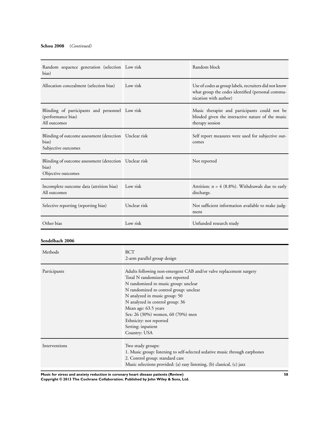### **Schou 2008** (*Continued)*

| Random sequence generation (selection Low risk<br>bias)                                |              | Random block                                                                                                                       |
|----------------------------------------------------------------------------------------|--------------|------------------------------------------------------------------------------------------------------------------------------------|
| Allocation concealment (selection bias)                                                | Low risk     | Use of codes as group labels, recruiters did not know<br>what group the codes identified (personal commu-<br>nication with author) |
| Blinding of participants and personnel Low risk<br>(performance bias)<br>All outcomes  |              | Music therapist and participants could not be<br>blinded given the interactive nature of the music<br>therapy session              |
| Blinding of outcome assessment (detection Unclear risk<br>bias)<br>Subjective outcomes |              | Self report measures were used for subjective out-<br>comes                                                                        |
| Blinding of outcome assessment (detection Unclear risk<br>bias)<br>Objective outcomes  |              | Not reported                                                                                                                       |
| Incomplete outcome data (attrition bias)<br>All outcomes                               | Low risk     | Attrition: $n = 4$ (8.8%). Withdrawals due to early<br>discharge.                                                                  |
| Selective reporting (reporting bias)                                                   | Unclear risk | Not sufficient information available to make judg-<br>ment                                                                         |
| Other bias                                                                             | Low risk     | Unfunded research study                                                                                                            |

### **Sendelbach 2006**

| Methods       | <b>RCT</b><br>2-arm parallel group design                                                                                                                                                                                                                                                                                                                                                  |
|---------------|--------------------------------------------------------------------------------------------------------------------------------------------------------------------------------------------------------------------------------------------------------------------------------------------------------------------------------------------------------------------------------------------|
| Participants  | Adults following non-emergent CAB and/or valve replacement surgery<br>Total N randomized: not reported<br>N randomized to music group: unclear<br>N randomized to control group: unclear<br>N analyzed in music group: 50<br>N analyzed in control group: 36<br>Mean age: 63.5 years<br>Sex: 26 (30%) women, 60 (70%) men<br>Ethnicity: not reported<br>Setting: inpatient<br>Country: USA |
| Interventions | Two study groups:<br>1. Music group: listening to self-selected sedative music through earphones<br>2. Control group: standard care<br>Music selections provided: (a) easy listening, (b) classical, (c) jazz                                                                                                                                                                              |

**Music for stress and anxiety reduction in coronary heart disease patients (Review) 58**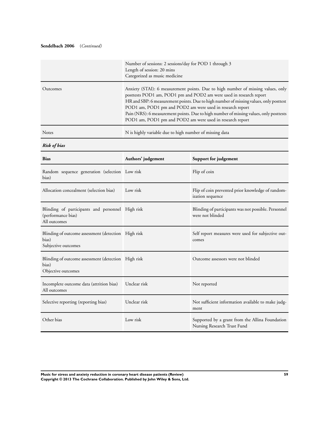### **Sendelbach 2006** (*Continued)*

|              | Number of sessions: 2 sessions/day for POD 1 through 3<br>Length of session: 20 mins<br>Categorized as music medicine                                                                                                                                                                                                                                                                                                                                                |
|--------------|----------------------------------------------------------------------------------------------------------------------------------------------------------------------------------------------------------------------------------------------------------------------------------------------------------------------------------------------------------------------------------------------------------------------------------------------------------------------|
| Outcomes     | Anxiety (STAI): 6 measurement points. Due to high number of missing values, only<br>posttests POD1 am, POD1 pm and POD2 am were used in research report<br>HR and SBP: 6 measurement points. Due to high number of missing values, only posttest<br>POD1 am, POD1 pm and POD2 am were used in research report<br>Pain (NRS): 6 measurement points. Due to high number of missing values, only posttests<br>POD1 am, POD1 pm and POD2 am were used in research report |
| <b>Notes</b> | N is highly variable due to high number of missing data                                                                                                                                                                                                                                                                                                                                                                                                              |

*Risk of bias*

| <b>Bias</b>                                                                            | Authors' judgement | Support for judgement                                                          |
|----------------------------------------------------------------------------------------|--------------------|--------------------------------------------------------------------------------|
| Random sequence generation (selection Low risk<br>bias)                                |                    | Flip of coin                                                                   |
| Allocation concealment (selection bias)                                                | Low risk           | Flip of coin prevented prior knowledge of random-<br>ization sequence          |
| Blinding of participants and personnel High risk<br>(performance bias)<br>All outcomes |                    | Blinding of participants was not possible. Personnel<br>were not blinded       |
| Blinding of outcome assessment (detection High risk<br>bias)<br>Subjective outcomes    |                    | Self report measures were used for subjective out-<br>comes                    |
| Blinding of outcome assessment (detection High risk<br>bias)<br>Objective outcomes     |                    | Outcome assessors were not blinded                                             |
| Incomplete outcome data (attrition bias)<br>All outcomes                               | Unclear risk       | Not reported                                                                   |
| Selective reporting (reporting bias)                                                   | Unclear risk       | Not sufficient information available to make judg-<br>ment                     |
| Other bias                                                                             | Low risk           | Supported by a grant from the Allina Foundation<br>Nursing Research Trust Fund |

**Music for stress and anxiety reduction in coronary heart disease patients (Review) 59 Copyright © 2013 The Cochrane Collaboration. Published by John Wiley & Sons, Ltd.**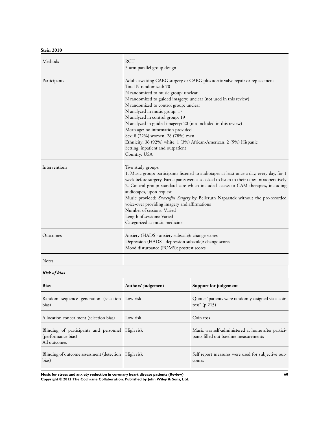**Stein 2010**

| Methods                                                 | RCT<br>3-arm parallel group design                                                                                                                                                                                                                                                                                                                                                                                                                                                                                                                                                                       |                                                                           |
|---------------------------------------------------------|----------------------------------------------------------------------------------------------------------------------------------------------------------------------------------------------------------------------------------------------------------------------------------------------------------------------------------------------------------------------------------------------------------------------------------------------------------------------------------------------------------------------------------------------------------------------------------------------------------|---------------------------------------------------------------------------|
| Participants                                            | Adults awaiting CABG surgery or CABG plus aortic valve repair or replacement<br>Total N randomized: 70<br>N randomized to music group: unclear<br>N randomized to guided imagery: unclear (not used in this review)<br>N randomized to control group: unclear<br>N analyzed in music group: 17<br>N analyzed in control group: 19<br>N analyzed in guided imagery: 20 (not included in this review)<br>Mean age: no information provided<br>Sex: 8 (22%) women, 28 (78%) men<br>Ethnicity: 36 (92%) white, 1 (3%) African-American, 2 (5%) Hispanic<br>Setting: inpatient and outpatient<br>Country: USA |                                                                           |
| Interventions                                           | Two study groups:<br>1. Music group: participants listened to audiotapes at least once a day, every day, for 1<br>week before surgery. Participants were also asked to listen to their tapes intraoperatively<br>2. Control group: standard care which included access to CAM therapies, including<br>audiotapes, upon request<br>Music provided: Successful Surgery by Belleruth Naparstek without the pre-recorded<br>voice-over providing imagery and affirmations<br>Number of sessions: Varied<br>Length of sessions: Varied<br>Categorized as music medicine                                       |                                                                           |
| Outcomes                                                | Anxiety (HADS - anxiety subscale): change scores<br>Depression (HADS - depression subscale): change scores<br>Mood disturbance (POMS): posttest scores                                                                                                                                                                                                                                                                                                                                                                                                                                                   |                                                                           |
| <b>Notes</b>                                            |                                                                                                                                                                                                                                                                                                                                                                                                                                                                                                                                                                                                          |                                                                           |
| <b>Risk of bias</b>                                     |                                                                                                                                                                                                                                                                                                                                                                                                                                                                                                                                                                                                          |                                                                           |
| <b>Bias</b>                                             | Authors' judgement                                                                                                                                                                                                                                                                                                                                                                                                                                                                                                                                                                                       | Support for judgement                                                     |
| Random sequence generation (selection Low risk<br>hiac) |                                                                                                                                                                                                                                                                                                                                                                                                                                                                                                                                                                                                          | Quote: "patients were randomly assigned via a coin<br>$tose''$ (n $215$ ) |

| <b>Bias</b>                                                                            | Authors' judgement | Support for judgement                                                                        |
|----------------------------------------------------------------------------------------|--------------------|----------------------------------------------------------------------------------------------|
| Random sequence generation (selection Low risk<br>bias)                                |                    | Quote: "patients were randomly assigned via a coin<br>toss''(p.215)                          |
| Allocation concealment (selection bias)                                                | Low risk           | Coin toss                                                                                    |
| Blinding of participants and personnel High risk<br>(performance bias)<br>All outcomes |                    | Music was self-administered at home after partici-<br>pants filled out baseline measurements |
| Blinding of outcome assessment (detection High risk<br>bias)                           |                    | Self report measures were used for subjective out-<br>comes                                  |

**Music for stress and anxiety reduction in coronary heart disease patients (Review) 60**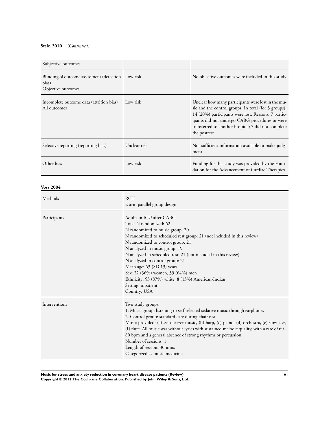### **Stein 2010** (*Continued)*

| Subjective outcomes                                                               |              |                                                                                                                                                                                                                                                                                            |
|-----------------------------------------------------------------------------------|--------------|--------------------------------------------------------------------------------------------------------------------------------------------------------------------------------------------------------------------------------------------------------------------------------------------|
| Blinding of outcome assessment (detection Low risk<br>bias)<br>Objective outcomes |              | No objective outcomes were included in this study                                                                                                                                                                                                                                          |
| Incomplete outcome data (attrition bias)<br>All outcomes                          | Low risk     | Unclear how many participants were lost in the mu-<br>sic and the control groups. In total (for 3 groups),<br>14 (20%) participants were lost. Reasons: 7 partic-<br>ipants did not undergo CABG procedures or were<br>transferred to another hospital; 7 did not complete<br>the posttest |
| Selective reporting (reporting bias)                                              | Unclear risk | Not sufficient information available to make judg-<br>ment                                                                                                                                                                                                                                 |
| Other bias                                                                        | Low risk     | Funding for this study was provided by the Foun-<br>dation for the Advancement of Cardiac Therapies                                                                                                                                                                                        |
| <b>Voss 2004</b>                                                                  |              |                                                                                                                                                                                                                                                                                            |

**Voss 2004**

| Methods       | <b>RCT</b><br>2-arm parallel group design                                                                                                                                                                                                                                                                                                                                                                                                                                                                  |
|---------------|------------------------------------------------------------------------------------------------------------------------------------------------------------------------------------------------------------------------------------------------------------------------------------------------------------------------------------------------------------------------------------------------------------------------------------------------------------------------------------------------------------|
| Participants  | Adults in ICU after CABG<br>Total N randomized: 62<br>N randomized to music group: 20<br>N randomized to scheduled rest group: 21 (not included in this review)<br>N randomized to control group: 21<br>N analyzed in music group: 19<br>N analyzed in scheduled rest: 21 (not included in this review)<br>N analyzed in control group: 21<br>Mean age: 63 (SD 13) years<br>Sex: 22 (36%) women, 39 (64%) men<br>Ethnicity: 53 (87%) white, 8 (13%) American-Indian<br>Setting: inpatient<br>Country: USA  |
| Interventions | Two study groups:<br>1. Music group: listening to self-selected sedative music through earphones<br>2. Control group: standard care during chair rest.<br>Music provided: (a) synthesizer music, (b) harp, (c) piano, (d) orchestra, (e) slow jazz,<br>(f) flute. All music was without lyrics with sustained melodic quality, with a rate of 60 -<br>80 bpm and a general absence of strong rhythms or percussion<br>Number of sessions: 1<br>Length of session: 30 mins<br>Categorized as music medicine |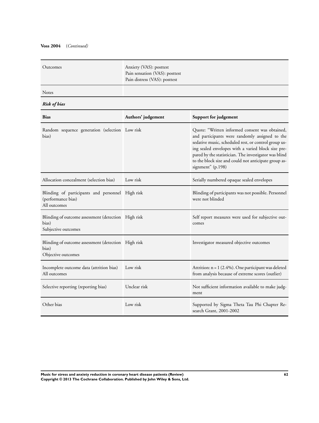### **Voss 2004** (*Continued)*

| Outcomes | Anxiety (VAS): posttest<br>Pain sensation (VAS): posttest<br>Pain distress (VAS): posttest |
|----------|--------------------------------------------------------------------------------------------|
|          |                                                                                            |

## Notes

# *Risk of bias*

| <b>Bias</b>                                                                            | Authors' judgement | Support for judgement                                                                                                                                                                                                                                                                                                                                |
|----------------------------------------------------------------------------------------|--------------------|------------------------------------------------------------------------------------------------------------------------------------------------------------------------------------------------------------------------------------------------------------------------------------------------------------------------------------------------------|
| Random sequence generation (selection Low risk<br>bias)                                |                    | Quote: "Written informed consent was obtained,<br>and participants were randomly assigned to the<br>sedative music, scheduled rest, or control group us-<br>ing sealed envelopes with a varied block size pre-<br>pared by the statistician. The investigator was blind<br>to the block size and could not anticipate group as-<br>signment" (p.198) |
| Allocation concealment (selection bias)                                                | Low risk           | Serially numbered opaque sealed envelopes                                                                                                                                                                                                                                                                                                            |
| Blinding of participants and personnel High risk<br>(performance bias)<br>All outcomes |                    | Blinding of participants was not possible. Personnel<br>were not blinded                                                                                                                                                                                                                                                                             |
| Blinding of outcome assessment (detection High risk<br>bias)<br>Subjective outcomes    |                    | Self report measures were used for subjective out-<br>comes                                                                                                                                                                                                                                                                                          |
| Blinding of outcome assessment (detection High risk<br>bias)<br>Objective outcomes     |                    | Investigator measured objective outcomes                                                                                                                                                                                                                                                                                                             |
| Incomplete outcome data (attrition bias)<br>All outcomes                               | Low risk           | Attrition: n = 1 (2.4%). One participant was deleted<br>from analysis because of extreme scores (outlier)                                                                                                                                                                                                                                            |
| Selective reporting (reporting bias)                                                   | Unclear risk       | Not sufficient information available to make judg-<br>ment                                                                                                                                                                                                                                                                                           |
| Other bias                                                                             | Low risk           | Supported by Sigma Theta Tau Phi Chapter Re-<br>search Grant, 2001-2002                                                                                                                                                                                                                                                                              |

**Music for stress and anxiety reduction in coronary heart disease patients (Review) 62 Copyright © 2013 The Cochrane Collaboration. Published by John Wiley & Sons, Ltd.**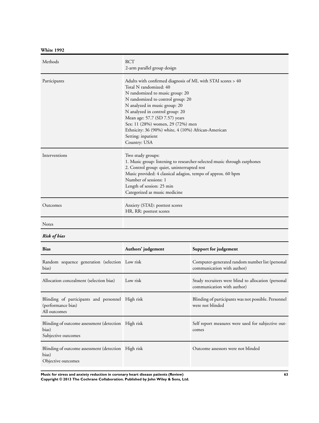**White 1992**

| Methods       | <b>RCT</b><br>2-arm parallel group design                                                                                                                                                                                                                                                                                                                                                              |
|---------------|--------------------------------------------------------------------------------------------------------------------------------------------------------------------------------------------------------------------------------------------------------------------------------------------------------------------------------------------------------------------------------------------------------|
| Participants  | Adults with confirmed diagnosis of MI, with STAI scores > 40<br>Total N randomized: 40<br>N randomized to music group: 20<br>N randomized to control group: 20<br>N analyzed in music group: 20<br>N analyzed in control group: 20<br>Mean age: 57.7 (SD 7.57) years<br>Sex: 11 (28%) women, 29 (72%) men<br>Ethnicity: 36 (90%) white, 4 (10%) African-American<br>Setting: inpatient<br>Country: USA |
| Interventions | Two study groups:<br>1. Music group: listening to researcher-selected music through earphones<br>2. Control group: quiet, uninterrupted rest<br>Music provided: 4 classical adagios, tempo of approx. 60 bpm<br>Number of sessions: 1<br>Length of session: 25 min<br>Categorized as music medicine                                                                                                    |
| Outcomes      | Anxiety (STAI): posttest scores<br>HR, RR: posttest scores                                                                                                                                                                                                                                                                                                                                             |
| <b>Notes</b>  |                                                                                                                                                                                                                                                                                                                                                                                                        |

*Risk of bias*

| <b>Bias</b>                                                                            | Authors' judgement | Support for judgement                                                             |
|----------------------------------------------------------------------------------------|--------------------|-----------------------------------------------------------------------------------|
| Random sequence generation (selection Low risk<br>bias)                                |                    | Computer-generated random number list (personal<br>communication with author)     |
| Allocation concealment (selection bias)                                                | Low risk           | Study recruiters were blind to allocation (personal<br>communication with author) |
| Blinding of participants and personnel High risk<br>(performance bias)<br>All outcomes |                    | Blinding of participants was not possible. Personnel<br>were not blinded          |
| Blinding of outcome assessment (detection High risk<br>bias)<br>Subjective outcomes    |                    | Self report measures were used for subjective out-<br>comes                       |
| Blinding of outcome assessment (detection High risk<br>bias)<br>Objective outcomes     |                    | Outcome assessors were not blinded                                                |

**Music for stress and anxiety reduction in coronary heart disease patients (Review) 63 Copyright © 2013 The Cochrane Collaboration. Published by John Wiley & Sons, Ltd.**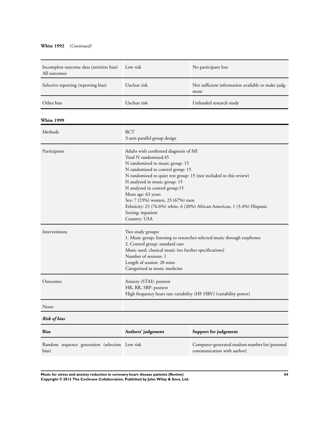### **White 1992** (*Continued)*

| Incomplete outcome data (attrition bias)<br>All outcomes | Low risk                                                                                                                                                                                                                                                                                                                                                                                                                                                    | No participant loss                                                           |
|----------------------------------------------------------|-------------------------------------------------------------------------------------------------------------------------------------------------------------------------------------------------------------------------------------------------------------------------------------------------------------------------------------------------------------------------------------------------------------------------------------------------------------|-------------------------------------------------------------------------------|
| Selective reporting (reporting bias)                     | Unclear risk                                                                                                                                                                                                                                                                                                                                                                                                                                                | Not sufficient information available to make judg-<br>ment                    |
| Other bias                                               | Unclear risk                                                                                                                                                                                                                                                                                                                                                                                                                                                | Unfunded research study                                                       |
| White 1999                                               |                                                                                                                                                                                                                                                                                                                                                                                                                                                             |                                                                               |
| Methods                                                  | <b>RCT</b><br>3-arm parallel group design                                                                                                                                                                                                                                                                                                                                                                                                                   |                                                                               |
| Participants                                             | Adults with confirmed diagnosis of MI<br>Total N randomized:45<br>N randomized to music group: 15<br>N randomized to control group: 15<br>N randomized to quiet rest group: 15 (not included in this review)<br>N analyzed in music group: 15<br>N analyzed in control group:15<br>Mean age: 63 years<br>Sex: 7 (23%) women, 23 (67%) men<br>Ethnicity: 23 (76.6%) white, 6 (20%) African-American, 1 (3.4%) Hispanic<br>Setting: inpatient<br>Country: USA |                                                                               |
| Interventions                                            | Two study groups:<br>1. Music group: listening to researcher-selected music through earphones<br>2. Control group: standard care<br>Music used: classical music (no further specifications)<br>Number of sessions: 1<br>Length of session: 20 mins<br>Categorized as music medicine                                                                                                                                                                         |                                                                               |
| Outcomes                                                 | Anxiety (STAI): posttest<br>HR, RR, SBP: posttest<br>High frequency heart rate variability (HF HRV) (variability power)                                                                                                                                                                                                                                                                                                                                     |                                                                               |
| Notes                                                    |                                                                                                                                                                                                                                                                                                                                                                                                                                                             |                                                                               |
| <b>Risk of bias</b>                                      |                                                                                                                                                                                                                                                                                                                                                                                                                                                             |                                                                               |
| <b>Bias</b>                                              | Authors' judgement                                                                                                                                                                                                                                                                                                                                                                                                                                          | Support for judgement                                                         |
| Random sequence generation (selection Low risk<br>bias)  |                                                                                                                                                                                                                                                                                                                                                                                                                                                             | Computer-generated random number list (personal<br>communication with author) |

**Music for stress and anxiety reduction in coronary heart disease patients (Review) 64 Copyright © 2013 The Cochrane Collaboration. Published by John Wiley & Sons, Ltd.**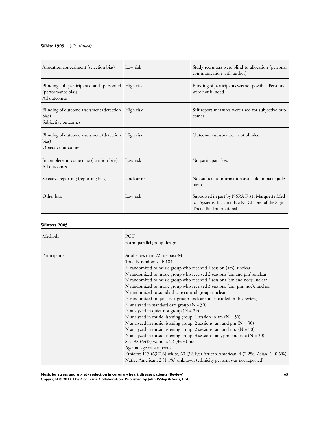### **White 1999** (*Continued)*

| Allocation concealment (selection bias)                                                | Low risk     | Study recruiters were blind to allocation (personal<br>communication with author)                                                |
|----------------------------------------------------------------------------------------|--------------|----------------------------------------------------------------------------------------------------------------------------------|
| Blinding of participants and personnel High risk<br>(performance bias)<br>All outcomes |              | Blinding of participants was not possible. Personnel<br>were not blinded                                                         |
| Blinding of outcome assessment (detection High risk<br>bias)<br>Subjective outcomes    |              | Self report measures were used for subjective out-<br>comes                                                                      |
| Blinding of outcome assessment (detection High risk<br>bias)<br>Objective outcomes     |              | Outcome assessors were not blinded                                                                                               |
| Incomplete outcome data (attrition bias)<br>All outcomes                               | Low risk     | No participant loss                                                                                                              |
| Selective reporting (reporting bias)                                                   | Unclear risk | Not sufficient information available to make judg-<br>ment                                                                       |
| Other bias                                                                             | Low risk     | Supported in part by NSRA F 31; Marquette Med-<br>ical Systems, Inc,; and Eta Nu Chapter of the Sigma<br>Theta Tau International |

### **Winters 2005**

| Methods      | <b>RCT</b><br>6-arm parallel group design                                                                                                                                                                                                                                                                                                                                                                                                                                                                                                                                                                                                                                                                                                                                                                                                                                                                                                                                                                                                                                                                                                  |
|--------------|--------------------------------------------------------------------------------------------------------------------------------------------------------------------------------------------------------------------------------------------------------------------------------------------------------------------------------------------------------------------------------------------------------------------------------------------------------------------------------------------------------------------------------------------------------------------------------------------------------------------------------------------------------------------------------------------------------------------------------------------------------------------------------------------------------------------------------------------------------------------------------------------------------------------------------------------------------------------------------------------------------------------------------------------------------------------------------------------------------------------------------------------|
| Participants | Adults less than 72 hrs post-MI<br>Total N randomized: 184<br>N randomized to music group who received 1 session (am): unclear<br>N randomized to music group who received 2 sessions (am and pm):unclear<br>N randomized to music group who received 2 sessions (am and noc):unclear<br>N randomized to music group who received 3 sessions (am, pm, noc): unclear<br>N randomized to standard care control group: unclear<br>N randomized to quiet rest group: unclear (not included in this review)<br>N analyzed in standard care group $(N = 30)$<br>N analyzed in quiet rest group $(N = 29)$<br>N analyzed in music listening group, 1 session in am $(N = 30)$<br>N analyzed in music listening group, 2 sessions, am and pm $(N = 30)$<br>N analyzed in music listening group, 2 sessions, am and noc $(N = 30)$<br>N analyzed in music listening group, 3 sessions, am, pm, and noc $(N = 30)$<br>Sex: 38 (64%) women, 22 (36%) men<br>Age: no age data reported<br>Etnicity: 117 (63.7%) white, 60 (32.4%) African-American, 4 (2.2%) Asian, 1 (0.6%)<br>Native American, 2 (1.1%) unknown (ethnicity per arm was not reported) |

**Music for stress and anxiety reduction in coronary heart disease patients (Review) 65**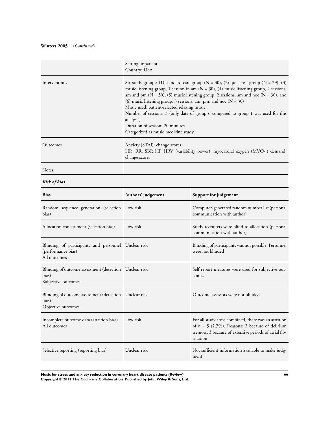### **Winters 2005** (*Continued)*

|               | Setting: inpatient<br>Country: USA                                                                                                                                                                                                                                                                                                                                                                                                                                                                                                                                                         |
|---------------|--------------------------------------------------------------------------------------------------------------------------------------------------------------------------------------------------------------------------------------------------------------------------------------------------------------------------------------------------------------------------------------------------------------------------------------------------------------------------------------------------------------------------------------------------------------------------------------------|
| Interventions | Six study groups: (1) standard care group $(N = 30)$ , (2) quiet rest group $(N = 29)$ , (3)<br>music listening group, 1 session in am $(N = 30)$ , (4) music listening group, 2 sessions,<br>am and pm ( $N = 30$ ), (5) music listening group, 2 sessions, am and noc ( $N = 30$ ), and<br>(6) music listening group, 3 sessions, am, pm, and noc $(N = 30)$<br>Music used: patient-selected relaxing music<br>Number of sessions: 3 (only data of group 6 compared to group 1 was used for this<br>analysis)<br>Duration of session: 20 minutes<br>Categorized as music medicine study. |
| Outcomes      | Anxiety (STAI): change scores<br>HR, RR, SBP, HF HRV (variability power), myocardial oxygen $(MVO2)$ demand:<br>change scores                                                                                                                                                                                                                                                                                                                                                                                                                                                              |
|               |                                                                                                                                                                                                                                                                                                                                                                                                                                                                                                                                                                                            |

Notes

## *Risk of bias*

| <b>Bias</b>                                                                               | Authors' judgement | Support for judgement                                                                                                                                                           |
|-------------------------------------------------------------------------------------------|--------------------|---------------------------------------------------------------------------------------------------------------------------------------------------------------------------------|
| Random sequence generation (selection Low risk<br>bias)                                   |                    | Computer-generated random number list (personal<br>communication with author)                                                                                                   |
| Allocation concealment (selection bias)                                                   | Low risk           | Study recruiters were blind to allocation (personal<br>communication with author)                                                                                               |
| Blinding of participants and personnel Unclear risk<br>(performance bias)<br>All outcomes |                    | Blinding of participants was not possible. Personnel<br>were not blinded                                                                                                        |
| Blinding of outcome assessment (detection Unclear risk<br>bias)<br>Subjective outcomes    |                    | Self report measures were used for subjective out-<br>comes                                                                                                                     |
| Blinding of outcome assessment (detection Unclear risk<br>bias)<br>Objective outcomes     |                    | Outcome assessors were not blinded                                                                                                                                              |
| Incomplete outcome data (attrition bias)<br>All outcomes                                  | Low risk           | For all study arms combined, there was an attrition<br>of $n = 5$ (2.7%). Reasons: 2 because of delirium<br>tremors, 3 because of extensive periods of atrial fib-<br>rillation |
| Selective reporting (reporting bias)                                                      | Unclear risk       | Not sufficient information available to make judg-<br>ment                                                                                                                      |

**Music for stress and anxiety reduction in coronary heart disease patients (Review) 66 Copyright © 2013 The Cochrane Collaboration. Published by John Wiley & Sons, Ltd.**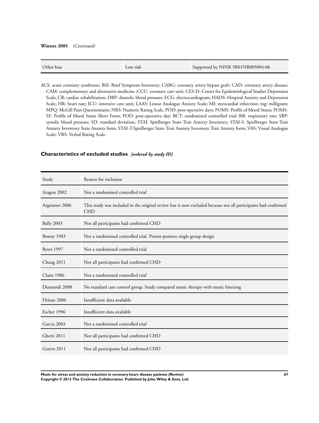#### **Winters 2005** (*Continued)*

| Other bias | Low risk | Supported by NINR 5R01NR005004-06 |
|------------|----------|-----------------------------------|
|------------|----------|-----------------------------------|

ACS: acute coronary syndrome; BSI: Brief Symptom Inventory; CABG: coronary artery bypass graft; CAD: coronary artery disease; CAM: complementary and alternative medicine ;CCU: coronary care unit; CES-D: Center for Epidemiological Studies Depression Scale; CR: cardiac rehabilitation; DBP: diastolic blood pressure; ECG: electrocardiogram; HADS: Hospital Anxiety and Depression Scale; HR: heart rate; ICU: intensive care unit; LAAS: Linear Analogue Anxiety Scale; MI: myocardial infarction; mg: milligram; MPQ: McGill Pain Questionnaire; NRS: Numeric Rating Scale, POD: post-operative days; POMS: Profile of Mood States; POMS-SF: Profile of Mood States Short Form; POD: post-operative day; RCT: randomized controlled trial; RR: respiratory rate; SBP: systolic blood pressure; SD: standard deviation; STAI: Spielberger State-Trait Anxiety Inventory; STAI-S: Spielberger State-Trait Anxiety Inventory State Anxiety form; STAI-T:Spielberger State-Trait Anxiety Inventory Trait Anxiety form; VAS; Visual Analogue Scale; VRS: Verbal Rating Scale.

| Characteristics of excluded studies [ordered by study ID] |
|-----------------------------------------------------------|
|                                                           |

| Study             | Reason for exclusion                                                                                                        |
|-------------------|-----------------------------------------------------------------------------------------------------------------------------|
| Aragon 2002       | Not a randomized controlled trial                                                                                           |
| Argstatter 2006   | This study was included in the original review but is now excluded because not all participants had confirmed<br><b>CHD</b> |
| <b>Bally 2003</b> | Not all participants had confirmed CHD                                                                                      |
| <b>Bonny 1983</b> | Not a randomized controlled trial. Pretest-posttest single group design                                                     |
| <b>Byers 1997</b> | Not a randomized controlled trial                                                                                           |
| Chang 2011        | Not all participants had confirmed CHD                                                                                      |
| Claire 1986       | Not a randomized controlled trial                                                                                           |
| Diamandi 2008     | No standard care control group. Study compared music therapy with music listening                                           |
| Dritsas 2006      | Insufficient data available                                                                                                 |
| Escher 1996       | Insufficient data available                                                                                                 |
| Garcia 2003       | Not a randomized controlled trial                                                                                           |
| Ghetti 2011       | Not all participants had confirmed CHD                                                                                      |
| Goertz 2011       | Not all participants had confirmed CHD                                                                                      |

**Music for stress and anxiety reduction in coronary heart disease patients (Review) 67 Copyright © 2013 The Cochrane Collaboration. Published by John Wiley & Sons, Ltd.**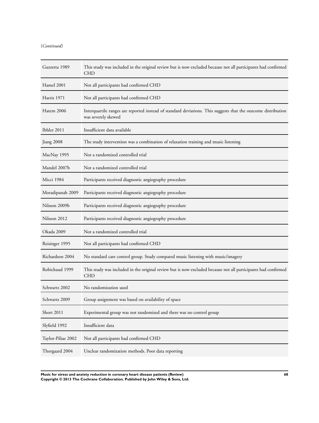### (*Continued)*

| Guzzetta 1989      | This study was included in the original review but is now excluded because not all participants had confirmed<br><b>CHD</b>          |
|--------------------|--------------------------------------------------------------------------------------------------------------------------------------|
| Hamel 2001         | Not all participants had confirmed CHD                                                                                               |
| Harris 1971        | Not all participants had confirmed CHD                                                                                               |
| Hatem 2006         | Interquartile ranges are reported instead of standard deviations. This suggests that the outcome distribution<br>was severely skewed |
| Ibhler 2011        | Insufficient data available                                                                                                          |
| Jiang 2008         | The study intervention was a combination of relaxation training and music listening                                                  |
| MacNay 1995        | Not a randomized controlled trial                                                                                                    |
| Mandel 2007b       | Not a randomized controlled trial                                                                                                    |
| Micci 1984         | Participants received diagnostic angiography procedure                                                                               |
| Moradipanah 2009   | Participants received diagnostic angiography procedure                                                                               |
| Nilsson 2009b      | Participants received diagnostic angiography procedure                                                                               |
| Nilsson 2012       | Participants received diagnostic angiography procedure                                                                               |
| Okada 2009         | Not a randomized controlled trial                                                                                                    |
| Reisinger 1995     | Not all participants had confirmed CHD                                                                                               |
| Richardson 2004    | No standard care control group. Study compared music listening with music/imagery                                                    |
| Robichaud 1999     | This study was included in the original review but is now excluded because not all participants had confirmed<br><b>CHD</b>          |
| Schwartz 2002      | No randomization used                                                                                                                |
| Schwartz 2009      | Group assignment was based on availability of space                                                                                  |
| <b>Short 2011</b>  | Experimental group was not randomized and there was no control group                                                                 |
| Slyfield 1992      | Insufficient data                                                                                                                    |
| Taylor-Piliae 2002 | Not all participants had confirmed CHD                                                                                               |
| Thorgaard 2004     | Unclear randomization methods. Poor data reporting                                                                                   |

**Music for stress and anxiety reduction in coronary heart disease patients (Review) 68 Copyright © 2013 The Cochrane Collaboration. Published by John Wiley & Sons, Ltd.**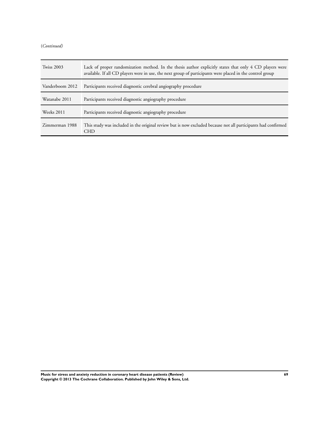(*Continued)*

| <b>Twiss 2003</b> | Lack of proper randomization method. In the thesis author explicitly states that only 4 CD players were<br>available. If all CD players were in use, the next group of participants were placed in the control group |
|-------------------|----------------------------------------------------------------------------------------------------------------------------------------------------------------------------------------------------------------------|
| Vanderboom 2012   | Participants received diagnostic cerebral angiography procedure                                                                                                                                                      |
| Watanabe 2011     | Participants received diagnostic angiography procedure                                                                                                                                                               |
| Weeks 2011        | Participants received diagnostic angiography procedure                                                                                                                                                               |
| Zimmerman 1988    | This study was included in the original review but is now excluded because not all participants had confirmed<br><b>CHD</b>                                                                                          |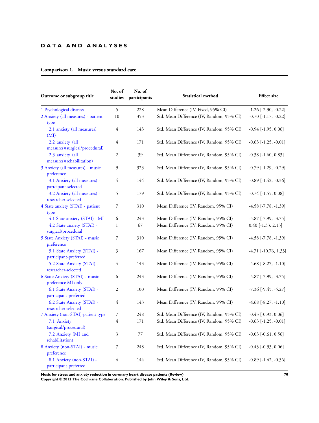### **D A T A A N D A N A L Y S E S**

| Outcome or subgroup title                            | No. of<br>studies | No. of<br>participants | Statistical method                        | <b>Effect</b> size            |
|------------------------------------------------------|-------------------|------------------------|-------------------------------------------|-------------------------------|
| 1 Psychological distress                             | 5                 | 228                    | Mean Difference (IV, Fixed, 95% CI)       | $-1.26$ $[-2.30, -0.22]$      |
| 2 Anxiety (all measures) - patient<br>type           | 10                | 353                    | Std. Mean Difference (IV, Random, 95% CI) | $-0.70$ $[-1.17, -0.22]$      |
| 2.1 anxiety (all measures)<br>(MI)                   | $\overline{4}$    | 143                    | Std. Mean Difference (IV, Random, 95% CI) | $-0.94$ [ $-1.95, 0.06$ ]     |
| 2.2 anxiety (all<br>measures)(surgical/procedural)   | $\overline{4}$    | 171                    | Std. Mean Difference (IV, Random, 95% CI) | $-0.63$ [ $-1.25$ , $-0.01$ ] |
| 2.3 anxiety (all<br>measures)(rehabilitation)        | 2                 | 39                     | Std. Mean Difference (IV, Random, 95% CI) | $-0.38$ [ $-1.60, 0.83$ ]     |
| 3 Anxiety (all measures) - music<br>preference       | 9                 | 323                    | Std. Mean Difference (IV, Random, 95% CI) | $-0.79$ $[-1.29, -0.29]$      |
| 3.1 Anxiety (all measures) -<br>partcipant-selected  | 4                 | 144                    | Std. Mean Difference (IV, Random, 95% CI) | $-0.89$ $[-1.42, -0.36]$      |
| 3.2 Anxiety (all measures) -<br>researcher-selected  | 5                 | 179                    | Std. Mean Difference (IV, Random, 95% CI) | $-0.74$ [ $-1.55$ , $0.08$ ]  |
| 4 State anxiety (STAI) - patient<br>type             | 7                 | 310                    | Mean Difference (IV, Random, 95% CI)      | $-4.58$ [ $-7.78$ , $-1.39$ ] |
| 4.1 State anxiety (STAI) - MI                        | 6                 | 243                    | Mean Difference (IV, Random, 95% CI)      | $-5.87$ [ $-7.99, -3.75$ ]    |
| 4.2 State anxiety (STAI) -<br>surgical/procedural    | $\mathbf{1}$      | 67                     | Mean Difference (IV, Random, 95% CI)      | $0.40$ [-1.33, 2.13]          |
| 5 State Anxiety (STAI) - music<br>preference         | 7                 | 310                    | Mean Difference (IV, Random, 95% CI)      | $-4.58$ [ $-7.78$ , $-1.39$ ] |
| 5.1 State Anxiety (STAI) -<br>participant-preferred  | 3                 | 167                    | Mean Difference (IV, Random, 95% CI)      | $-4.71$ [ $-10.76$ , 1.33]    |
| 5.2 State Anxiety (STAI) -<br>researcher-selected    | 4                 | 143                    | Mean Difference (IV, Random, 95% CI)      | $-4.68$ [ $-8.27, -1.10$ ]    |
| 6 State Anxiety (STAI) - music<br>preference MI only | 6                 | 243                    | Mean Difference (IV, Random, 95% CI)      | $-5.87$ [ $-7.99, -3.75$ ]    |
| 6.1 State Anxiety (STAI) -<br>participant-preferred  | $\overline{c}$    | 100                    | Mean Difference (IV, Random, 95% CI)      | $-7.36$ [ $-9.45, -5.27$ ]    |
| 6.2 State Anxiety (STAI) -<br>researcher-selected    | 4                 | 143                    | Mean Difference (IV, Random, 95% CI)      | $-4.68$ [ $-8.27, -1.10$ ]    |
| 7 Anxiety (non-STAI)-patient type                    | 7                 | 248                    | Std. Mean Difference (IV, Random, 95% CI) | $-0.43$ [ $-0.93, 0.06$ ]     |
| 7.1 Anxiety<br>(surgical/procedural)                 | $\overline{4}$    | 171                    | Std. Mean Difference (IV, Random, 95% CI) | $-0.63$ [ $-1.25$ , $-0.01$ ] |
| 7.2 Anxiety (MI and<br>rehabilitation)               | 3                 | 77                     | Std. Mean Difference (IV, Random, 95% CI) | $-0.03$ [ $-0.61, 0.56$ ]     |
| 8 Anxiety (non-STAI) - music<br>preference           | 7                 | 248                    | Std. Mean Difference (IV, Random, 95% CI) | $-0.43$ [ $-0.93, 0.06$ ]     |
| 8.1 Anxiety (non-STAI) -<br>participant-preferred    | 4                 | 144                    | Std. Mean Difference (IV, Random, 95% CI) | $-0.89$ $[-1.42, -0.36]$      |

### **Comparison 1. Music versus standard care**

**Music for stress and anxiety reduction in coronary heart disease patients (Review) 70**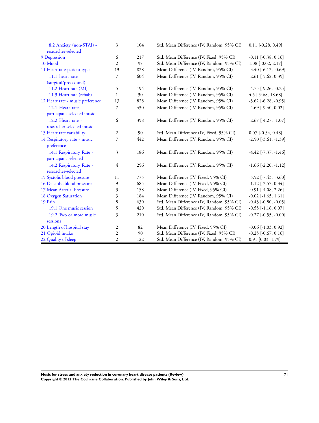| 8.2 Anxiety (non-STAI) -         | 3              | 104 | Std. Mean Difference (IV, Random, 95% CI) | $0.11$ [ $-0.28$ , $0.49$ ]   |
|----------------------------------|----------------|-----|-------------------------------------------|-------------------------------|
| researcher-selected              |                |     |                                           |                               |
| 9 Depression                     | 6              | 217 | Std. Mean Difference (IV, Fixed, 95% CI)  | $-0.11$ $[-0.38, 0.16]$       |
| 10 Mood                          | $\overline{2}$ | 97  | Std. Mean Difference (IV, Random, 95% CI) | $1.08$ [ $-0.02$ , $2.17$ ]   |
| 11 Heart rate-patient type       | 13             | 828 | Mean Difference (IV, Random, 95% CI)      | $-3.40$ [ $-6.12, -0.69$ ]    |
| 11.1 heart rate                  | 7              | 604 | Mean Difference (IV, Random, 95% CI)      | $-2.61$ [ $-5.62$ , 0.39]     |
| (surgical/procedural)            |                |     |                                           |                               |
| 11.2 Heart rate (MI)             | 5              | 194 | Mean Difference (IV, Random, 95% CI)      | $-4.75$ [ $-9.26$ , $-0.25$ ] |
| 11.3 Heart rate (rehab)          | $\mathbf{1}$   | 30  | Mean Difference (IV, Random, 95% CI)      | $4.5$ [-9.68, 18.68]          |
| 12 Heart rate - music preference | 13             | 828 | Mean Difference (IV, Random, 95% CI)      | $-3.62$ [ $-6.28$ , $-0.95$ ] |
| 12.1 Heart rate -                | 7              | 430 | Mean Difference (IV, Random, 95% CI)      | $-4.69$ [ $-9.40, 0.02$ ]     |
| participant-selected music       |                |     |                                           |                               |
| 12.2 Heart rate -                | 6              | 398 | Mean Difference (IV, Random, 95% CI)      | $-2.67$ [ $-4.27, -1.07$ ]    |
| researcher-selected music        |                |     |                                           |                               |
| 13 Heart rate variability        | $\sqrt{2}$     | 90  | Std. Mean Difference (IV, Fixed, 95% CI)  | $0.07$ [ $-0.34$ , $0.48$ ]   |
| 14 Respiratory rate - music      | $\overline{7}$ | 442 | Mean Difference (IV, Random, 95% CI)      | $-2.50$ $[-3.61, -1.39]$      |
| preference                       |                |     |                                           |                               |
| 14.1 Respiratory Rate -          | 3              | 186 | Mean Difference (IV, Random, 95% CI)      | $-4.42$ [ $-7.37, -1.46$ ]    |
| participant-selected             |                |     |                                           |                               |
| 14.2 Respiratory Rate -          | $\overline{4}$ | 256 | Mean Difference (IV, Random, 95% CI)      | $-1.66$ $[-2.20, -1.12]$      |
| researcher-selected              |                |     |                                           |                               |
| 15 Systolic blood pressure       | 11             | 775 | Mean Difference (IV, Fixed, 95% CI)       | $-5.52$ [ $-7.43$ , $-3.60$ ] |
| 16 Diastolic blood pressure      | 9              | 685 | Mean Difference (IV, Fixed, 95% CI)       | $-1.12$ $[-2.57, 0.34]$       |
| 17 Mean Arterial Pressure        | 3              | 158 | Mean Difference (IV, Fixed, 95% CI)       | $-0.91$ [ $-4.08$ , 2.26]     |
| 18 Oxygen Saturation             | 3              | 184 | Mean Difference (IV, Random, 95% CI)      | $-0.02$ $[-1.65, 1.61]$       |
| 19 Pain                          | 8              | 630 | Std. Mean Difference (IV, Random, 95% CI) | $-0.43$ [ $-0.80, -0.05$ ]    |
| 19.1 One music session           | 5              | 420 | Std. Mean Difference (IV, Random, 95% CI) | $-0.55$ [ $-1.16$ , $0.07$ ]  |
| 19.2 Two or more music           | 3              | 210 | Std. Mean Difference (IV, Random, 95% CI) | $-0.27$ $[-0.55, -0.00]$      |
| sessions                         |                |     |                                           |                               |
| 20 Length of hospital stay       | $\overline{c}$ | 82  | Mean Difference (IV, Fixed, 95% CI)       | $-0.06$ $[-1.03, 0.92]$       |
| 21 Opioid intake                 | $\overline{2}$ | 90  | Std. Mean Difference (IV, Fixed, 95% CI)  | $-0.25$ [ $-0.67, 0.16$ ]     |
| 22 Quality of sleep              | $\overline{2}$ | 122 | Std. Mean Difference (IV, Random, 95% CI) | 0.91 [0.03, 1.79]             |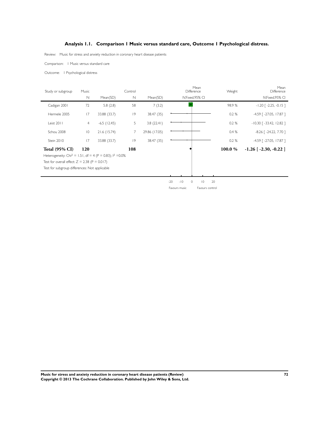## **Analysis 1.1. Comparison 1 Music versus standard care, Outcome 1 Psychological distress.**

Review: Music for stress and anxiety reduction in coronary heart disease patients

Comparison: 1 Music versus standard care

Outcome: 1 Psychological distress

| Study or subgroup                                                                                                                                                                                   | Music<br>$\mathbb N$ | Mean(SD)       | Control<br>$\mathbb N$ | Mean(SD)      |       |       | Mean<br>Difference<br>IV, Fixed, 95% CI |    | Weight | Mean<br>Difference<br>IV, Fixed, 95% CI |
|-----------------------------------------------------------------------------------------------------------------------------------------------------------------------------------------------------|----------------------|----------------|------------------------|---------------|-------|-------|-----------------------------------------|----|--------|-----------------------------------------|
| Cadigan 2001                                                                                                                                                                                        | 72                   | 5.8(2.8)       | 58                     | 7(3.2)        |       |       |                                         |    | 98.9%  | $-1.20$ $[-2.25, -0.15]$                |
| Hermele 2005                                                                                                                                                                                        | 17                   | 33.88 (33.7)   | 9                      | 38.47 (35)    |       |       |                                         |    | 0.2%   | $-4.59$ [ $-27.05$ , 17.87 ]            |
| Leist 2011                                                                                                                                                                                          | $\overline{4}$       | $-6.5$ (12.45) | 5                      | 3.8(22.41)    |       |       |                                         |    | 0.2%   | $-10.30$ [ $-33.42$ , $12.82$ ]         |
| Schou 2008                                                                                                                                                                                          | $\overline{0}$       | 21.6(15.74)    | 7                      | 29.86 (17.05) |       |       |                                         |    | 0.4%   | $-8.26$ [ $-24.22$ , 7.70 ]             |
| Stein 2010                                                                                                                                                                                          | 17                   | 33.88 (33.7)   | 9                      | 38.47 (35)    |       |       |                                         |    | 0.2%   | $-4.59$ [ $-27.05$ , 17.87 ]            |
| <b>Total (95% CI)</b><br>Heterogeneity: Chi <sup>2</sup> = 1.51, df = 4 (P = 0.83); $1^2$ =0.0%<br>Test for overall effect: $Z = 2.38$ (P = 0.017)<br>Test for subgroup differences: Not applicable | 120                  |                | 108                    |               |       |       |                                         |    | 100.0% | $-1.26$ [ $-2.30, -0.22$ ]              |
|                                                                                                                                                                                                     |                      |                |                        |               | $-20$ | $-10$ | $ 0\rangle$                             | 20 |        |                                         |

Favours music | Favours control

**Music for stress and anxiety reduction in coronary heart disease patients (Review) 72 Copyright © 2013 The Cochrane Collaboration. Published by John Wiley & Sons, Ltd.**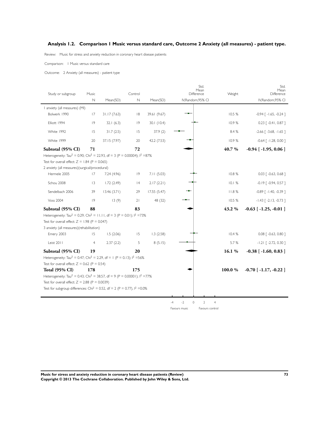### **Analysis 1.2. Comparison 1 Music versus standard care, Outcome 2 Anxiety (all measures) - patient type.**

Review: Music for stress and anxiety reduction in coronary heart disease patients

Comparison: 1 Music versus standard care

Outcome: 2 Anxiety (all measures) - patient type

|                                                                                                                                            |                |              |            |              | Std.<br>Mean                                          |        | Std.<br>Mean                         |
|--------------------------------------------------------------------------------------------------------------------------------------------|----------------|--------------|------------|--------------|-------------------------------------------------------|--------|--------------------------------------|
| Study or subgroup                                                                                                                          | Music          |              | Control    |              | Difference                                            | Weight | Difference                           |
|                                                                                                                                            | $\mathbb N$    | Mean(SD)     | $\hbox{N}$ | Mean(SD)     | IV,Random,95% CI                                      |        | IV,Random,95% CI                     |
| I anxiety (all measures) (MI)                                                                                                              |                |              |            |              |                                                       |        |                                      |
| Bolwerk 1990                                                                                                                               | 17             | 31.17(7.63)  | 8          | 39.61 (9.67) |                                                       | 10.5 % | $-0.94$ $\lceil -1.65, -0.24 \rceil$ |
| Elliott 1994                                                                                                                               | 9              | 32.1(6.3)    | 9          | 30.1(10.4)   |                                                       | 10.9%  | $0.23$ $\lceil -0.41, 0.87 \rceil$   |
| White 1992                                                                                                                                 | 15             | 31.7(2.5)    | 15         | 37.9(2)      |                                                       | 8.4 %  | $-2.66$ $-3.68$ , $-1.65$ ]          |
| White 1999                                                                                                                                 | 20             | 37.15 (7.97) | 20         | 42.2 (7.53)  |                                                       | 10.9%  | $-0.64$ [ $-1.28$ , 0.00]            |
| Subtotal (95% CI)                                                                                                                          | 71             |              | 72         |              |                                                       | 40.7 % | $-0.94$ [ $-1.95, 0.06$ ]            |
| Heterogeneity: Tau <sup>2</sup> = 0.90; Chi <sup>2</sup> = 22.93, df = 3 (P = 0.00004); l <sup>2</sup> =87%                                |                |              |            |              |                                                       |        |                                      |
| Test for overall effect: $Z = 1.84$ (P = 0.065)                                                                                            |                |              |            |              |                                                       |        |                                      |
| 2 anxiety (all measures)(surgical/procedural)                                                                                              |                |              |            |              |                                                       |        |                                      |
| Hermele 2005                                                                                                                               | 17             | 7.24 (4.96)  | 9          | 7.11(5.03)   |                                                       | 10.8%  | $0.03$ $[ -0.63, 0.68 ]$             |
| Schou 2008                                                                                                                                 | 13             | 1.72(2.49)   | 4          | 2.17(2.21)   |                                                       | 10.1%  | $-0.19$ [ $-0.94$ , 0.57]            |
| Sendelbach 2006                                                                                                                            | 39             | 13.46(3.71)  | 29         | 17.55(5.47)  |                                                       | 11.8%  | $-0.89$ $\lceil -1.40, -0.39 \rceil$ |
| <b>Voss 2004</b>                                                                                                                           | 9              | 13(9)        | 21         | 48 (32)      |                                                       | 10.5 % | $-1.43$ [ $-2.13$ , $-0.73$ ]        |
| Subtotal (95% CI)                                                                                                                          | 88             |              | 83         |              |                                                       | 43.2 % | $-0.63$ [ $-1.25$ , $-0.01$ ]        |
| Heterogeneity: Tau <sup>2</sup> = 0.29; Chi <sup>2</sup> = 11.11, df = 3 (P = 0.01); l <sup>2</sup> =73%                                   |                |              |            |              |                                                       |        |                                      |
| Test for overall effect: $Z = 1.98$ (P = 0.047)                                                                                            |                |              |            |              |                                                       |        |                                      |
| 3 anxiety (all measures)(rehabilitation)                                                                                                   |                |              |            |              |                                                       |        |                                      |
| Emery 2003                                                                                                                                 | 15             | 1.5(2.06)    | 15         | 1.3(2.58)    |                                                       | 10.4 % | $0.08$ $[ -0.63, 0.80 ]$             |
| Leist 2011                                                                                                                                 | $\overline{4}$ | 2.37(2.2)    | 5          | 8(5.15)      |                                                       | 5.7%   | $-1.21$ [ $-2.72$ , 0.30]            |
| Subtotal (95% CI)                                                                                                                          | 19             |              | 20         |              |                                                       | 16.1%  | $-0.38$ [ $-1.60, 0.83$ ]            |
| Heterogeneity: Tau <sup>2</sup> = 0.47; Chi <sup>2</sup> = 2.29, df = 1 (P = 0.13); l <sup>2</sup> = 56%                                   |                |              |            |              |                                                       |        |                                      |
| Test for overall effect: $Z = 0.62$ (P = 0.54)                                                                                             |                |              |            |              |                                                       |        |                                      |
| <b>Total (95% CI)</b>                                                                                                                      | 178            |              | 175        |              |                                                       | 100.0% | $-0.70$ [ $-1.17, -0.22$ ]           |
| Heterogeneity: Tau <sup>2</sup> = 0.43; Chi <sup>2</sup> = 38.57, df = 9 (P = 0.00001); l <sup>2</sup> =77%                                |                |              |            |              |                                                       |        |                                      |
| Test for overall effect: $Z = 2.88$ (P = 0.0039)<br>Test for subgroup differences: Chi <sup>2</sup> = 0.52, df = 2 (P = 0.77), $1^2$ =0.0% |                |              |            |              |                                                       |        |                                      |
|                                                                                                                                            |                |              |            |              |                                                       |        |                                      |
|                                                                                                                                            |                |              |            |              | $-2$<br>$-4$<br>Ò<br>$\overline{2}$<br>$\overline{4}$ |        |                                      |
|                                                                                                                                            |                |              |            |              | Favours music<br>Favours control                      |        |                                      |
|                                                                                                                                            |                |              |            |              |                                                       |        |                                      |
|                                                                                                                                            |                |              |            |              |                                                       |        |                                      |
|                                                                                                                                            |                |              |            |              |                                                       |        |                                      |
|                                                                                                                                            |                |              |            |              |                                                       |        |                                      |
|                                                                                                                                            |                |              |            |              |                                                       |        |                                      |
|                                                                                                                                            |                |              |            |              |                                                       |        |                                      |
|                                                                                                                                            |                |              |            |              |                                                       |        |                                      |

**Music for stress and anxiety reduction in coronary heart disease patients (Review) 73 Copyright © 2013 The Cochrane Collaboration. Published by John Wiley & Sons, Ltd.**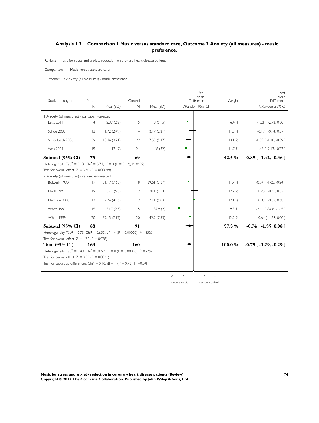## **Analysis 1.3. Comparison 1 Music versus standard care, Outcome 3 Anxiety (all measures) - music preference.**

Review: Music for stress and anxiety reduction in coronary heart disease patients

Comparison: 1 Music versus standard care

Outcome: 3 Anxiety (all measures) - music preference

| Study or subgroup                                                                                                                                                                                                                                                                                                                                                                                                                                                          | Music          |              | Control     |              | Std.<br>Mean<br>Difference                         | Weight           | Std.<br>Mean<br>Difference                               |
|----------------------------------------------------------------------------------------------------------------------------------------------------------------------------------------------------------------------------------------------------------------------------------------------------------------------------------------------------------------------------------------------------------------------------------------------------------------------------|----------------|--------------|-------------|--------------|----------------------------------------------------|------------------|----------------------------------------------------------|
|                                                                                                                                                                                                                                                                                                                                                                                                                                                                            | $\mathsf{N}$   | Mean(SD)     | $\mathbb N$ | Mean(SD)     | IV,Random,95% CI                                   |                  | IV, Random, 95% CI                                       |
| Anxiety (all measures) - partcipant-selected                                                                                                                                                                                                                                                                                                                                                                                                                               |                |              |             |              |                                                    |                  |                                                          |
| Leist 2011                                                                                                                                                                                                                                                                                                                                                                                                                                                                 | $\overline{4}$ | 2.37(2.2)    | 5           | 8(5.15)      |                                                    | 6.4%             | $-1.21$ [ $-2.72$ , 0.30]                                |
| Schou 2008                                                                                                                                                                                                                                                                                                                                                                                                                                                                 | 3              | 1.72(2.49)   | 4           | 2.17(2.21)   |                                                    | 11.3%            | $-0.19$ [ $-0.94$ , 0.57]                                |
| Sendelbach 2006                                                                                                                                                                                                                                                                                                                                                                                                                                                            | 39             | 13.46(3.71)  | 29          | 17.55(5.47)  |                                                    | 13.1%            | $-0.89$ [ $-1.40, -0.39$ ]                               |
| <b>Voss 2004</b>                                                                                                                                                                                                                                                                                                                                                                                                                                                           | 9              | 13(9)        | 21          | 48 (32)      |                                                    | 11.7%            | $-1.43$ [ $-2.13$ , $-0.73$ ]                            |
| Subtotal (95% CI)<br>Heterogeneity: Tau <sup>2</sup> = 0.13; Chi <sup>2</sup> = 5.74, df = 3 (P = 0.12); $1^2$ =48%<br>Test for overall effect: $Z = 3.30$ (P = 0.00098)<br>2 Anxiety (all measures) - researcher-selected                                                                                                                                                                                                                                                 | 75             |              | 69          |              |                                                    | 42.5 %           | $-0.89$ [ $-1.42, -0.36$ ]                               |
| Bolwerk 1990                                                                                                                                                                                                                                                                                                                                                                                                                                                               | 17             | 31.17(7.63)  | 8           | 39.61 (9.67) |                                                    | 11.7%            | $-0.94$ [ $-1.65$ , $-0.24$ ]                            |
| Elliott 1994                                                                                                                                                                                                                                                                                                                                                                                                                                                               | 9              | 32.1(6.3)    | 9           | 30.1(10.4)   |                                                    | 12.2 %           | $0.23$ [ -0.41, 0.87 ]                                   |
| Hermele 2005                                                                                                                                                                                                                                                                                                                                                                                                                                                               | 17             | 7.24 (4.96)  | 9           | 7.11(5.03)   |                                                    | 12.1%            | $0.03$ $\lceil -0.63, 0.68 \rceil$                       |
| White 1992                                                                                                                                                                                                                                                                                                                                                                                                                                                                 | 15             | 31.7(2.5)    | 15          | 37.9(2)      |                                                    | 9.3%             | $-2.66$ $-3.68$ , $-1.65$ ]                              |
| White 1999                                                                                                                                                                                                                                                                                                                                                                                                                                                                 | 20             | 37.15 (7.97) | 20          | 42.2 (7.53)  |                                                    | 12.2%            | $-0.64$ [ $-1.28$ , 0.00]                                |
| Subtotal (95% CI)<br>Heterogeneity: Tau <sup>2</sup> = 0.73; Chi <sup>2</sup> = 26.53, df = 4 (P = 0.00002); l <sup>2</sup> = 85%<br>Test for overall effect: $Z = 1.76$ (P = 0.078)<br><b>Total (95% CI)</b><br>Heterogeneity: Tau <sup>2</sup> = 0.43; Chi <sup>2</sup> = 34.52, df = 8 (P = 0.00003); l <sup>2</sup> =77%<br>Test for overall effect: $Z = 3.08$ (P = 0.0021)<br>Test for subgroup differences: Chi <sup>2</sup> = 0.10, df = 1 (P = 0.76), $1^2$ =0.0% | 88<br>163      |              | 91<br>160   |              |                                                    | 57.5 %<br>100.0% | $-0.74$ [ $-1.55$ , 0.08 ]<br>$-0.79$ [ $-1.29, -0.29$ ] |
|                                                                                                                                                                                                                                                                                                                                                                                                                                                                            |                |              |             |              | $-2$<br>$\mathbf 2$<br>$\overline{4}$<br>$-4$<br>0 |                  |                                                          |
|                                                                                                                                                                                                                                                                                                                                                                                                                                                                            |                |              |             |              | Favours music<br>Favours control                   |                  |                                                          |
|                                                                                                                                                                                                                                                                                                                                                                                                                                                                            |                |              |             |              |                                                    |                  |                                                          |
|                                                                                                                                                                                                                                                                                                                                                                                                                                                                            |                |              |             |              |                                                    |                  |                                                          |
|                                                                                                                                                                                                                                                                                                                                                                                                                                                                            |                |              |             |              |                                                    |                  |                                                          |
|                                                                                                                                                                                                                                                                                                                                                                                                                                                                            |                |              |             |              |                                                    |                  |                                                          |
|                                                                                                                                                                                                                                                                                                                                                                                                                                                                            |                |              |             |              |                                                    |                  |                                                          |
|                                                                                                                                                                                                                                                                                                                                                                                                                                                                            |                |              |             |              |                                                    |                  |                                                          |
|                                                                                                                                                                                                                                                                                                                                                                                                                                                                            |                |              |             |              |                                                    |                  |                                                          |
|                                                                                                                                                                                                                                                                                                                                                                                                                                                                            |                |              |             |              |                                                    |                  |                                                          |
|                                                                                                                                                                                                                                                                                                                                                                                                                                                                            |                |              |             |              |                                                    |                  |                                                          |

**Music for stress and anxiety reduction in coronary heart disease patients (Review) 74 Copyright © 2013 The Cochrane Collaboration. Published by John Wiley & Sons, Ltd.**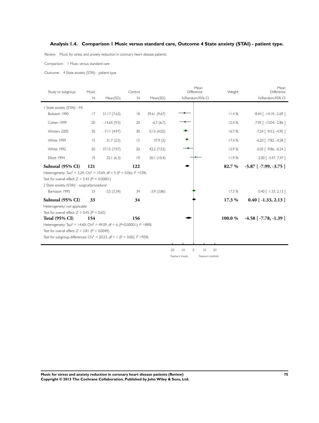### **Analysis 1.4. Comparison 1 Music versus standard care, Outcome 4 State anxiety (STAI) - patient type.**

Review: Music for stress and anxiety reduction in coronary heart disease patients

Comparison: 1 Music versus standard care

l.

Outcome: 4 State anxiety (STAI) - patient type

| Study or subgroup                                                                                         | Music        |               | Control      |              | Mean<br>Difference                           | Weight | Mean<br>Difference                 |
|-----------------------------------------------------------------------------------------------------------|--------------|---------------|--------------|--------------|----------------------------------------------|--------|------------------------------------|
|                                                                                                           | $\mathsf{N}$ | Mean(SD)      | $\mathsf{N}$ | Mean(SD)     | IV,Random,95% CI                             |        | IV, Random, 95% CI                 |
| I State anxiety (STAI) - MI                                                                               |              |               |              |              |                                              |        |                                    |
| Bolwerk 1990                                                                                              | 17           | 31.17(7.63)   | 8            | 39.61 (9.67) |                                              | 11.4%  | $-8.44$ [ $-14.19$ , $-2.69$ ]     |
| Cohen 1999                                                                                                | 20           | $-14.65(9.5)$ | 20           | $-6.7(6.7)$  |                                              | 12.4%  | $-7.95$ [ $-13.04$ , $-2.86$ ]     |
| Winters 2005                                                                                              | 30           | $-7.11(4.97)$ | 30           | 0.13(4.02)   |                                              | 16.7%  | $-7.24$ [ $-9.53$ , $-4.95$ ]      |
| White 1999                                                                                                | 15           | 31.7(2.5)     | 15           | 37.9(2)      |                                              | 17.4 % | $-6.20$ [ $-7.82$ , $-4.58$ ]      |
| White 1992                                                                                                | 20           | 37.15 (7.97)  | 20           | 42.2(7.53)   |                                              | 12.9%  | $-5.05$ [ $-9.86$ , $-0.24$ ]      |
| Elliott 1994                                                                                              | 9            | 32.1(6.3)     | 9            | 30.1(10.4)   |                                              | 11.9%  | 2.00 [ -3.47, 7.47 ]               |
| Subtotal (95% CI)                                                                                         | 121          |               | 122          |              |                                              | 82.7 % | $-5.87$ [ $-7.99, -3.75$ ]         |
| Heterogeneity: Tau <sup>2</sup> = 3.24; Chi <sup>2</sup> = 10.69, df = 5 (P = 0.06); l <sup>2</sup> = 53% |              |               |              |              |                                              |        |                                    |
| Test for overall effect: $Z = 5.43$ (P < 0.00001)                                                         |              |               |              |              |                                              |        |                                    |
| 2 State anxiety (STAI) - surgical/procedural                                                              |              |               |              |              |                                              |        |                                    |
| Barnason 1995                                                                                             | 33           | $-3.5(3.34)$  | 34           | $-3.9(3.86)$ |                                              | 17.3 % | $0.40$ $\lceil -1.33, 2.13 \rceil$ |
| Subtotal (95% CI)                                                                                         | 33           |               | 34           |              |                                              | 17.3 % | $0.40$ [ -1.33, 2.13 ]             |
| Heterogeneity: not applicable                                                                             |              |               |              |              |                                              |        |                                    |
| Test for overall effect: $Z = 0.45$ (P = 0.65)                                                            |              |               |              |              |                                              |        |                                    |
| <b>Total (95% CI)</b>                                                                                     | 154          |               | 156          |              |                                              | 100.0% | $-4.58$ [ $-7.78$ , $-1.39$ ]      |
| Heterogeneity: Tau <sup>2</sup> = 14.60; Chi <sup>2</sup> = 49.09, df = 6 (P<0.00001); $I^2$ =88%         |              |               |              |              |                                              |        |                                    |
| Test for overall effect: $Z = 2.81$ (P = 0.0049)                                                          |              |               |              |              |                                              |        |                                    |
| Test for subgroup differences: Chi <sup>2</sup> = 20.23, df = 1 (P = 0.00), $1^2$ =95%                    |              |               |              |              |                                              |        |                                    |
|                                                                                                           |              |               |              |              |                                              |        |                                    |
|                                                                                                           |              |               |              |              | $-20$<br>$-10$<br>$\overline{10}$<br>20<br>0 |        |                                    |

Favours music Favours control

**Music for stress and anxiety reduction in coronary heart disease patients (Review) 75 Copyright © 2013 The Cochrane Collaboration. Published by John Wiley & Sons, Ltd.**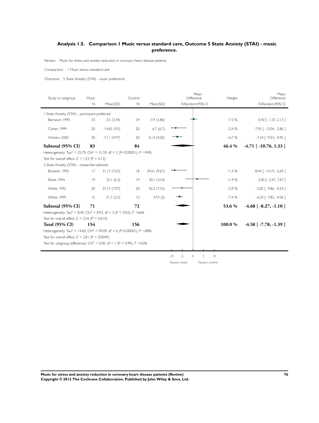## **Analysis 1.5. Comparison 1 Music versus standard care, Outcome 5 State Anxiety (STAI) - music preference.**

Review: Music for stress and anxiety reduction in coronary heart disease patients

Comparison: 1 Music versus standard care

Outcome: 5 State Anxiety (STAI) - music preference

| Study or subgroup                                                                                          | Music       |               | Control     |              | Mean<br>Difference                        | Weight | Mean<br>Difference             |
|------------------------------------------------------------------------------------------------------------|-------------|---------------|-------------|--------------|-------------------------------------------|--------|--------------------------------|
|                                                                                                            | $\mathbb N$ | Mean(SD)      | $\mathbb N$ | Mean(SD)     | IV, Random, 95% CI                        |        | IV, Random, 95% CI             |
| State Anxiety (STAI) - participant-preferred                                                               |             |               |             |              |                                           |        |                                |
| Barnason 1995                                                                                              | 33          | $-3.5(3.34)$  | 34          | $-3.9(3.86)$ |                                           | 17.3 % | $0.40$ $[-1.33, 2.13]$         |
| Cohen 1999                                                                                                 | 20          | $-14.65(9.5)$ | 20          | $-6.7(6.7)$  |                                           | 12.4%  | $-7.95$ [ $-13.04$ , $-2.86$ ] |
| Winters 2005                                                                                               | 30          | $-7.11(4.97)$ | 30          | 0.13(4.02)   |                                           | 16.7%  | $-7.24$ [ $-9.53$ , $-4.95$ ]  |
| Subtotal (95% CI)                                                                                          | 83          |               | 84          |              |                                           | 46.4 % | $-4.71$ [ $-10.76$ , 1.33 ]    |
| Heterogeneity: Tau <sup>2</sup> = 25.79; Chi <sup>2</sup> = 31.59, df = 2 (P<0.00001); l <sup>2</sup> =94% |             |               |             |              |                                           |        |                                |
| Test for overall effect: $Z = 1.53$ (P = 0.13)                                                             |             |               |             |              |                                           |        |                                |
| 2 State Anxiety (STAI) - researcher-selected                                                               |             |               |             |              |                                           |        |                                |
| Bolwerk 1990                                                                                               | 7           | 31.17(7.63)   | 8           | 39.61 (9.67) |                                           | 11.4%  | $-8.44$ [ $-14.19$ , $-2.69$ ] |
| Elliott 1994                                                                                               | 9           | 32.1(6.3)     | 9           | 30.1(10.4)   |                                           | 11.9%  | 2.00 [ -3.47, 7.47 ]           |
| White 1992                                                                                                 | 20          | 37.15 (7.97)  | 20          | 42.2 (7.53)  |                                           | 12.9%  | $-5.05$ [ $-9.86$ , $-0.24$ ]  |
| White 1999                                                                                                 | 15          | 31.7(2.5)     | 15          | 37.9(2)      |                                           | 17.4 % | $-6.20$ [ $-7.82$ , $-4.58$ ]  |
| Subtotal (95% CI)                                                                                          | 71          |               | 72          |              |                                           | 53.6 % | $-4.68$ [ $-8.27, -1.10$ ]     |
| Heterogeneity: Tau <sup>2</sup> = 8.45; Chi <sup>2</sup> = 8.93, df = 3 (P = 0.03); $1^2$ =66%             |             |               |             |              |                                           |        |                                |
| Test for overall effect: $Z = 2.56$ (P = 0.010)                                                            |             |               |             |              |                                           |        |                                |
| <b>Total (95% CI)</b>                                                                                      | 154         |               | 156         |              |                                           | 100.0% | $-4.58$ [ $-7.78$ , $-1.39$ ]  |
| Heterogeneity: Tau <sup>2</sup> = 14.60; Chi <sup>2</sup> = 49.09, df = 6 (P<0.00001); $I^2$ =88%          |             |               |             |              |                                           |        |                                |
| Test for overall effect: $Z = 2.81$ (P = 0.0049)                                                           |             |               |             |              |                                           |        |                                |
| Test for subgroup differences: Chi <sup>2</sup> = 0.00, df = 1 (P = 0.99), $1^2$ = 0.0%                    |             |               |             |              |                                           |        |                                |
|                                                                                                            |             |               |             |              |                                           |        |                                |
|                                                                                                            |             |               |             |              | 5<br>$-10$<br>$-5$<br>$\overline{0}$<br>0 |        |                                |

Favours music Favours control

**Music for stress and anxiety reduction in coronary heart disease patients (Review) 76 Copyright © 2013 The Cochrane Collaboration. Published by John Wiley & Sons, Ltd.**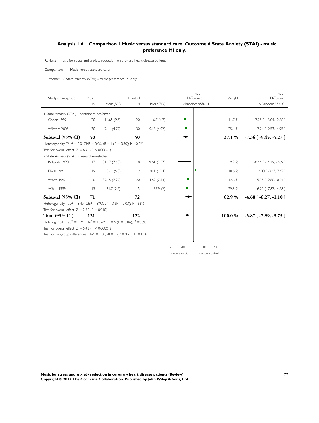## **Analysis 1.6. Comparison 1 Music versus standard care, Outcome 6 State Anxiety (STAI) - music preference MI only.**

Review: Music for stress and anxiety reduction in coronary heart disease patients

Comparison: 1 Music versus standard care

Outcome: 6 State Anxiety (STAI) - music preference MI only

| Study or subgroup                                                                                                                                              | Music        |               | Control     |              | Mean<br>Difference        | Weight                | Mean<br>Difference             |
|----------------------------------------------------------------------------------------------------------------------------------------------------------------|--------------|---------------|-------------|--------------|---------------------------|-----------------------|--------------------------------|
|                                                                                                                                                                | $\mathsf{N}$ | Mean(SD)      | $\mathbb N$ | Mean(SD)     | IV, Random, 95% CI        |                       | IV,Random,95% CI               |
| I State Anxiety (STAI) - participant-preferred                                                                                                                 |              |               |             |              |                           |                       |                                |
| Cohen 1999                                                                                                                                                     | 20           | $-14.65(9.5)$ | 20          | $-6.7(6.7)$  |                           | 11.7%                 | $-7.95$ [ $-13.04$ , $-2.86$ ] |
| Winters 2005                                                                                                                                                   | 30           | $-7.11(4.97)$ | 30          | 0.13(4.02)   |                           | 25.4 %                | -7.24 [ -9.53, -4.95 ]         |
| Subtotal (95% CI)                                                                                                                                              | 50           |               | 50          |              |                           | 37.1 %                | $-7.36$ [ $-9.45, -5.27$ ]     |
| Heterogeneity: Tau <sup>2</sup> = 0.0; Chi <sup>2</sup> = 0.06, df = 1 (P = 0.80); $1^2$ = 0.0%                                                                |              |               |             |              |                           |                       |                                |
| Test for overall effect: $Z = 6.91$ (P < 0.00001)<br>2 State Anxiety (STAI) - researcher-selected                                                              |              |               |             |              |                           |                       |                                |
| Bolwerk 1990                                                                                                                                                   | 17           | 31.17(7.63)   | 8           | 39.61 (9.67) |                           | 9.9%                  | $-8.44$ [ $-14.19$ , $-2.69$ ] |
| Elliott 1994                                                                                                                                                   | 9            | 32.1(6.3)     | 9           | 30.1(10.4)   |                           | 10.6 %                | 2.00 [ -3.47, 7.47 ]           |
| White 1992                                                                                                                                                     | 20           | 37.15 (7.97)  | 20          | 42.2 (7.53)  |                           | 12.6%                 | $-5.05$ [ $-9.86$ , $-0.24$ ]  |
| White 1999                                                                                                                                                     | 15           | 31.7(2.5)     | 15          | 37.9(2)      |                           | 29.8%                 | $-6.20$ [ $-7.82$ , $-4.58$ ]  |
| Subtotal (95% CI)                                                                                                                                              | 71           |               | 72          |              |                           | 62.9%                 | $-4.68$ [ $-8.27, -1.10$ ]     |
| Heterogeneity: Tau <sup>2</sup> = 8.45; Chi <sup>2</sup> = 8.93, df = 3 (P = 0.03); l <sup>2</sup> = 66%                                                       |              |               |             |              |                           |                       |                                |
| Test for overall effect: $Z = 2.56$ (P = 0.010)                                                                                                                |              |               |             |              |                           |                       |                                |
| <b>Total (95% CI)</b>                                                                                                                                          | 121          |               | 122         |              |                           | 100.0%                | $-5.87$ [ $-7.99, -3.75$ ]     |
| Heterogeneity: Tau <sup>2</sup> = 3.24; Chi <sup>2</sup> = 10.69, df = 5 (P = 0.06); l <sup>2</sup> = 53%<br>Test for overall effect: $Z = 5.43$ (P < 0.00001) |              |               |             |              |                           |                       |                                |
| Test for subgroup differences: Chi <sup>2</sup> = 1.60, df = 1 (P = 0.21), l <sup>2</sup> =37%                                                                 |              |               |             |              |                           |                       |                                |
|                                                                                                                                                                |              |               |             |              |                           |                       |                                |
|                                                                                                                                                                |              |               |             |              | $-10$<br>$-20$<br>$\circ$ | 20<br>$\overline{10}$ |                                |
|                                                                                                                                                                |              |               |             |              | Favours music             | Favours control       |                                |
|                                                                                                                                                                |              |               |             |              |                           |                       |                                |
|                                                                                                                                                                |              |               |             |              |                           |                       |                                |
|                                                                                                                                                                |              |               |             |              |                           |                       |                                |
|                                                                                                                                                                |              |               |             |              |                           |                       |                                |
|                                                                                                                                                                |              |               |             |              |                           |                       |                                |
|                                                                                                                                                                |              |               |             |              |                           |                       |                                |
|                                                                                                                                                                |              |               |             |              |                           |                       |                                |
|                                                                                                                                                                |              |               |             |              |                           |                       |                                |
|                                                                                                                                                                |              |               |             |              |                           |                       |                                |
|                                                                                                                                                                |              |               |             |              |                           |                       |                                |
|                                                                                                                                                                |              |               |             |              |                           |                       |                                |
|                                                                                                                                                                |              |               |             |              |                           |                       |                                |
|                                                                                                                                                                |              |               |             |              |                           |                       |                                |
|                                                                                                                                                                |              |               |             |              |                           |                       |                                |
|                                                                                                                                                                |              |               |             |              |                           |                       |                                |

**Music for stress and anxiety reduction in coronary heart disease patients (Review) 77 Copyright © 2013 The Cochrane Collaboration. Published by John Wiley & Sons, Ltd.**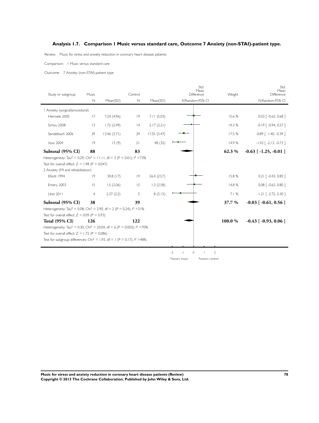### **Analysis 1.7. Comparison 1 Music versus standard care, Outcome 7 Anxiety (non-STAI)-patient type.**

Review: Music for stress and anxiety reduction in coronary heart disease patients

Comparison: 1 Music versus standard care

l.

Outcome: 7 Anxiety (non-STAI)-patient type

|                                                                                                            |                |             |             |             | Std.<br>Mean                     |                | Std.<br>Mean                       |
|------------------------------------------------------------------------------------------------------------|----------------|-------------|-------------|-------------|----------------------------------|----------------|------------------------------------|
| Study or subgroup                                                                                          | Music          |             | Control     |             | Difference                       | Weight         | Difference                         |
|                                                                                                            | $\mathsf{N}$   | Mean(SD)    | $\mathbb N$ | Mean(SD)    | IV,Random,95% CI                 |                | IV,Random,95% CI                   |
| Anxiety (surgical/procedural)                                                                              |                |             |             |             |                                  |                |                                    |
| Hermele 2005                                                                                               | 17             | 7.24 (4.96) | 9           | 7.11(5.03)  |                                  | 15.6%          | $0.03$ $\lceil -0.63, 0.68 \rceil$ |
| Schou 2008                                                                                                 | 3              | 1.72(2.49)  | 4           | 2.17(2.21)  |                                  | 14.3 %         | $-0.19$ [ $-0.94$ , 0.57]          |
| Sendelbach 2006                                                                                            | 39             | 13.46(3.71) | 29          | 17.55(5.47) |                                  | 17.5 %         | $-0.89$ [ $-1.40$ , $-0.39$ ]      |
| <b>Voss 2004</b>                                                                                           | 9              | 13(9)       | 21          | 48 (32)     |                                  | 14.9%          | $-1.43$ $[-2.13, -0.73]$           |
| Subtotal (95% CI)                                                                                          | 88             |             | 83          |             |                                  | 62.3%          | $-0.63$ [ $-1.25$ , $-0.01$ ]      |
| Heterogeneity: Tau <sup>2</sup> = 0.29; Chi <sup>2</sup> = 11.11, df = 3 (P = 0.01); $1^2$ =73%            |                |             |             |             |                                  |                |                                    |
| Test for overall effect: $Z = 1.98$ (P = 0.047)                                                            |                |             |             |             |                                  |                |                                    |
| 2 Anxiety (MI and rehabilitation)                                                                          |                |             |             |             |                                  |                |                                    |
| Elliott 1994                                                                                               | 9              | 30.8(17)    | 9           | 26.4 (23.7) |                                  | 15.8%          | $0.21$ $\lceil -0.43, 0.85 \rceil$ |
| Emery 2003                                                                                                 | 15             | 1.5(2.06)   | 15          | 1.3(2.58)   |                                  | 14.8%          | $0.08$ $\lceil -0.63, 0.80 \rceil$ |
| Leist 2011                                                                                                 | $\overline{4}$ | 2.37(2.2)   | 5           | 8(5.15)     |                                  | 7.1 %          | $-1.21$ [ $-2.72$ , 0.30]          |
| Subtotal (95% CI)                                                                                          | 38             |             | 39          |             |                                  | 37.7 %         | $-0.03$ [ $-0.61, 0.56$ ]          |
| Heterogeneity: Tau <sup>2</sup> = 0.08; Chi <sup>2</sup> = 2.90, df = 2 (P = 0.24); $1^2$ = 31%            |                |             |             |             |                                  |                |                                    |
| Test for overall effect: $Z = 0.09$ (P = 0.93)                                                             |                |             |             |             |                                  |                |                                    |
| <b>Total (95% CI)</b>                                                                                      | 126            |             | 122         |             |                                  | 100.0%         | $-0.43$ [ $-0.93$ , 0.06 ]         |
| Heterogeneity: Tau <sup>2</sup> = 0.30; Chi <sup>2</sup> = 20.04, df = 6 (P = 0.003); l <sup>2</sup> = 70% |                |             |             |             |                                  |                |                                    |
| Test for overall effect: $Z = 1.72$ (P = 0.086)                                                            |                |             |             |             |                                  |                |                                    |
| Test for subgroup differences: Chi <sup>2</sup> = 1.93, df = 1 (P = 0.17), $1^2 = 48\%$                    |                |             |             |             |                                  |                |                                    |
|                                                                                                            |                |             |             |             | $-2$<br>$\frac{1}{2}$<br>Ò       | $\overline{2}$ |                                    |
|                                                                                                            |                |             |             |             | Favours music<br>Favours control |                |                                    |
|                                                                                                            |                |             |             |             |                                  |                |                                    |
|                                                                                                            |                |             |             |             |                                  |                |                                    |
|                                                                                                            |                |             |             |             |                                  |                |                                    |
|                                                                                                            |                |             |             |             |                                  |                |                                    |
|                                                                                                            |                |             |             |             |                                  |                |                                    |

**Music for stress and anxiety reduction in coronary heart disease patients (Review) 78 Copyright © 2013 The Cochrane Collaboration. Published by John Wiley & Sons, Ltd.**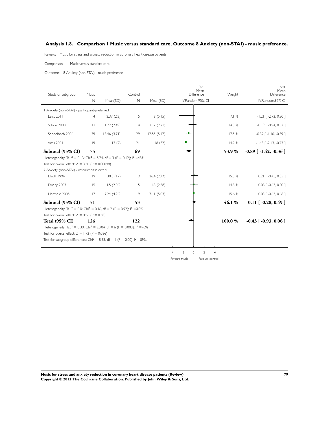### <span id="page-80-0"></span>**Analysis 1.8. Comparison 1 Music versus standard care, Outcome 8 Anxiety (non-STAI) - music preference.**

Review: Music for stress and anxiety reduction in coronary heart disease patients

Comparison: 1 Music versus standard care

Outcome: 8 Anxiety (non-STAI) - music preference

| Study or subgroup                                                                                                                                                                                                                                                        | Music      |             | Control     |             | Std.<br>Mean<br>Difference                                                                | Weight | Std.<br>Mean<br>Difference           |
|--------------------------------------------------------------------------------------------------------------------------------------------------------------------------------------------------------------------------------------------------------------------------|------------|-------------|-------------|-------------|-------------------------------------------------------------------------------------------|--------|--------------------------------------|
|                                                                                                                                                                                                                                                                          | $\hbox{N}$ | Mean(SD)    | $\mathbb N$ | Mean(SD)    | IV, Random, 95% CI                                                                        |        | IV, Random, 95% CI                   |
| Anxiety (non-STAI) - participant-preferred                                                                                                                                                                                                                               |            |             |             |             |                                                                                           |        |                                      |
| Leist 2011                                                                                                                                                                                                                                                               | 4          | 2.37(2.2)   | 5           | 8(5.15)     |                                                                                           | 7.1%   | $-1.2$   [ $-2.72, 0.30$ ]           |
| Schou 2008                                                                                                                                                                                                                                                               | 3          | 1.72(2.49)  | 4           | 2.17(2.21)  |                                                                                           | 14.3 % | $-0.19$ $[-0.94, 0.57]$              |
| Sendelbach 2006                                                                                                                                                                                                                                                          | 39         | 13.46(3.71) | 29          | 17.55(5.47) |                                                                                           | 17.5 % | $-0.89$ $\lceil -1.40, -0.39 \rceil$ |
| <b>Voss 2004</b>                                                                                                                                                                                                                                                         | 9          | 13(9)       | 21          | 48 (32)     |                                                                                           | 14.9%  | $-1.43$ [ $-2.13$ , $-0.73$ ]        |
| Subtotal (95% CI)<br>Heterogeneity: Tau <sup>2</sup> = 0.13; Chi <sup>2</sup> = 5.74, df = 3 (P = 0.12); $1^2$ =48%<br>Test for overall effect: $Z = 3.30$ (P = 0.00098)                                                                                                 | 75         |             | 69          |             |                                                                                           | 53.9%  | $-0.89$ [ $-1.42$ , $-0.36$ ]        |
| 2 Anxiety (non-STAI) - researcher-selected                                                                                                                                                                                                                               |            |             |             |             |                                                                                           |        |                                      |
| Elliott 1994                                                                                                                                                                                                                                                             | 9          | 30.8(17)    | 9           | 26.4 (23.7) |                                                                                           | 15.8%  | $0.21$ $[-0.43, 0.85]$               |
| Emery 2003                                                                                                                                                                                                                                                               | 15         | 1.5(2.06)   | 15          | 1.3(2.58)   |                                                                                           | 14.8 % | $0.08$ $\lceil -0.63, 0.80 \rceil$   |
| Hermele 2005                                                                                                                                                                                                                                                             | 17         | 7.24 (4.96) | 9           | 7.11(5.03)  |                                                                                           | 15.6 % | $0.03$ $\lceil -0.63, 0.68 \rceil$   |
| Subtotal (95% CI)<br>Heterogeneity: Tau <sup>2</sup> = 0.0; Chi <sup>2</sup> = 0.16, df = 2 (P = 0.92); $1^2$ = 0.0%<br>Test for overall effect: $Z = 0.56$ (P = 0.58)                                                                                                   | 51         |             | 53          |             |                                                                                           | 46.1%  | $0.11$ [ $-0.28$ , $0.49$ ]          |
| Total (95% CI)<br>Heterogeneity: Tau <sup>2</sup> = 0.30; Chi <sup>2</sup> = 20.04, df = 6 (P = 0.003); l <sup>2</sup> = 70%<br>Test for overall effect: $Z = 1.72$ (P = 0.086)<br>Test for subgroup differences: Chi <sup>2</sup> = 8.95, df = 1 (P = 0.00), $1^2$ =89% | 126        |             | 122         |             |                                                                                           | 100.0% | $-0.43$ [ $-0.93$ , 0.06 ]           |
|                                                                                                                                                                                                                                                                          |            |             |             |             | $-2$<br>$\overline{2}$<br>$\overline{4}$<br>$-4$<br>O<br>Favours music<br>Favours control |        |                                      |

**Music for stress and anxiety reduction in coronary heart disease patients (Review) 79 Copyright © 2013 The Cochrane Collaboration. Published by John Wiley & Sons, Ltd.**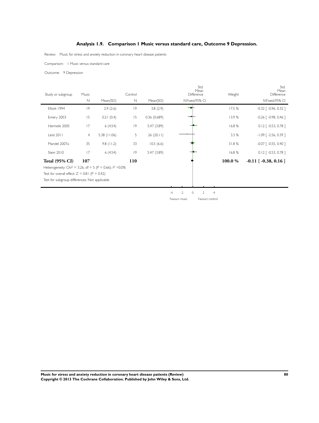### **Analysis 1.9. Comparison 1 Music versus standard care, Outcome 9 Depression.**

<span id="page-81-0"></span>Review: Music for stress and anxiety reduction in coronary heart disease patients

Comparison: 1 Music versus standard care

Outcome: 9 Depression

| Study or subgroup                                                                                                                                                                                   | Music<br>$\mathbb N$ | Mean(SD)       | Control<br>$\mathbb N$ | Mean(SD)    |               | Std.<br>Mean<br>Difference<br>IV, Fixed, 95% CI | Weight                    | Std.<br>Mean<br>Difference<br>IV, Fixed, 95% CI |
|-----------------------------------------------------------------------------------------------------------------------------------------------------------------------------------------------------|----------------------|----------------|------------------------|-------------|---------------|-------------------------------------------------|---------------------------|-------------------------------------------------|
| Elliott 1994                                                                                                                                                                                        | 9                    | 2.9(2.6)       | 9                      | 3.8(2.9)    |               |                                                 | 17.5 %                    | $-0.32$ $\lceil -0.96, 0.32 \rceil$             |
| Emery 2003                                                                                                                                                                                          | 15                   | 0.21(0.4)      | 15                     | 0.36(0.689) |               |                                                 | 13.9%                     | $-0.26$ $\lceil -0.98, 0.46 \rceil$             |
| Hermele 2005                                                                                                                                                                                        | 17                   | 6(4.54)        | 9                      | 5.47 (3.89) |               |                                                 | 16.8%                     | $0.12$ [ -0.53, 0.78 ]                          |
| Leist 2011                                                                                                                                                                                          | $\overline{4}$       | $5.38$ (11.06) | 5                      | 26(20.11)   |               |                                                 | 3.3%                      | $-1.09$ $[-2.56, 0.39]$                         |
| Mandel 2007a                                                                                                                                                                                        | 35                   | $9.8$ (11.2)   | 33                     | 10.5(6.6)   |               |                                                 | 31.8%                     | $-0.07$ [ $-0.55$ , 0.40 ]                      |
| Stein 2010                                                                                                                                                                                          | 17                   | 6(4.54)        | 9                      | 5.47 (3.89) |               |                                                 | 16.8%                     | $0.12$ [ -0.53, 0.78 ]                          |
| <b>Total (95% CI)</b><br>Heterogeneity: Chi <sup>2</sup> = 3.26, df = 5 (P = 0.66); $1^2$ = 0.0%<br>Test for overall effect: $Z = 0.81$ (P = 0.42)<br>Test for subgroup differences: Not applicable | 107                  |                | 110                    |             | $-2$<br>$-4$  | $\overline{2}$<br>$\circ$                       | 100.0 %<br>$\overline{4}$ | $-0.11$ [ $-0.38$ , 0.16]                       |
|                                                                                                                                                                                                     |                      |                |                        |             | Favours music | Favours control                                 |                           |                                                 |

**Music for stress and anxiety reduction in coronary heart disease patients (Review) 80 Copyright © 2013 The Cochrane Collaboration. Published by John Wiley & Sons, Ltd.**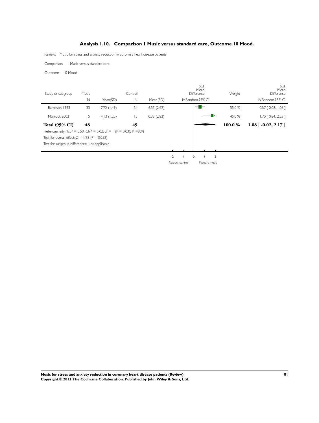### **Analysis 1.10. Comparison 1 Music versus standard care, Outcome 10 Mood.**

<span id="page-82-0"></span>Review: Music for stress and anxiety reduction in coronary heart disease patients

Comparison: 1 Music versus standard care

Outcome: 10 Mood

| Study or subgroup                                                                                                                                                                                                             | Music<br>$\hbox{N}$ | Mean(SD)    | Control<br>$\mathbb N$ | Mean(SD)   | Std.<br>Mean<br>Difference<br>IV, Random, 95% CI                                                         | Weight     | Std.<br>Mean<br>Difference<br>IV,Random,95% CI |
|-------------------------------------------------------------------------------------------------------------------------------------------------------------------------------------------------------------------------------|---------------------|-------------|------------------------|------------|----------------------------------------------------------------------------------------------------------|------------|------------------------------------------------|
| Barnason 1995                                                                                                                                                                                                                 | 33                  | 7.72 (1.49) | 34                     | 6.55(2.42) | $\blacksquare$                                                                                           | 55.0 %     | $0.57$ [ 0.08, 1.06 ]                          |
| Murrock 2002                                                                                                                                                                                                                  | 15                  | 4.13(1.25)  | 15                     | 0.33(2.82) | ⊞∽                                                                                                       | 45.0%      | 1.70 [ 0.84, 2.55 ]                            |
| Total (95% CI)<br>Heterogeneity: Tau <sup>2</sup> = 0.50; Chi <sup>2</sup> = 5.02, df = 1 (P = 0.03); l <sup>2</sup> =80%<br>Test for overall effect: $Z = 1.93$ (P = 0.053)<br>Test for subgroup differences: Not applicable | 48                  |             | 49                     |            |                                                                                                          | 100.0 $\%$ | $1.08$ [ -0.02, 2.17 ]                         |
|                                                                                                                                                                                                                               |                     |             |                        |            | $\circ$<br>$-2$<br>$\mathbb{E}[\cdot]$<br>$\mathbb{L}$<br>$\sqrt{2}$<br>Favours control<br>Favours music |            |                                                |

**Music for stress and anxiety reduction in coronary heart disease patients (Review) 81 Copyright © 2013 The Cochrane Collaboration. Published by John Wiley & Sons, Ltd.**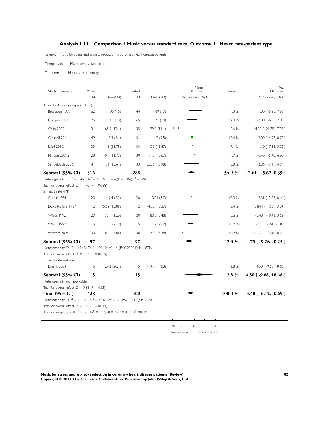### **Analysis 1.11. Comparison 1 Music versus standard care, Outcome 11 Heart rate-patient type.**

<span id="page-83-0"></span>Review: Music for stress and anxiety reduction in coronary heart disease patients

Comparison: 1 Music versus standard care

Outcome: I I Heart rate-patient type

| Study or subgroup                                                                                           | Music          |                | Control     |                | Mean<br>Difference                                                                 | Weight | Mean<br>Difference                   |
|-------------------------------------------------------------------------------------------------------------|----------------|----------------|-------------|----------------|------------------------------------------------------------------------------------|--------|--------------------------------------|
|                                                                                                             | $\mathsf{N}$   | Mean(SD)       | $\mathbb N$ | Mean(SD)       | IV,Random,95% CI                                                                   |        | IV,Random,95% CI                     |
| I heart rate (surgical/procedural)                                                                          |                |                |             |                |                                                                                    |        |                                      |
| Broscious 1999                                                                                              | 62             | 90(15)         | 44          | 89 (17)        |                                                                                    | 7.3 %  | $1.00$ $[-5.26, 7.26]$               |
| Cadigan 2001                                                                                                | 75             | 69(13)         | 65          | 71(14)         |                                                                                    | 9.0%   | $-2.00$ [ $-6.50$ , $2.50$ ]         |
| Chan 2007                                                                                                   | 31             | $65.5$ (17.1)  | 35          | 79.8 (11.1)    |                                                                                    | 6.6 %  | $-14.30$ [ $-21.35$ , $-7.25$ ]      |
| Cutshall 2011                                                                                               | 49             | $-0.3(5.1)$    | 51          | 1.7(9.5)       |                                                                                    | 10.4%  | $-2.00$ [ $-4.97$ , 0.97 ]           |
| Jafari 2012                                                                                                 | 30             | $-1.6(13.78)$  | 30          | $-0.2$ (11.47) |                                                                                    | 7.1%   | $-1.40$ [ $-7.82$ , 5.02 ]           |
| Nilsson 2009a                                                                                               | 28             | $-0.9$ (11.77) | 30          | $-1.3(10.67)$  |                                                                                    | 7.7%   | $0.40$ $\lceil -5.40, 6.20 \rceil$   |
| Sendelbach 2006                                                                                             | 4 <sub>1</sub> | 81(15.61)      | 33          | 83.36 (13.98)  |                                                                                    | 6.8%   | $-2.36$ [ $-9.11$ , 4.39]            |
| Subtotal (95% CI)                                                                                           | 316            |                | 288         |                |                                                                                    | 54.9%  | $-2.61$ [ $-5.62$ , 0.39 ]           |
| Heterogeneity: Tau <sup>2</sup> = 8.46; Chi <sup>2</sup> = 13.15, df = 6 (P = 0.04); $1^2$ =54%             |                |                |             |                |                                                                                    |        |                                      |
| Test for overall effect: $Z = 1.70$ (P = 0.088)                                                             |                |                |             |                |                                                                                    |        |                                      |
| 2 Heart rate (MI)                                                                                           |                |                |             |                |                                                                                    |        |                                      |
| Cohen 1999                                                                                                  | 20             | $-2.4(5.3)$    | 20          | $-0.01(3.7)$   |                                                                                    | 10.5 % | $-2.39$ [ $-5.22$ , 0.44]            |
| Davis-Rollans 1987                                                                                          | 2              | 75.62 (15.88)  | 2           | 74.78 (15.37)  |                                                                                    | 3.4%   | 0.84 [-11.66, 13.34]                 |
| White 1992                                                                                                  | 20             | 77.1 (13.6)    | 20          | 80.5 (8.48)    |                                                                                    | 6.6 %  | $-3.40$ $\lceil -10.42, 3.62 \rceil$ |
| White 1999                                                                                                  | 15             | 70.5(3.9)      | 15          | 74 (2.7)       |                                                                                    | 10.9%  | $-3.50$ [ $-5.90$ , $-1.10$ ]        |
| Winters 2005                                                                                                | 30             | $-8.26(3.88)$  | 30          | 2.86(5.34)     |                                                                                    | 10.9%  | $-11.12$ [ $-13.48$ , $-8.76$ ]      |
| Subtotal (95% CI)                                                                                           | 97             |                | 97          |                |                                                                                    | 42.3 % | $-4.75$ [ $-9.26$ , $-0.25$ ]        |
| Heterogeneity: Tau <sup>2</sup> = 19.48; Chi <sup>2</sup> = 30.10, df = 4 (P<0.00001); l <sup>2</sup> =87%  |                |                |             |                |                                                                                    |        |                                      |
| Test for overall effect: $Z = 2.07$ (P = 0.039)                                                             |                |                |             |                |                                                                                    |        |                                      |
| 3 Heart rate (rehab)<br>Emery 2003                                                                          | 15             | 124.2(20.1)    | 15          | 119.7(19.53)   |                                                                                    | 2.8 %  | 4.50 [-9.68, 18.68]                  |
| Subtotal (95% CI)                                                                                           | 15             |                | 15          |                |                                                                                    | 2.8 %  | $4.50$ [ -9.68, 18.68 ]              |
| Heterogeneity: not applicable                                                                               |                |                |             |                |                                                                                    |        |                                      |
| Test for overall effect: $Z = 0.62$ (P = 0.53)                                                              |                |                |             |                |                                                                                    |        |                                      |
| <b>Total (95% CI)</b>                                                                                       | 428            |                | 400         |                |                                                                                    | 100.0% | $-3.40$ [ $-6.12$ , $-0.69$ ]        |
| Heterogeneity: Tau <sup>2</sup> = 16.13; Chi <sup>2</sup> = 53.62, df = 12 (P<0.00001); l <sup>2</sup> =78% |                |                |             |                |                                                                                    |        |                                      |
| Test for overall effect: $Z = 2.46$ (P = 0.014)                                                             |                |                |             |                |                                                                                    |        |                                      |
| Test for subgroup differences: Chi <sup>2</sup> = 1.72, df = 2 (P = 0.42), $1^2$ = 0.0%                     |                |                |             |                |                                                                                    |        |                                      |
|                                                                                                             |                |                |             |                |                                                                                    |        |                                      |
|                                                                                                             |                |                |             |                | $-20$<br>$-10$<br>$\overline{10}$<br>$\bigcap$<br>Favours music<br>Favours control | 20     |                                      |
|                                                                                                             |                |                |             |                |                                                                                    |        |                                      |

**Music for stress and anxiety reduction in coronary heart disease patients (Review) 82 Copyright © 2013 The Cochrane Collaboration. Published by John Wiley & Sons, Ltd.**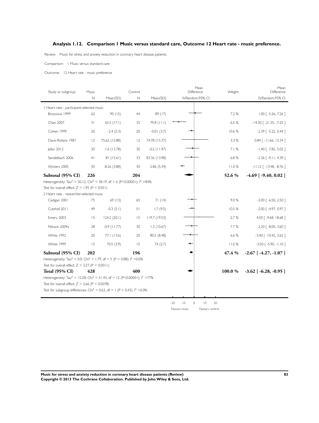### **Analysis 1.12. Comparison 1 Music versus standard care, Outcome 12 Heart rate - music preference.**

Review: Music for stress and anxiety reduction in coronary heart disease patients

Comparison: 1 Music versus standard care

Outcome: 12 Heart rate - music preference

| Study or subgroup                                                                                           | Music          |                | Control |                | Mean<br>Difference | Weight | Mean<br>Difference                 |
|-------------------------------------------------------------------------------------------------------------|----------------|----------------|---------|----------------|--------------------|--------|------------------------------------|
|                                                                                                             | $\mathsf{N}$   | Mean(SD)       | N       | Mean(SD)       | IV, Random, 95% CI |        | IV,Random,95% CI                   |
| I Heart rate - participant-selected music                                                                   |                |                |         |                |                    |        |                                    |
| Broscious 1999                                                                                              | 62             | 90(15)         | 44      | 89 (17)        |                    | 7.2 %  | $1.00$ $\lceil -5.26, 7.26 \rceil$ |
| Chan 2007                                                                                                   | 31             | $65.5$ (17.1)  | 35      | 79.8 (11.1)    |                    | 6.5 %  | $-14.30$ [ $-21.35$ , $-7.25$ ]    |
| Cohen 1999                                                                                                  | 20             | $-2.4(5.3)$    | 20      | $-0.01(3.7)$   |                    | 10.6 % | $-2.39$ [ $-5.22$ , 0.44]          |
| Davis-Rollans 1987                                                                                          | 2              | 75.62 (15.88)  | 2       | 74.78 (15.37)  |                    | 3.3 %  | $0.84$ [ -11.66, 13.34 ]           |
| Jafari 2012                                                                                                 | 30             | $-1.6$ (13.78) | 30      | $-0.2$ (11.47) |                    | 7.1%   | $-1.40$ [ $-7.82$ , 5.02 ]         |
| Sendelbach 2006                                                                                             | 4 <sub>1</sub> | 81(15.61)      | 33      | 83.36 (13.98)  |                    | 6.8%   | $-2.36$ [ $-9.11$ , 4.39]          |
| Winters 2005                                                                                                | 30             | $-8.26(3.88)$  | 30      | 2.86 (5.34)    |                    | 11.0%  | $-11.12$ [ $-13.48$ , $-8.76$ ]    |
| Subtotal (95% CI)                                                                                           | 226            |                | 204     |                |                    | 52.6 % | $-4.69$ [ $-9.40, 0.02$ ]          |
| Heterogeneity: Tau <sup>2</sup> = 30.12; Chi <sup>2</sup> = 38.19, df = 6 (P<0.00001); l <sup>2</sup> =84%  |                |                |         |                |                    |        |                                    |
| Test for overall effect: $Z = 1.95$ (P = 0.051)                                                             |                |                |         |                |                    |        |                                    |
| 2 Heart rate - researcher-selected music                                                                    |                |                |         |                |                    |        |                                    |
| Cadigan 2001                                                                                                | 75             | 69(13)         | 65      | 71(14)         |                    | 9.0%   | $-2.00$ [ $-6.50$ , 2.50 ]         |
| Cutshall 2011                                                                                               | 49             | $-0.3(5.1)$    | 51      | 1.7(9.5)       |                    | 10.5 % | $-2.00$ [ $-4.97$ , 0.97]          |
| Emery 2003                                                                                                  | 15             | 124.2(20.1)    | 15      | 119.7(19.53)   |                    | 2.7 %  | 4.50 [ -9.68, 18.68 ]              |
| Nilsson 2009a                                                                                               | 28             | $-0.9$ (11.77) | 30      | 1.3(10.67)     |                    | 7.7%   | $-2.20$ [ $-8.00$ , 3.60 ]         |
| White 1992                                                                                                  | 20             | 77.1 (13.6)    | 20      | 80.5 (8.48)    |                    | 6.6 %  | $-3.40$ [ $-10.42$ , $3.62$ ]      |
| White 1999                                                                                                  | 15             | 70.5 (3.9)     | 15      | 74 (2.7)       |                    | 11.0%  | $-3.50$ [ $-5.90$ , $-1.10$ ]      |
| Subtotal (95% CI)                                                                                           | 202            |                | 196     |                |                    | 47.4 % | $-2.67$ [ $-4.27, -1.07$ ]         |
| Heterogeneity: Tau <sup>2</sup> = 0.0; Chi <sup>2</sup> = 1.79, df = 5 (P = 0.88); $1^2$ = 0.0%             |                |                |         |                |                    |        |                                    |
| Test for overall effect: $Z = 3.27$ (P = 0.0011)                                                            |                |                |         |                |                    |        |                                    |
| <b>Total (95% CI)</b>                                                                                       | 428            |                | 400     |                |                    | 100.0% | $-3.62$ [ $-6.28$ , $-0.95$ ]      |
| Heterogeneity: Tau <sup>2</sup> = 15.28; Chi <sup>2</sup> = 51.43, df = 12 (P<0.00001); l <sup>2</sup> =77% |                |                |         |                |                    |        |                                    |
| Test for overall effect: $Z = 2.66$ (P = 0.0078)                                                            |                |                |         |                |                    |        |                                    |
| Test for subgroup differences: Chi <sup>2</sup> = 0.63, df = 1 (P = 0.43), $1^2$ = 0.0%                     |                |                |         |                |                    |        |                                    |
|                                                                                                             |                |                |         |                |                    |        |                                    |

 $-20$   $-10$  0 10 20 Favours music | Favours control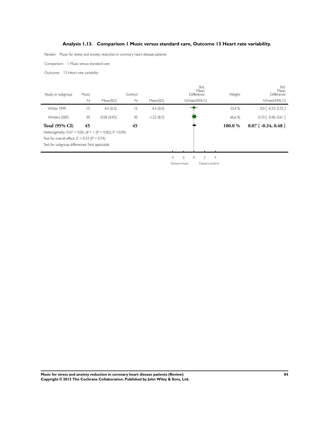### **Analysis 1.13. Comparison 1 Music versus standard care, Outcome 13 Heart rate variability.**

<span id="page-85-0"></span>Review: Music for stress and anxiety reduction in coronary heart disease patients

Comparison: 1 Music versus standard care

Outcome: 13 Heart rate variability

| Study or subgroup                                                                                                                                                                                            | Music<br>$\mathbb N$ | Mean(SD)      | Control<br>$\hbox{N}$ | Mean(SD)     | Std.<br>Mean<br>Difference<br>IV, Fixed, 95% CI                                                              | Weight     | Std.<br>Mean<br>Difference<br>IV, Fixed, 95% CI |
|--------------------------------------------------------------------------------------------------------------------------------------------------------------------------------------------------------------|----------------------|---------------|-----------------------|--------------|--------------------------------------------------------------------------------------------------------------|------------|-------------------------------------------------|
| White 1999                                                                                                                                                                                                   | 15                   | 4.4(0.3)      | 15                    | 4.4(0.4)     | $-$                                                                                                          | 33.4 %     | $0.0$ [ -0.72, 0.72 ]                           |
| Winters 2005                                                                                                                                                                                                 | $30\,$               | $-0.58(0.43)$ | $30\,$                | $-1.23(8.7)$ |                                                                                                              | 66.6%      | $0.10$ [ -0.40, 0.61 ]                          |
| <b>Total (95% CI)</b><br>Heterogeneity: Chi <sup>2</sup> = 0.05, df = 1 (P = 0.82); l <sup>2</sup> = 0.0%<br>Test for overall effect: $Z = 0.33$ (P = 0.74)<br>Test for subgroup differences: Not applicable | 45                   |               | 45                    |              |                                                                                                              | $100.0~\%$ | $0.07$ [ -0.34, 0.48 ]                          |
|                                                                                                                                                                                                              |                      |               |                       |              | $\mathbin{\mathsf{I}}2$<br>$\overline{2}$<br>$\overline{4}$<br>$-4$<br>Ó<br>Favours control<br>Favours music |            |                                                 |

**Music for stress and anxiety reduction in coronary heart disease patients (Review) 84 Copyright © 2013 The Cochrane Collaboration. Published by John Wiley & Sons, Ltd.**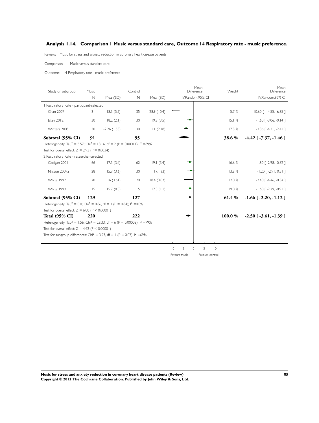### <span id="page-86-0"></span>**Analysis 1.14. Comparison 1 Music versus standard care, Outcome 14 Respiratory rate - music preference.**

Review: Music for stress and anxiety reduction in coronary heart disease patients

Comparison: 1 Music versus standard care

Outcome: 14 Respiratory rate - music preference

| Study or subgroup                                                                                                                                               | Music<br>$\mathbb N$ | Mean(SD)      | Control<br>$\mathbb N$ | Mean(SD)     | Difference<br>IV,Random,95% CI            | Mean                     | Weight | Mean<br>Difference<br>IV, Random, 95% CI |
|-----------------------------------------------------------------------------------------------------------------------------------------------------------------|----------------------|---------------|------------------------|--------------|-------------------------------------------|--------------------------|--------|------------------------------------------|
| I Respiratory Rate - participant-selected                                                                                                                       |                      |               |                        |              |                                           |                          |        |                                          |
| Chan 2007                                                                                                                                                       | 31                   | 18.3(5.5)     | 35                     | 28.9 (10.4)  |                                           |                          | 5.7%   | $-10.60$ [ $-14.55$ , $-6.65$ ]          |
| Jafari 2012                                                                                                                                                     | 30                   | 18.2(2.1)     | 30                     | 19.8(3.5)    |                                           |                          | 15.1%  | $-1.60$ $[-3.06, -0.14]$                 |
| Winters 2005                                                                                                                                                    | 30                   | $-2.26(1.53)$ | 30                     | 1.1(2.18)    |                                           |                          | 17.8 % | $-3.36$ [ $-4.31$ , $-2.41$ ]            |
| Subtotal (95% CI)                                                                                                                                               | 91                   |               | 95                     |              |                                           |                          | 38.6%  | $-4.42$ [ $-7.37, -1.46$ ]               |
| Heterogeneity: Tau <sup>2</sup> = 5.57; Chi <sup>2</sup> = 18.16, df = 2 (P = 0.00011); l <sup>2</sup> =89%<br>Test for overall effect: $Z = 2.93$ (P = 0.0034) |                      |               |                        |              |                                           |                          |        |                                          |
| 2 Respiratory Rate - researcher-selected                                                                                                                        |                      |               |                        |              |                                           |                          |        |                                          |
| Cadigan 2001                                                                                                                                                    | 66                   | 17.3(3.4)     | 62                     | 19.1(3.4)    |                                           |                          | 16.6 % | $-1.80$ [ $-2.98$ , $-0.62$ ]            |
| Nilsson 2009a                                                                                                                                                   | 28                   | 15.9(3.6)     | 30                     | 17.1(3)      |                                           |                          | 13.8 % | $-1.20$ [ $-2.91$ , 0.51]                |
| White 1992                                                                                                                                                      | 20                   | 16(3.61)      | 20                     | 18.4(3.02)   |                                           |                          | 12.0 % | $-2.40$ [ $-4.46$ , $-0.34$ ]            |
| White 1999                                                                                                                                                      | 15                   | 15.7(0.8)     | 15                     | $17.3$ (1.1) |                                           |                          | 19.0%  | $-1.60$ [ $-2.29$ , $-0.91$ ]            |
| Subtotal (95% CI)                                                                                                                                               | 129                  |               | 127                    |              |                                           |                          | 61.4%  | $-1.66$ [ $-2.20, -1.12$ ]               |
| Heterogeneity: Tau <sup>2</sup> = 0.0; Chi <sup>2</sup> = 0.86, df = 3 (P = 0.84); l <sup>2</sup> = 0.0%<br>Test for overall effect: $Z = 6.00$ (P < 0.00001)   |                      |               |                        |              |                                           |                          |        |                                          |
| <b>Total (95% CI)</b>                                                                                                                                           | 220                  |               | 222                    |              |                                           |                          | 100.0% | $-2.50$ [ $-3.61, -1.39$ ]               |
| Test for overall effect: $Z = 4.42$ (P < 0.00001)<br>Test for subgroup differences: Chi <sup>2</sup> = 3.23, df = 1 (P = 0.07), $1^2$ =69%                      |                      |               |                        |              |                                           |                          |        |                                          |
|                                                                                                                                                                 |                      |               |                        |              | $-5$<br>$\overline{\phantom{a}}$   0<br>Ò | 5<br>$\vert\,0\,\rangle$ |        |                                          |
|                                                                                                                                                                 |                      |               |                        |              | Favours music                             | Favours control          |        |                                          |
|                                                                                                                                                                 |                      |               |                        |              |                                           |                          |        |                                          |
|                                                                                                                                                                 |                      |               |                        |              |                                           |                          |        |                                          |
|                                                                                                                                                                 |                      |               |                        |              |                                           |                          |        |                                          |
|                                                                                                                                                                 |                      |               |                        |              |                                           |                          |        |                                          |
|                                                                                                                                                                 |                      |               |                        |              |                                           |                          |        |                                          |
|                                                                                                                                                                 |                      |               |                        |              |                                           |                          |        |                                          |
|                                                                                                                                                                 |                      |               |                        |              |                                           |                          |        |                                          |
|                                                                                                                                                                 |                      |               |                        |              |                                           |                          |        |                                          |
|                                                                                                                                                                 |                      |               |                        |              |                                           |                          |        |                                          |
|                                                                                                                                                                 |                      |               |                        |              |                                           |                          |        |                                          |
|                                                                                                                                                                 |                      |               |                        |              |                                           |                          |        |                                          |

**Music for stress and anxiety reduction in coronary heart disease patients (Review) 85 Copyright © 2013 The Cochrane Collaboration. Published by John Wiley & Sons, Ltd.**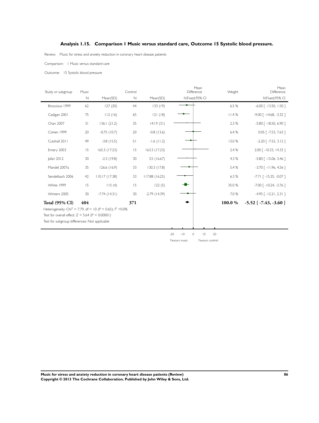### **Analysis 1.15. Comparison 1 Music versus standard care, Outcome 15 Systolic blood pressure.**

<span id="page-87-0"></span>Review: Music for stress and anxiety reduction in coronary heart disease patients

Comparison: 1 Music versus standard care

Outcome: 15 Systolic blood pressure

÷,

| Study or subgroup                                                       | Music       |                | Control |                 | Mean<br>Difference                       | Weight | Mean<br>Difference                    |
|-------------------------------------------------------------------------|-------------|----------------|---------|-----------------|------------------------------------------|--------|---------------------------------------|
|                                                                         | $\mathbb N$ | Mean(SD)       | N       | Mean(SD)        | IV, Fixed, 95% CI                        |        | IV, Fixed, 95% CI                     |
| Broscious 1999                                                          | 62          | 127(20)        | 44      | 133 (19)        |                                          | 6.5 %  | $-6.00$ [ $-13.50$ , $1.50$ ]         |
| Cadigan 2001                                                            | 75          | 112(16)        | 65      | 121(18)         |                                          | 11.4%  | $-9.00$ $\lceil -14.68, -3.32 \rceil$ |
| Chan 2007                                                               | 31          | 136.1(21.2)    | 35      | 141.9(31)       |                                          | 2.3 %  | $-5.80$ [ $-18.50$ , 6.90]            |
| Cohen 1999                                                              | 20          | $-0.75$ (10.7) | 20      | $-0.8$ (13.6)   |                                          | 6.4 %  | $0.05$ $\lceil -7.53, 7.63 \rceil$    |
| Cutshall 2011                                                           | 49          | $-3.8$ (15.5)  | 51      | $-1.6$ (11.2)   |                                          | 13.0 % | $-2.20$ [ $-7.52$ , $3.12$ ]          |
| Emery 2003                                                              | 15          | 165.3 (17.23)  | 15      | 163.3 (17.23)   |                                          | 2.4 %  | 2.00 [-10.33, 14.33]                  |
| Jafari 2012                                                             | 30          | $-2.3$ (19.8)  | 30      | $3.5$ (16.67)   |                                          | 4.3 %  | $-5.80$ [ $-15.06$ , 3.46]            |
| Mandel 2007a                                                            | 35          | 126.6(16.9)    | 33      | 130.3(17.8)     |                                          | 5.4 %  | $-3.70$ [ $-11.96$ , 4.56]            |
| Sendelbach 2006                                                         | 42          | 110.17(17.38)  | 33      | 117.88 (16.25)  |                                          | 6.3%   | $-7.7$   [ $-15.35, -0.07$ ]          |
| White 1999                                                              | 15          | 115(4)         | 15      | 122(5)          |                                          | 35.0%  | $-7.00$ [ $-10.24$ , $-3.76$ ]        |
| Winters 2005                                                            | 30          | $-7.74(14.31)$ | 30      | $-2.79$ (14.39) |                                          | 7.0 %  | $-4.95$ [ $-12.21$ , $2.31$ ]         |
| <b>Total (95% CI)</b>                                                   | 404         |                | 371     |                 |                                          | 100.0% | $-5.52$ [ $-7.43, -3.60$ ]            |
| Heterogeneity: Chi <sup>2</sup> = 7.79, df = 10 (P = 0.65); $1^2$ =0.0% |             |                |         |                 |                                          |        |                                       |
| Test for overall effect: $Z = 5.64$ (P < 0.00001)                       |             |                |         |                 |                                          |        |                                       |
| Test for subgroup differences: Not applicable                           |             |                |         |                 |                                          |        |                                       |
|                                                                         |             |                |         |                 |                                          |        |                                       |
|                                                                         |             |                |         |                 | $-20$<br>$-10$<br>20<br>$ 0\rangle$<br>0 |        |                                       |

Favours music Favours control

**Music for stress and anxiety reduction in coronary heart disease patients (Review) 86 Copyright © 2013 The Cochrane Collaboration. Published by John Wiley & Sons, Ltd.**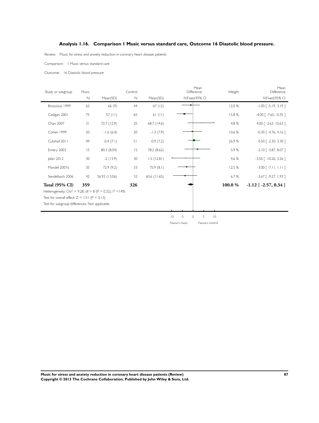### **Analysis 1.16. Comparison 1 Music versus standard care, Outcome 16 Diastolic blood pressure.**

<span id="page-88-0"></span>Review: Music for stress and anxiety reduction in coronary heart disease patients

Comparison: 1 Music versus standard care

Outcome: 16 Diastolic blood pressure

| Study or subgroup                                                                               | Music<br>$\hbox{N}$ | Mean(SD)      | Control<br>$\hbox{N}$ | Mean(SD)       | Mean<br>Difference<br>IV, Fixed, 95% CI            | Weight | Mean<br>Difference<br>IV, Fixed, 95% CI |
|-------------------------------------------------------------------------------------------------|---------------------|---------------|-----------------------|----------------|----------------------------------------------------|--------|-----------------------------------------|
| Broscious 1999                                                                                  | 62                  | 66 (9)        | 44                    | 67(12)         |                                                    | 12.0 % | $-1.00$ [ $-5.19$ , 3.19]               |
| Cadigan 2001                                                                                    | 75                  | 57(11)        | 65                    | 61(11)         |                                                    | 15.8%  | $-4.00$ [ $-7.65, -0.35$ ]              |
| Chan 2007                                                                                       | 31                  | 72.7 (12.9)   | 35                    | 68.7 (14.6)    |                                                    | 4.8 %  | 4.00 [-2.63, 10.63]                     |
| Cohen 1999                                                                                      | 20                  | $-1.6(6.4)$   | 20                    | $-1.3(7.9)$    |                                                    | 10.6 % | $-0.30$ $[-4.76, 4.16]$                 |
| Cutshall 2011                                                                                   | 49                  | $-0.4(7.1)$   | 51                    | $-0.9(7.2)$    |                                                    | 26.9%  | $0.50$ [ -2.30, 3.30 ]                  |
| Emery 2003                                                                                      | 15                  | 80.3 (8.04)   | 15                    | 78.2 (8.62)    |                                                    | 5.9%   | 2.10 [ -3.87, 8.07 ]                    |
| Jafari 2012                                                                                     | 30                  | $-2(13.9)$    | 30                    | 1.5(12.81)     |                                                    | 4.6 %  | $-3.50$ [ $-10.26$ , 3.26]              |
| Mandel 2007a                                                                                    | 35                  | 72.9 (9.2)    | 33                    | 75.9(8.1)      |                                                    | 12.5 % | $-3.00$ [ $-7.11$ , $1.11$ ]            |
| Sendelbach 2006                                                                                 | 42                  | 56.93 (13.06) | 33                    | $60.6$ (11.65) |                                                    | 6.7%   | $-3.67$ [ $-9.27$ , 1.93]               |
| <b>Total (95% CI)</b><br>Heterogeneity: Chi <sup>2</sup> = 9.28, df = 8 (P = 0.32); $1^2$ = 14% | 359                 |               | 326                   |                |                                                    | 100.0% | $-1.12$ [ $-2.57, 0.34$ ]               |
| Test for overall effect: $Z = 1.51$ (P = 0.13)<br>Test for subgroup differences: Not applicable |                     |               |                       |                |                                                    |        |                                         |
|                                                                                                 |                     |               |                       |                | $-10$<br>$-5$<br>$\circ$<br>5<br>$\vert\,0\,\vert$ |        |                                         |
|                                                                                                 |                     |               |                       |                | Favours music<br>Favours control                   |        |                                         |
|                                                                                                 |                     |               |                       |                |                                                    |        |                                         |
|                                                                                                 |                     |               |                       |                |                                                    |        |                                         |
|                                                                                                 |                     |               |                       |                |                                                    |        |                                         |
|                                                                                                 |                     |               |                       |                |                                                    |        |                                         |
|                                                                                                 |                     |               |                       |                |                                                    |        |                                         |
|                                                                                                 |                     |               |                       |                |                                                    |        |                                         |
|                                                                                                 |                     |               |                       |                |                                                    |        |                                         |
|                                                                                                 |                     |               |                       |                |                                                    |        |                                         |
|                                                                                                 |                     |               |                       |                |                                                    |        |                                         |
|                                                                                                 |                     |               |                       |                |                                                    |        |                                         |
|                                                                                                 |                     |               |                       |                |                                                    |        |                                         |
|                                                                                                 |                     |               |                       |                |                                                    |        |                                         |
|                                                                                                 |                     |               |                       |                |                                                    |        |                                         |
|                                                                                                 |                     |               |                       |                |                                                    |        |                                         |
|                                                                                                 |                     |               |                       |                |                                                    |        |                                         |

**Music for stress and anxiety reduction in coronary heart disease patients (Review) 87 Copyright © 2013 The Cochrane Collaboration. Published by John Wiley & Sons, Ltd.**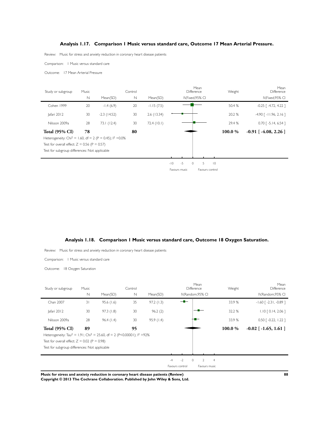### **Analysis 1.17. Comparison 1 Music versus standard care, Outcome 17 Mean Arterial Pressure.**

<span id="page-89-0"></span>Review: Music for stress and anxiety reduction in coronary heart disease patients

Comparison: 1 Music versus standard care

Outcome: 17 Mean Arterial Pressure

| Study or subgroup                                                          | Music |                | Control     |              | Mean<br>Difference                            | Weight | Mean<br>Difference                  |
|----------------------------------------------------------------------------|-------|----------------|-------------|--------------|-----------------------------------------------|--------|-------------------------------------|
|                                                                            | N     | Mean(SD)       | $\mathbb N$ | Mean(SD)     | IV, Fixed, 95% CI                             |        | IV, Fixed, 95% CI                   |
| Cohen 1999                                                                 | 20    | $-1.4(6.9)$    | 20          | $-1.15(7.5)$ |                                               | 50.4 % | $-0.25$ $\lceil -4.72, 4.22 \rceil$ |
| lafari 2012                                                                | 30    | $-2.3$ (14.52) | 30          | 2.6(13.34)   |                                               | 20.2 % | $-4.90$ [ $-11.96$ , $2.16$ ]       |
| Nilsson 2009a                                                              | 28    | 73.1(12.4)     | 30          | 72.4(10.1)   |                                               | 29.4 % | $0.70$ [ -5.14, 6.54 ]              |
| <b>Total (95% CI)</b>                                                      | 78    |                | 80          |              |                                               | 100.0% | $-0.91$ [ $-4.08$ , 2.26 ]          |
| Heterogeneity: Chi <sup>2</sup> = 1.60, df = 2 (P = 0.45); $\vert^2$ =0.0% |       |                |             |              |                                               |        |                                     |
| Test for overall effect: $Z = 0.56$ (P = 0.57)                             |       |                |             |              |                                               |        |                                     |
| Test for subgroup differences: Not applicable                              |       |                |             |              |                                               |        |                                     |
|                                                                            |       |                |             |              |                                               |        |                                     |
|                                                                            |       |                |             |              | $-5$<br>5<br>$-10$<br>$ 0\rangle$<br>$\Omega$ |        |                                     |
|                                                                            |       |                |             |              | Favours music<br>Favours control              |        |                                     |



Review: Music for stress and anxiety reduction in coronary heart disease patients

Comparison: 1 Music versus standard care

Outcome: 18 Oxygen Saturation

| Study or subgroup                                                                                                                                                                                                            | Music       |           | Control     |           |      |                         | Mean<br>Difference                                     | Weight | Mean<br>Difference                 |
|------------------------------------------------------------------------------------------------------------------------------------------------------------------------------------------------------------------------------|-------------|-----------|-------------|-----------|------|-------------------------|--------------------------------------------------------|--------|------------------------------------|
|                                                                                                                                                                                                                              | $\mathbb N$ | Mean(SD)  | $\mathbb N$ | Mean(SD)  |      |                         | IV, Random, 95% CI                                     |        | IV, Random, 95% CI                 |
| Chan 2007                                                                                                                                                                                                                    | 31          | 95.6(1.6) | 35          | 97.2(1.3) |      |                         |                                                        | 33.9%  | $-1.60$ [ $-2.31$ , $-0.89$ ]      |
| Jafari 2012                                                                                                                                                                                                                  | 30          | 97.3(1.8) | 30          | 96.2(2)   |      |                         |                                                        | 32.2 % | $1.10$ $[$ 0.14, 2.06 ]            |
| Nilsson 2009a                                                                                                                                                                                                                | 28          | 96.4(1.4) | 30          | 95.9(1.4) |      |                         |                                                        | 33.9%  | $0.50$ $\lceil -0.22, 1.22 \rceil$ |
| <b>Total (95% CI)</b><br>Heterogeneity: Tau <sup>2</sup> = 1.91; Chi <sup>2</sup> = 25.60, df = 2 (P<0.00001); $l^2$ =92%<br>Test for overall effect: $Z = 0.02$ (P = 0.98)<br>Test for subgroup differences: Not applicable | 89          |           | 95          |           |      |                         |                                                        | 100.0% | $-0.02$ [ $-1.65$ , 1.61 ]         |
|                                                                                                                                                                                                                              |             |           |             |           | $-4$ | $-2$<br>Favours control | $\overline{2}$<br>$\overline{4}$<br>0<br>Favours music |        |                                    |

**Music for stress and anxiety reduction in coronary heart disease patients (Review) 88**

**Copyright © 2013 The Cochrane Collaboration. Published by John Wiley & Sons, Ltd.**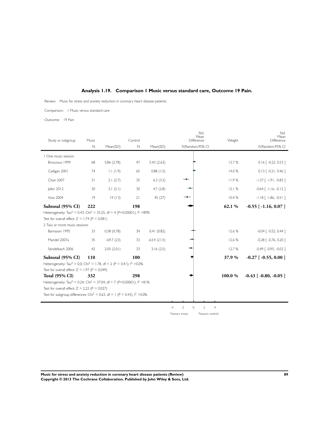# **Analysis 1.19. Comparison 1 Music versus standard care, Outcome 19 Pain.**

<span id="page-90-0"></span>Review: Music for stress and anxiety reduction in coronary heart disease patients

Comparison: 1 Music versus standard care

Outcome: 19 Pain

|                                                                                                           |            |             |               |               | Std.<br>Mean                               |                | Std.<br>Mean                         |
|-----------------------------------------------------------------------------------------------------------|------------|-------------|---------------|---------------|--------------------------------------------|----------------|--------------------------------------|
| Study or subgroup                                                                                         | Music<br>N | Mean(SD)    | Control<br>N. | Mean(SD)      | Difference<br>IV,Random,95% CI             | Weight         | Difference<br>IV,Random,95% CI       |
| One music session                                                                                         |            |             |               |               |                                            |                |                                      |
| Broscious 1999                                                                                            | 68         | 5.86(2.78)  | 47            | 5.43(2.63)    |                                            | 13.7%          | $0.16$ $\lceil -0.22, 0.53 \rceil$   |
| Cadigan 2001                                                                                              | 74         | 1.1(1.9)    | 65            | 0.88(1.5)     |                                            | 14.0 %         | $0.13$ $\lceil -0.21, 0.46 \rceil$   |
| Chan 2007                                                                                                 | 31         | 2.1(2.7)    | 35            | 6.3(3.3)      |                                            | 11.9%          | $-1.37$ [ $-1.91$ , $-0.83$ ]        |
| Jafari 2012                                                                                               | 30         | 3.1(2.1)    | 30            | 4.7(2.8)      |                                            | 12.1%          | $-0.64$ $\lceil -1.16, -0.12 \rceil$ |
| <b>Voss 2004</b>                                                                                          | 9          | 19(13)      | 21            | 45 (27)       |                                            | 10.4 %         | $-1.18$ [ $-1.86$ , $-0.51$ ]        |
| Subtotal (95% CI)                                                                                         | 222        |             | 198           |               |                                            | 62.1 %         | $-0.55$ [ $-1.16, 0.07$ ]            |
| Heterogeneity: Tau <sup>2</sup> = 0.43; Chi <sup>2</sup> = 35.25, df = 4 (P<0.00001); l <sup>2</sup> =89% |            |             |               |               |                                            |                |                                      |
| Test for overall effect: $Z = 1.74$ (P = 0.081)                                                           |            |             |               |               |                                            |                |                                      |
| 2 Two or more music sessions                                                                              |            |             |               |               |                                            |                |                                      |
| Barnason 1995                                                                                             | 33         | 0.38(0.78)  | 34            | 0.41(0.82)    |                                            | 12.6 %         | $-0.04$ $\lceil -0.52, 0.44 \rceil$  |
| Mandel 2007a                                                                                              | 35         | $-69.7(23)$ | 33            | $-63.4(21.5)$ |                                            | 12.6 %         | $-0.28$ $\lceil -0.76, 0.20 \rceil$  |
| Sendelbach 2006                                                                                           | 42         | 2.05(2.01)  | 33            | 3.16(2.5)     |                                            | 12.7%          | $-0.49$ $\lceil -0.95, -0.03 \rceil$ |
| Subtotal (95% CI)                                                                                         | 110        |             | 100           |               |                                            | 37.9 %         | $-0.27$ [ $-0.55$ , 0.00 ]           |
| Heterogeneity: Tau <sup>2</sup> = 0.0; Chi <sup>2</sup> = 1.78, df = 2 (P = 0.41); $1^2$ = 0.0%           |            |             |               |               |                                            |                |                                      |
| Test for overall effect: $Z = 1.97$ (P = 0.049)                                                           |            |             |               |               |                                            |                |                                      |
| <b>Total (95% CI)</b>                                                                                     | 332        |             | 298           |               |                                            | 100.0%         | $-0.43$ [ $-0.80, -0.05$ ]           |
| Heterogeneity: Tau <sup>2</sup> = 0.24; Chi <sup>2</sup> = 37.04, df = 7 (P<0.00001); l <sup>2</sup> =81% |            |             |               |               |                                            |                |                                      |
| Test for overall effect: $Z = 2.22$ (P = 0.027)                                                           |            |             |               |               |                                            |                |                                      |
| Test for subgroup differences: Chi <sup>2</sup> = 0.63, df = 1 (P = 0.43), $1^2$ = 0.0%                   |            |             |               |               |                                            |                |                                      |
|                                                                                                           |            |             |               |               | $-2$<br>$\overline{2}$<br>$-4$<br>$\Omega$ | $\overline{4}$ |                                      |
|                                                                                                           |            |             |               |               | Favours music<br>Favours control           |                |                                      |
|                                                                                                           |            |             |               |               |                                            |                |                                      |
|                                                                                                           |            |             |               |               |                                            |                |                                      |
|                                                                                                           |            |             |               |               |                                            |                |                                      |
|                                                                                                           |            |             |               |               |                                            |                |                                      |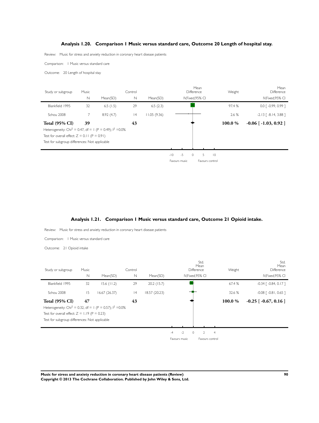### **Analysis 1.20. Comparison 1 Music versus standard care, Outcome 20 Length of hospital stay.**

<span id="page-91-0"></span>Review: Music for stress and anxiety reduction in coronary heart disease patients

Comparison: 1 Music versus standard care

Outcome: 20 Length of hospital stay

| Study or subgroup                                                                                                                                                                                   | Music<br>$\mathbb N$ | Mean(SD)  | Control<br>$\mathbb N$ | Mean(SD)    |                                | Mean<br>Difference<br>IV, Fixed, 95% CI | Weight                    | Mean<br>Difference<br>IV, Fixed, 95% CI |
|-----------------------------------------------------------------------------------------------------------------------------------------------------------------------------------------------------|----------------------|-----------|------------------------|-------------|--------------------------------|-----------------------------------------|---------------------------|-----------------------------------------|
| Blankfield 1995                                                                                                                                                                                     | 32                   | 6.5(1.5)  | 29                     | 6.5(2.3)    |                                |                                         | 97.4 %                    | $0.0$ $\lceil -0.99, 0.99 \rceil$       |
| Schou 2008                                                                                                                                                                                          | 7                    | 8.92(4.7) | 4                      | 11.05(9.36) |                                |                                         | 2.6%                      | $-2.13$ [ $-8.14$ , 3.88 ]              |
| <b>Total (95% CI)</b><br>Heterogeneity: Chi <sup>2</sup> = 0.47, df = 1 (P = 0.49); $1^2$ = 0.0%<br>Test for overall effect: $Z = 0.11$ (P = 0.91)<br>Test for subgroup differences: Not applicable | 39                   |           | 43                     |             | $-5$<br>$-10$<br>Favours music | 5<br>$\circ$<br>Favours control         | 100.0 %<br>$\overline{0}$ | $-0.06$ [ $-1.03$ , 0.92 ]              |

### **Analysis 1.21. Comparison 1 Music versus standard care, Outcome 21 Opioid intake.**

Review: Music for stress and anxiety reduction in coronary heart disease patients

Comparison: 1 Music versus standard care

Outcome: 21 Opioid intake

| Study or subgroup                                                                                                                                                                                  | Music<br>$\mathbb N$ | Mean(SD)      | Control<br>N | Mean(SD)      |                               | Std.<br>Mean<br>Difference<br>IV, Fixed, 95% CI | Weight         | Std.<br>Mean<br>Difference<br>IV, Fixed, 95% CI |
|----------------------------------------------------------------------------------------------------------------------------------------------------------------------------------------------------|----------------------|---------------|--------------|---------------|-------------------------------|-------------------------------------------------|----------------|-------------------------------------------------|
| Blankfield 1995                                                                                                                                                                                    | 32                   | $15.6$ (11.2) | 29           | $20.2$ (15.7) |                               |                                                 | 67.4 %         | $-0.34$ $\lceil -0.84, 0.17 \rceil$             |
| Schou 2008                                                                                                                                                                                         | 15                   | 16.67 (26.37) | 4            | 18.57 (20.23) |                               |                                                 | 32.6 %         | $-0.08$ $\lceil -0.81, 0.65 \rceil$             |
| <b>Total (95% CI)</b><br>Heterogeneity: Chi <sup>2</sup> = 0.32, df = 1 (P = 0.57); $1^2$ =0.0%<br>Test for overall effect: $Z = 1.19$ (P = 0.23)<br>Test for subgroup differences: Not applicable | 47                   |               | 43           |               |                               |                                                 | 100.0%         | $-0.25$ [ $-0.67, 0.16$ ]                       |
|                                                                                                                                                                                                    |                      |               |              |               | $-2$<br>$-4$<br>Favours music | $\overline{2}$<br>Favours control               | $\overline{4}$ |                                                 |

**Music for stress and anxiety reduction in coronary heart disease patients (Review) 90 Copyright © 2013 The Cochrane Collaboration. Published by John Wiley & Sons, Ltd.**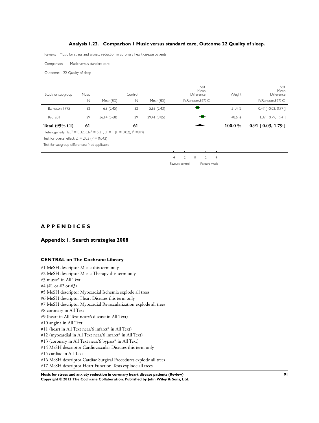### **Analysis 1.22. Comparison 1 Music versus standard care, Outcome 22 Quality of sleep.**

Review: Music for stress and anxiety reduction in coronary heart disease patients

Comparison: 1 Music versus standard care

Outcome: 22 Quality of sleep

| Study or subgroup                                                                                                                                                                                                                                                                                                                                                                                                                                                                                                                                                                                                                                                                                                                                                                                                                                 | Music |              | Control |              |                 | Std.<br>Mean<br>Difference            | Weight | Std.<br>Mean<br>Difference |
|---------------------------------------------------------------------------------------------------------------------------------------------------------------------------------------------------------------------------------------------------------------------------------------------------------------------------------------------------------------------------------------------------------------------------------------------------------------------------------------------------------------------------------------------------------------------------------------------------------------------------------------------------------------------------------------------------------------------------------------------------------------------------------------------------------------------------------------------------|-------|--------------|---------|--------------|-----------------|---------------------------------------|--------|----------------------------|
|                                                                                                                                                                                                                                                                                                                                                                                                                                                                                                                                                                                                                                                                                                                                                                                                                                                   | N     | Mean(SD)     | N       | Mean(SD)     |                 | IV,Random,95% CI                      |        | IV,Random,95% CI           |
| Barnason 1995                                                                                                                                                                                                                                                                                                                                                                                                                                                                                                                                                                                                                                                                                                                                                                                                                                     | 32    | 6.8(2.45)    | 32      | 5.63(2.43)   |                 | H                                     | 51.4%  | $0.47$ [ $-0.02$ , 0.97 ]  |
| Ryu 2011                                                                                                                                                                                                                                                                                                                                                                                                                                                                                                                                                                                                                                                                                                                                                                                                                                          | 29    | 36.14 (5.68) | 29      | 29.41 (3.85) |                 | ₩.                                    | 48.6 % | $1.37$ $[0.79, 1.94]$      |
| <b>Total (95% CI)</b><br>Heterogeneity: Tau <sup>2</sup> = 0.32; Chi <sup>2</sup> = 5.31, df = 1 (P = 0.02); l <sup>2</sup> = 81%<br>Test for overall effect: $Z = 2.03$ (P = 0.042)<br>Test for subgroup differences: Not applicable                                                                                                                                                                                                                                                                                                                                                                                                                                                                                                                                                                                                             | 61    |              | 61      |              |                 |                                       | 100.0% | $0.91$ [ 0.03, 1.79 ]      |
|                                                                                                                                                                                                                                                                                                                                                                                                                                                                                                                                                                                                                                                                                                                                                                                                                                                   |       |              |         |              | $-2$<br>$-4$    | 0<br>$\overline{2}$<br>$\overline{4}$ |        |                            |
|                                                                                                                                                                                                                                                                                                                                                                                                                                                                                                                                                                                                                                                                                                                                                                                                                                                   |       |              |         |              | Favours control | Favours music                         |        |                            |
| <b>APPENDICES</b><br>Appendix 1. Search strategies 2008<br><b>CENTRAL on The Cochrane Library</b>                                                                                                                                                                                                                                                                                                                                                                                                                                                                                                                                                                                                                                                                                                                                                 |       |              |         |              |                 |                                       |        |                            |
| #1 MeSH descriptor Music this term only<br>#2 MeSH descriptor Music Therapy this term only<br>#3 music* in All Text<br>#4 (#1 or #2 or #3)<br>#5 MeSH descriptor Myocardial Ischemia explode all trees<br>#6 MeSH descriptor Heart Diseases this term only<br>#7 MeSH descriptor Myocardial Revascularization explode all trees<br>#8 coronary in All Text<br>#9 (heart in All Text near/6 disease in All Text)<br>#10 angina in All Text<br>#11 (heart in All Text near/6 infarct* in All Text)<br>#12 (myocardial in All Text near/6 infarct* in All Text)<br>#13 (coronary in All Text near/6 bypass* in All Text)<br>#14 MeSH descriptor Cardiovascular Diseases this term only<br>#15 cardiac in All Text<br>#16 MeSH descriptor Cardiac Surgical Procedures explode all trees<br>#17 MeSH descriptor Heart Function Tests explode all trees |       |              |         |              |                 |                                       |        |                            |

**Music for stress and anxiety reduction in coronary heart disease patients (Review) 91 Copyright © 2013 The Cochrane Collaboration. Published by John Wiley & Sons, Ltd.**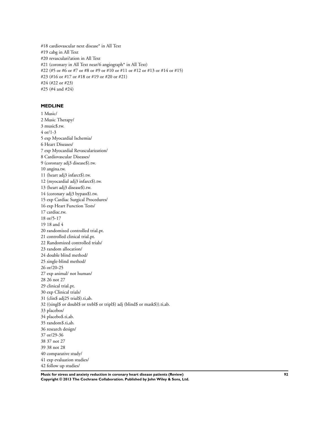#18 cardiovascular next disease\* in All Text #19 cabg in All Text #20 revasculari?ation in All Text #21 (coronary in All Text near/6 angiograph\* in All Text) #22 (#5 or #6 or #7 or #8 or #9 or #10 or #11 or #12 or #13 or #14 or #15 ) #23 (#16 or #17 or #18 or #19 or #20 or #21) #24 (#22 or #23) #25 (#4 and #24)

### **MEDLINE**

1 Music/ 2 Music Therapy/ 3 music\$.tw. 4 or/1-3 5 exp Myocardial Ischemia/ 6 Heart Diseases/ 7 exp Myocardial Revascularization/ 8 Cardiovascular Diseases/ 9 (coronary adj3 disease\$).tw. 10 angina.tw. 11 (heart adj3 infarct\$).tw. 12 (myocardial adj3 infarct\$).tw. 13 (heart adj3 disease\$).tw. 14 (coronary adj3 bypass\$).tw. 15 exp Cardiac Surgical Procedures/ 16 exp Heart Function Tests/ 17 cardiac.tw. 18 or/5-17 19 18 and 4 20 randomized controlled trial.pt. 21 controlled clinical trial.pt. 22 Randomized controlled trials/ 23 random allocation/ 24 double blind method/ 25 single-blind method/ 26 or/20-25 27 exp animal/ not human/ 28 26 not 27 29 clinical trial.pt. 30 exp Clinical trials/ 31 (clin\$ adj25 trial\$).ti,ab. 32 ((singl\$ or doubl\$ or trebl\$ or tripl\$) adj (blind\$ or mask\$)).ti,ab. 33 placebos/ 34 placebo\$.ti,ab. 35 random\$.ti,ab. 36 research design/ 37 or/29-36 38 37 not 27 39 38 not 28 40 comparative study/ 41 exp evaluation studies/ 42 follow up studies/

**Music for stress and anxiety reduction in coronary heart disease patients (Review) 92 Copyright © 2013 The Cochrane Collaboration. Published by John Wiley & Sons, Ltd.**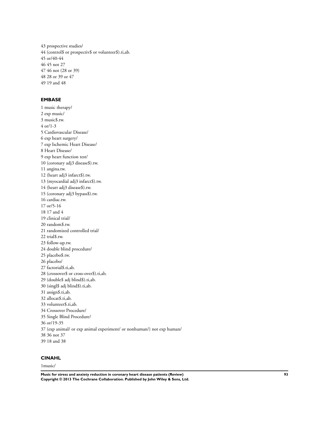43 prospective studies/ 44 (control\$ or prospectiv\$ or volunteer\$).ti,ab. 45 or/40-44 46 45 not 27 47 46 not (28 or 39) 48 28 or 39 or 47 49 19 and 48

### **EMBASE**

1 music therapy/ 2 exp music/ 3 music\$.tw. 4 or/1-3 5 Cardiovascular Disease/ 6 exp heart surgery/ 7 exp Ischemic Heart Disease/ 8 Heart Disease/ 9 exp heart function test/ 10 (coronary adj3 disease\$).tw. 11 angina.tw. 12 (heart adj3 infarct\$).tw. 13 (myocardial adj3 infarct\$).tw. 14 (heart adj3 disease\$).tw. 15 (coronary adj3 bypass\$).tw. 16 cardiac.tw. 17 or/5-16 18 17 and 4 19 clinical trial/ 20 random\$.tw. 21 randomized controlled trial/ 22 trial\$.tw. 23 follow-up.tw. 24 double blind procedure/ 25 placebo\$.tw. 26 placebo/ 27 factorial\$.ti,ab. 28 (crossover\$ or cross-over\$).ti,ab. 29 (double\$ adj blind\$).ti,ab. 30 (singl\$ adj blind\$).ti,ab. 31 assign\$.ti,ab. 32 allocat\$.ti,ab. 33 volunteer\$.ti,ab. 34 Crossover Procedure/ 35 Single Blind Procedure/ 36 or/19-35 37 (exp animal/ or exp animal experiment/ or nonhuman/) not exp human/ 38 36 not 37 39 18 and 38

### **CINAHL**

1music/

**Music for stress and anxiety reduction in coronary heart disease patients (Review) 93 Copyright © 2013 The Cochrane Collaboration. Published by John Wiley & Sons, Ltd.**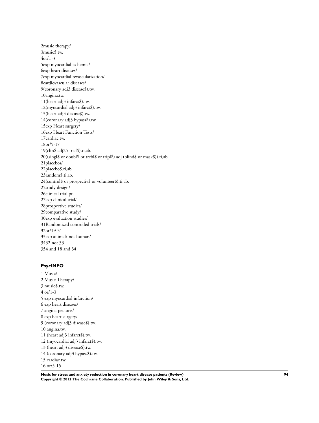2music therapy/ 3music\$.tw. 4or/1-3 5exp myocardial ischemia/ 6exp heart diseases/ 7exp myocardial revascularization/ 8cardiovascular diseases/ 9(coronary adj3 disease\$).tw. 10angina.tw. 11(heart adj3 infarct\$).tw. 12(myocardial adj3 infarct\$).tw. 13(heart adj3 disease\$).tw. 14(coronary adj3 bypass\$).tw. 15exp Heart surgery/ 16exp Heart Function Tests/ 17cardiac.tw. 18or/5-17 19(clin\$ adj25 trial\$).ti,ab. 20((singl\$ or doubl\$ or trebl\$ or tripl\$) adj (blind\$ or mask\$)).ti,ab. 21placebos/ 22placebo\$.ti,ab. 23random\$.ti,ab. 24(control\$ or prospectiv\$ or volunteer\$).ti,ab. 25study design/ 26clinical trial.pt. 27exp clinical trial/ 28prospective studies/ 29comparative study/ 30exp evaluation studies/ 31Randomized controlled trials/ 32or/19-31 33exp animal/ not human/ 3432 not 33 354 and 18 and 34

## **PsycINFO**

1 Music/ 2 Music Therapy/ 3 music\$.tw. 4 or/1-3 5 exp myocardial infarction/ 6 exp heart diseases/ 7 angina pectoris/ 8 exp heart surgery/ 9 (coronary adj3 disease\$).tw. 10 angina.tw. 11 (heart adj3 infarct\$).tw. 12 (myocardial adj3 infarct\$).tw. 13 (heart adj3 disease\$).tw. 14 (coronary adj3 bypass\$).tw. 15 cardiac.tw. 16 or/5-15

**Music for stress and anxiety reduction in coronary heart disease patients (Review) 94 Copyright © 2013 The Cochrane Collaboration. Published by John Wiley & Sons, Ltd.**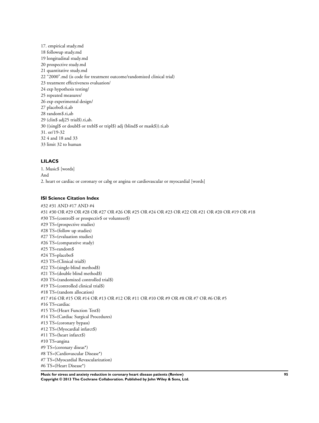17. empirical study.md 18 followup study.md 19 longitudinal study.md 20 prospective study.md 21 quantitative study.md 22 "2000".md (is code for treatment outcome/randomized clinical trial) 23 treatment effectiveness evaluation/ 24 exp hypothesis testing/ 25 repeated measures/ 26 exp experimental design/ 27 placebo\$.ti,ab 28 random\$.ti,ab 29 (clin\$ adj25 trial\$).ti,ab. 30 ((singl\$ or doubl\$ or trebl\$ or tripl\$) adj (blind\$ or mask\$)).ti,ab 31. or/19-32 32 4 and 18 and 33 33 limit 32 to human

# **LILACS**

1. Music\$ [words] And 2. heart or cardiac or coronary or cabg or angina or cardiovascular or myocardial [words]

## **ISI Science Citation Index**

#32 #31 AND #17 AND #4 #31 #30 OR #29 OR #28 OR #27 OR #26 OR #25 OR #24 OR #23 OR #22 OR #21 OR #20 OR #19 OR #18 #30 TS=(control\$ or prospectiv\$ or volunteer\$) #29 TS=(prospective studies) #28 TS=(follow up studies) #27 TS=(evaluation studies) #26 TS=(comparative study) #25 TS=random\$ #24 TS=placebo\$ #23 TS=(Clinical trial\$) #22 TS=(single-blind method\$) #21 TS=(double blind method\$) #20 TS=(randomized controlled trial\$) #19 TS=(controlled clinical trial\$) #18 TS=(random allocation) #17 #16 OR #15 OR #14 OR #13 OR #12 OR #11 OR #10 OR #9 OR #8 OR #7 OR #6 OR #5 #16 TS=cardiac #15 TS=(Heart Function Test\$) #14 TS=(Cardiac Surgical Procedures) #13 TS=(coronary bypass) #12 TS=(Myocardial infarct\$) #11 TS=(heart infarct\$) #10 TS=angina #9 TS=(coronary diseas\*) #8 TS=(Cardiovascular Disease\*) #7 TS=(Myocardial Revascularization) #6 TS=(Heart Disease\*)

**Music for stress and anxiety reduction in coronary heart disease patients (Review) 95 Copyright © 2013 The Cochrane Collaboration. Published by John Wiley & Sons, Ltd.**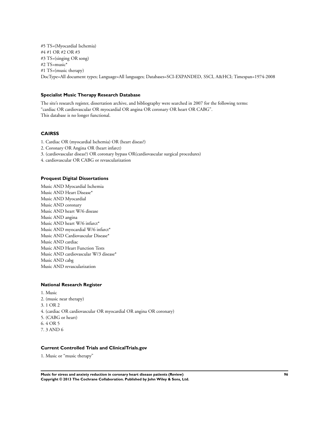#5 TS=(Myocardial Ischemia) #4 #1 OR #2 OR #3 #3 TS=(singing OR song) #2 TS=music\* #1 TS=(music therapy) DocType=All document types; Language=All languages; Databases=SCI-EXPANDED, SSCI, A&HCI; Timespan=1974-2008

### **Specialist Music Therapy Research Database**

The site's research register, dissertation archive, and bibliography were searched in 2007 for the following terms: "cardiac OR cardiovascular OR myocardial OR angina OR coronary OR heart OR CABG". This database is no longer functional.

#### **CAIRSS**

- 1. Cardiac OR (myocardial Ischemia) OR (heart diseas?)
- 2. Coronary OR Angina OR (heart infarct)
- 3. (cardiovascular diseas?) OR coronary bypass OR(cardiovascular surgical procedures)
- 4. cardiovascular OR CABG or revascularization

### **Proquest Digital Dissertations**

Music AND Myocardial Ischemia Music AND Heart Disease\* Music AND Myocardial Music AND coronary Music AND heart W/6 disease Music AND angina Music AND heart W/6 infarct\* Music AND myocardial W/6 infarct\* Music AND Cardiovascular Disease\* Music AND cardiac Music AND Heart Function Tests Music AND cardiovascular W/3 disease\* Music AND cabg Music AND revascularization

#### **National Research Register**

1. Music 2. (music near therapy) 3. 1 OR 2 4. (cardiac OR cardiovascular OR myocardial OR angina OR coronary) 5. (CABG or heart) 6. 4 OR 5 7. 3 AND 6

#### **Current Controlled Trials and ClinicalTrials.gov**

1. Music or "music therapy"

**Music for stress and anxiety reduction in coronary heart disease patients (Review) 96 Copyright © 2013 The Cochrane Collaboration. Published by John Wiley & Sons, Ltd.**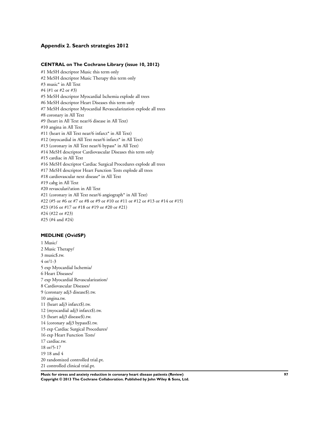### **Appendix 2. Search strategies 2012**

### **CENTRAL on The Cochrane Library (issue 10, 2012)**

#1 MeSH descriptor Music this term only #2 MeSH descriptor Music Therapy this term only #3 music\* in All Text #4 (#1 or #2 or #3) #5 MeSH descriptor Myocardial Ischemia explode all trees #6 MeSH descriptor Heart Diseases this term only #7 MeSH descriptor Myocardial Revascularization explode all trees #8 coronary in All Text #9 (heart in All Text near/6 disease in All Text) #10 angina in All Text #11 (heart in All Text near/6 infarct\* in All Text) #12 (myocardial in All Text near/6 infarct\* in All Text) #13 (coronary in All Text near/6 bypass\* in All Text) #14 MeSH descriptor Cardiovascular Diseases this term only #15 cardiac in All Text #16 MeSH descriptor Cardiac Surgical Procedures explode all trees #17 MeSH descriptor Heart Function Tests explode all trees #18 cardiovascular next disease\* in All Text #19 cabg in All Text #20 revasculari?ation in All Text #21 (coronary in All Text near/6 angiograph\* in All Text) #22 (#5 or #6 or #7 or #8 or #9 or #10 or #11 or #12 or #13 or #14 or #15 ) #23 (#16 or #17 or #18 or #19 or #20 or #21) #24 (#22 or #23) #25 (#4 and #24)

#### **MEDLINE (OvidSP)**

1 Music/ 2 Music Therapy/ 3 music\$.tw.  $4$  or/1-3 5 exp Myocardial Ischemia/ 6 Heart Diseases/ 7 exp Myocardial Revascularization/ 8 Cardiovascular Diseases/ 9 (coronary adj3 disease\$).tw. 10 angina.tw. 11 (heart adj3 infarct\$).tw. 12 (myocardial adj3 infarct\$).tw. 13 (heart adj3 disease\$).tw. 14 (coronary adj3 bypass\$).tw. 15 exp Cardiac Surgical Procedures/ 16 exp Heart Function Tests/ 17 cardiac.tw. 18 or/5-17 19 18 and 4 20 randomized controlled trial.pt. 21 controlled clinical trial.pt.

**Music for stress and anxiety reduction in coronary heart disease patients (Review) 97 Copyright © 2013 The Cochrane Collaboration. Published by John Wiley & Sons, Ltd.**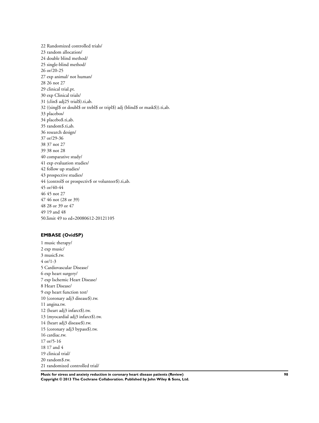22 Randomized controlled trials/ 23 random allocation/ 24 double blind method/ 25 single-blind method/ 26 or/20-25 27 exp animal/ not human/ 28 26 not 27 29 clinical trial.pt. 30 exp Clinical trials/ 31 (clin\$ adj25 trial\$).ti,ab. 32 ((singl\$ or doubl\$ or trebl\$ or tripl\$) adj (blind\$ or mask\$)).ti,ab. 33 placebos/ 34 placebo\$.ti,ab. 35 random\$.ti,ab. 36 research design/ 37 or/29-36 38 37 not 27 39 38 not 28 40 comparative study/ 41 exp evaluation studies/ 42 follow up studies/ 43 prospective studies/ 44 (control\$ or prospectiv\$ or volunteer\$).ti,ab. 45 or/40-44 46 45 not 27 47 46 not (28 or 39) 48 28 or 39 or 47 49 19 and 48 50.limit 49 to ed=20080612-20121105

## **EMBASE (OvidSP)**

1 music therapy/ 2 exp music/ 3 music\$.tw.  $4$  or/1-3 5 Cardiovascular Disease/ 6 exp heart surgery/ 7 exp Ischemic Heart Disease/ 8 Heart Disease/ 9 exp heart function test/ 10 (coronary adj3 disease\$).tw. 11 angina.tw. 12 (heart adj3 infarct\$).tw. 13 (myocardial adj3 infarct\$).tw. 14 (heart adj3 disease\$).tw. 15 (coronary adj3 bypass\$).tw. 16 cardiac.tw. 17 or/5-16 18 17 and 4 19 clinical trial/ 20 random\$.tw. 21 randomized controlled trial/

**Music for stress and anxiety reduction in coronary heart disease patients (Review) 98 Copyright © 2013 The Cochrane Collaboration. Published by John Wiley & Sons, Ltd.**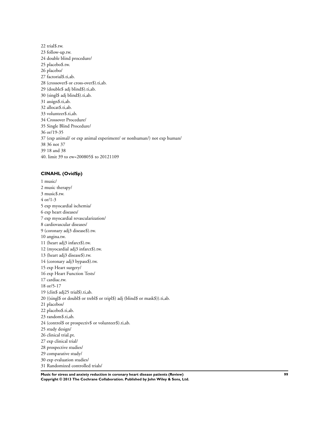22 trial\$.tw. 23 follow-up.tw. 24 double blind procedure/ 25 placebo\$.tw. 26 placebo/ 27 factorial\$.ti,ab. 28 (crossover\$ or cross-over\$).ti,ab. 29 (double\$ adj blind\$).ti,ab. 30 (singl\$ adj blind\$).ti,ab. 31 assign\$.ti,ab. 32 allocat\$.ti,ab. 33 volunteer\$.ti,ab. 34 Crossover Procedure/ 35 Single Blind Procedure/ 36 or/19-35 37 (exp animal/ or exp animal experiment/ or nonhuman/) not exp human/ 38 36 not 37 39 18 and 38 40. limit 39 to ew=200805\$ to 20121109

### **CINAHL (OvidSp)**

1 music/ 2 music therapy/ 3 music\$.tw. 4 or/1-3 5 exp myocardial ischemia/ 6 exp heart diseases/ 7 exp myocardial revascularization/ 8 cardiovascular diseases/ 9 (coronary adj3 disease\$).tw. 10 angina.tw. 11 (heart adj3 infarct\$).tw. 12 (myocardial adj3 infarct\$).tw. 13 (heart adj3 disease\$).tw. 14 (coronary adj3 bypass\$).tw. 15 exp Heart surgery/ 16 exp Heart Function Tests/ 17 cardiac.tw. 18 or/5-17 19 (clin\$ adj25 trial\$).ti,ab. 20 ((singl\$ or doubl\$ or trebl\$ or tripl\$) adj (blind\$ or mask\$)).ti,ab. 21 placebos/ 22 placebo\$.ti,ab. 23 random\$.ti,ab. 24 (control\$ or prospectiv\$ or volunteer\$).ti,ab. 25 study design/ 26 clinical trial.pt. 27 exp clinical trial/ 28 prospective studies/ 29 comparative study/ 30 exp evaluation studies/ 31 Randomized controlled trials/

**Music for stress and anxiety reduction in coronary heart disease patients (Review) 99 Copyright © 2013 The Cochrane Collaboration. Published by John Wiley & Sons, Ltd.**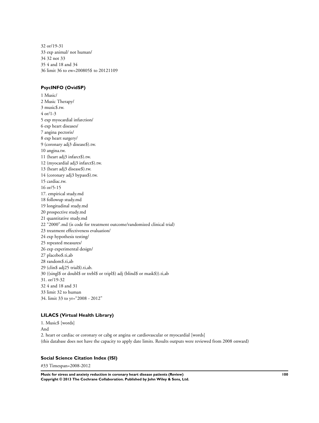32 or/19-31 33 exp animal/ not human/ 34 32 not 33 35 4 and 18 and 34 36 limit 36 to ew=200805\$ to 20121109

## **PsycINFO (OvidSP)**

1 Music/ 2 Music Therapy/ 3 music\$.tw. 4 or/1-3 5 exp myocardial infarction/ 6 exp heart diseases/ 7 angina pectoris/ 8 exp heart surgery/ 9 (coronary adj3 disease\$).tw. 10 angina.tw. 11 (heart adj3 infarct\$).tw. 12 (myocardial adj3 infarct\$).tw. 13 (heart adj3 disease\$).tw. 14 (coronary adj3 bypass\$).tw. 15 cardiac.tw. 16 or/5-15 17. empirical study.md 18 followup study.md 19 longitudinal study.md 20 prospective study.md 21 quantitative study.md 22 "2000".md (is code for treatment outcome/randomized clinical trial) 23 treatment effectiveness evaluation/ 24 exp hypothesis testing/ 25 repeated measures/ 26 exp experimental design/ 27 placebo\$.ti,ab 28 random\$.ti,ab 29 (clin\$ adj25 trial\$).ti,ab. 30 ((singl\$ or doubl\$ or trebl\$ or tripl\$) adj (blind\$ or mask\$)).ti,ab 31. or/19-32 32 4 and 18 and 31 33 limit 32 to human 34. limit 33 to yr="2008 - 2012"

### **LILACS (Virtual Health Library)**

1. Music\$ [words] And 2. heart or cardiac or coronary or cabg or angina or cardiovascular or myocardial [words] (this database does not have the capacity to apply date limits. Results outputs were reviewed from 2008 onward)

### **Social Science Citation Index (ISI)**

#33 Timespan=2008-2012

**Music for stress and anxiety reduction in coronary heart disease patients (Review) 100 Copyright © 2013 The Cochrane Collaboration. Published by John Wiley & Sons, Ltd.**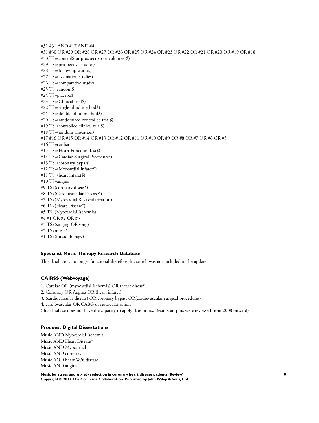#32 #31 AND #17 AND #4 #31 #30 OR #29 OR #28 OR #27 OR #26 OR #25 OR #24 OR #23 OR #22 OR #21 OR #20 OR #19 OR #18 #30 TS=(control\$ or prospectiv\$ or volunteer\$) #29 TS=(prospective studies) #28 TS=(follow up studies) #27 TS=(evaluation studies) #26 TS=(comparative study) #25 TS=random\$ #24 TS=placebo\$ #23 TS=(Clinical trial\$) #22 TS=(single-blind method\$) #21 TS=(double blind method\$) #20 TS=(randomized controlled trial\$) #19 TS=(controlled clinical trial\$) #18 TS=(random allocation) #17 #16 OR #15 OR #14 OR #13 OR #12 OR #11 OR #10 OR #9 OR #8 OR #7 OR #6 OR #5 #16 TS=cardiac #15 TS=(Heart Function Test\$) #14 TS=(Cardiac Surgical Procedures) #13 TS=(coronary bypass) #12 TS=(Myocardial infarct\$) #11 TS=(heart infarct\$) #10 TS=angina #9 TS=(coronary diseas\*) #8 TS=(Cardiovascular Disease\*) #7 TS=(Myocardial Revascularization) #6 TS=(Heart Disease\*) #5 TS=(Myocardial Ischemia) #4 #1 OR #2 OR #3 #3 TS=(singing OR song) #2 TS=music\* #1 TS=(music therapy)

## **Specialist Music Therapy Research Database**

This database is no longer functional therefore this search was not included in the update.

#### **CAIRSS (Webvoyage)**

- 1. Cardiac OR (myocardial Ischemia) OR (heart diseas?)
- 2. Coronary OR Angina OR (heart infarct)
- 3. (cardiovascular diseas?) OR coronary bypass OR(cardiovascular surgical procedures)
- 4. cardiovascular OR CABG or revascularization

(this database does not have the capacity to apply date limits. Results outputs were reviewed from 2008 onward)

#### **Proquest Digital Dissertations**

Music AND Myocardial Ischemia Music AND Heart Disease\* Music AND Myocardial Music AND coronary Music AND heart W/6 disease Music AND angina

**Music for stress and anxiety reduction in coronary heart disease patients (Review) 101 Copyright © 2013 The Cochrane Collaboration. Published by John Wiley & Sons, Ltd.**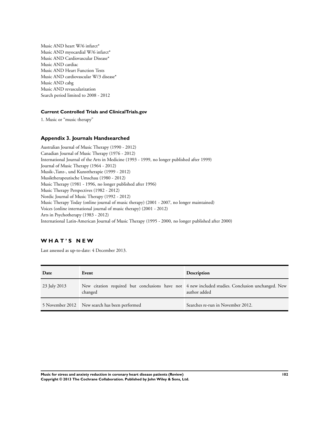Music AND heart W/6 infarct\* Music AND myocardial W/6 infarct\* Music AND Cardiovascular Disease\* Music AND cardiac Music AND Heart Function Tests Music AND cardiovascular W/3 disease\* Music AND cabg Music AND revascularization Search period limited to 2008 - 2012

### **Current Controlled Trials and ClinicalTrials.gov**

1. Music or "music therapy"

### **Appendix 3. Journals Handsearched**

Australian Journal of Music Therapy (1990 - 2012) Canadian Journal of Music Therapy (1976 - 2012) International Journal of the Arts in Medicine (1993 - 1999, no longer published after 1999) Journal of Music Therapy (1964 - 2012) Musik-,Tanz-, und Kunsttherapie (1999 - 2012) Musiktherapeutische Umschau (1980 - 2012) Music Therapy (1981 - 1996, no longer published after 1996) Music Therapy Perspectives (1982 - 2012) Nordic Journal of Music Therapy (1992 - 2012) Music Therapy Today (online journal of music therapy) (2001 - 2007, no longer maintained) Voices (online international journal of music therapy) (2001 - 2012) Arts in Psychotherapy (1983 - 2012) International Latin-American Journal of Music Therapy (1995 - 2000, no longer published after 2000)

## **W H A T ' S N E W**

Last assessed as up-to-date: 4 December 2013.

| Date         | Event                                         | <b>Description</b>                                                                                               |
|--------------|-----------------------------------------------|------------------------------------------------------------------------------------------------------------------|
| 23 July 2013 | changed                                       | New citation required but conclusions have not 4 new included studies. Conclusion unchanged. New<br>author added |
|              | 5 November 2012 New search has been performed | Searches re-run in November 2012.                                                                                |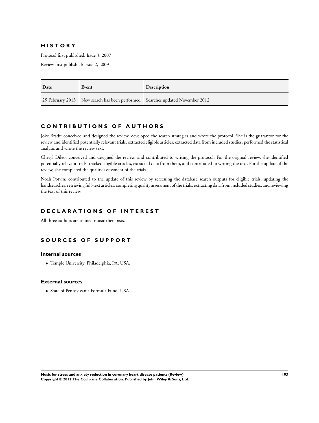### **H I S T O R Y**

Protocol first published: Issue 3, 2007

Review first published: Issue 2, 2009

| Date | Event | Description                                                                    |
|------|-------|--------------------------------------------------------------------------------|
|      |       | 25 February 2013 New search has been performed Searches updated November 2012. |

# **C O N T R I B U T I O N S O F A U T H O R S**

Joke Bradt: conceived and designed the review, developed the search strategies and wrote the protocol. She is the guarantor for the review and identified potentially relevant trials, extracted eligible articles, extracted data from included studies, performed the statistical analysis and wrote the review text.

Cheryl Dileo: conceived and designed the review, and contributed to writing the protocol. For the original review, she identified potentially relevant trials, tracked eligible articles, extracted data from them, and contributed to writing the text. For the update of the review, she completed the quality assessment of the trials.

Noah Potvin: contributed to the update of this review by screening the database search outputs for eligible trials, updating the handsearches, retrieving full-text articles, completing quality assessment of the trials, extracting data from included studies, and reviewing the text of this review.

# **D E C L A R A T I O N S O F I N T E R E S T**

All three authors are trained music therapists.

## **S O U R C E S O F S U P P O R T**

### **Internal sources**

• Temple University, Philadelphia, PA, USA.

### **External sources**

• State of Pennsylvania Formula Fund, USA.